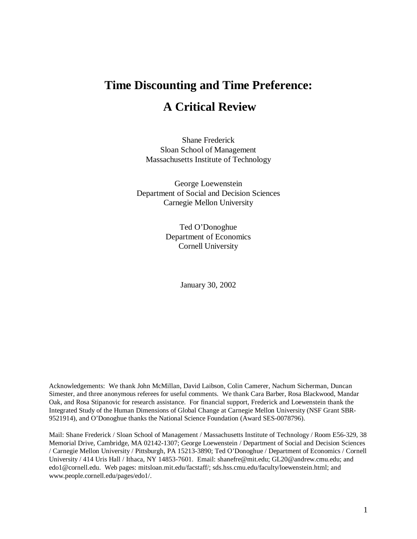# **Time Discounting and Time Preference: A Critical Review**

Shane Frederick Sloan School of Management Massachusetts Institute of Technology

George Loewenstein Department of Social and Decision Sciences Carnegie Mellon University

> Ted O'Donoghue Department of Economics Cornell University

> > January 30, 2002

Acknowledgements: We thank John McMillan, David Laibson, Colin Camerer, Nachum Sicherman, Duncan Simester, and three anonymous referees for useful comments. We thank Cara Barber, Rosa Blackwood, Mandar Oak, and Rosa Stipanovic for research assistance. For financial support, Frederick and Loewenstein thank the Integrated Study of the Human Dimensions of Global Change at Carnegie Mellon University (NSF Grant SBR-9521914), and O'Donoghue thanks the National Science Foundation (Award SES-0078796).

Mail: Shane Frederick / Sloan School of Management / Massachusetts Institute of Technology / Room E56-329, 38 Memorial Drive, Cambridge, MA 02142-1307; George Loewenstein / Department of Social and Decision Sciences / Carnegie Mellon University / Pittsburgh, PA 15213-3890; Ted O'Donoghue / Department of Economics / Cornell University / 414 Uris Hall / Ithaca, NY 14853-7601. Email: shanefre@mit.edu; GL20@andrew.cmu.edu; and edo1@cornell.edu. Web pages: mitsloan.mit.edu/facstaff/; sds.hss.cmu.edu/faculty/loewenstein.html; and www.people.cornell.edu/pages/edo1/.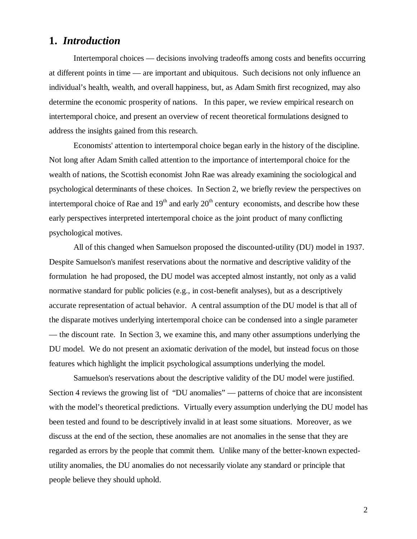## **1.** *Introduction*

Intertemporal choices — decisions involving tradeoffs among costs and benefits occurring at different points in time — are important and ubiquitous. Such decisions not only influence an individual's health, wealth, and overall happiness, but, as Adam Smith first recognized, may also determine the economic prosperity of nations. In this paper, we review empirical research on intertemporal choice, and present an overview of recent theoretical formulations designed to address the insights gained from this research.

Economists' attention to intertemporal choice began early in the history of the discipline. Not long after Adam Smith called attention to the importance of intertemporal choice for the wealth of nations, the Scottish economist John Rae was already examining the sociological and psychological determinants of these choices. In Section 2, we briefly review the perspectives on intertemporal choice of Rae and  $19<sup>th</sup>$  and early  $20<sup>th</sup>$  century economists, and describe how these early perspectives interpreted intertemporal choice as the joint product of many conflicting psychological motives.

All of this changed when Samuelson proposed the discounted-utility (DU) model in 1937. Despite Samuelson's manifest reservations about the normative and descriptive validity of the formulation he had proposed, the DU model was accepted almost instantly, not only as a valid normative standard for public policies (e.g., in cost-benefit analyses), but as a descriptively accurate representation of actual behavior. A central assumption of the DU model is that all of the disparate motives underlying intertemporal choice can be condensed into a single parameter — the discount rate. In Section 3, we examine this, and many other assumptions underlying the DU model. We do not present an axiomatic derivation of the model, but instead focus on those features which highlight the implicit psychological assumptions underlying the model.

Samuelson's reservations about the descriptive validity of the DU model were justified. Section 4 reviews the growing list of "DU anomalies" — patterns of choice that are inconsistent with the model's theoretical predictions. Virtually every assumption underlying the DU model has been tested and found to be descriptively invalid in at least some situations. Moreover, as we discuss at the end of the section, these anomalies are not anomalies in the sense that they are regarded as errors by the people that commit them. Unlike many of the better-known expectedutility anomalies, the DU anomalies do not necessarily violate any standard or principle that people believe they should uphold.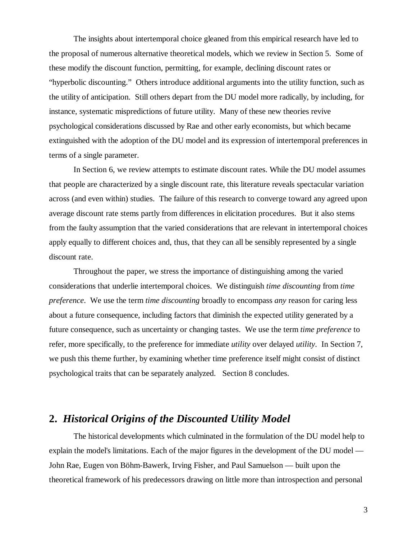The insights about intertemporal choice gleaned from this empirical research have led to the proposal of numerous alternative theoretical models, which we review in Section 5. Some of these modify the discount function, permitting, for example, declining discount rates or "hyperbolic discounting." Others introduce additional arguments into the utility function, such as the utility of anticipation. Still others depart from the DU model more radically, by including, for instance, systematic mispredictions of future utility. Many of these new theories revive psychological considerations discussed by Rae and other early economists, but which became extinguished with the adoption of the DU model and its expression of intertemporal preferences in terms of a single parameter.

In Section 6, we review attempts to estimate discount rates. While the DU model assumes that people are characterized by a single discount rate, this literature reveals spectacular variation across (and even within) studies. The failure of this research to converge toward any agreed upon average discount rate stems partly from differences in elicitation procedures. But it also stems from the faulty assumption that the varied considerations that are relevant in intertemporal choices apply equally to different choices and, thus, that they can all be sensibly represented by a single discount rate.

Throughout the paper, we stress the importance of distinguishing among the varied considerations that underlie intertemporal choices. We distinguish *time discounting* from *time preference*. We use the term *time discounting* broadly to encompass *any* reason for caring less about a future consequence, including factors that diminish the expected utility generated by a future consequence, such as uncertainty or changing tastes. We use the term *time preference* to refer, more specifically, to the preference for immediate *utility* over delayed *utility*. In Section 7, we push this theme further, by examining whether time preference itself might consist of distinct psychological traits that can be separately analyzed. Section 8 concludes.

# **2.** *Historical Origins of the Discounted Utility Model*

The historical developments which culminated in the formulation of the DU model help to explain the model's limitations. Each of the major figures in the development of the DU model — John Rae, Eugen von Böhm-Bawerk, Irving Fisher, and Paul Samuelson — built upon the theoretical framework of his predecessors drawing on little more than introspection and personal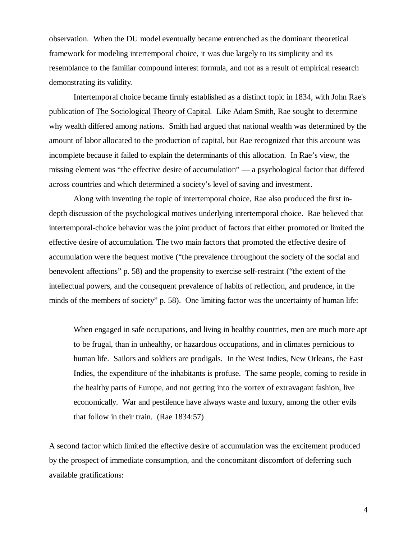observation. When the DU model eventually became entrenched as the dominant theoretical framework for modeling intertemporal choice, it was due largely to its simplicity and its resemblance to the familiar compound interest formula, and not as a result of empirical research demonstrating its validity.

Intertemporal choice became firmly established as a distinct topic in 1834, with John Rae's publication of The Sociological Theory of Capital. Like Adam Smith, Rae sought to determine why wealth differed among nations. Smith had argued that national wealth was determined by the amount of labor allocated to the production of capital, but Rae recognized that this account was incomplete because it failed to explain the determinants of this allocation. In Rae's view, the missing element was "the effective desire of accumulation" — a psychological factor that differed across countries and which determined a society's level of saving and investment.

Along with inventing the topic of intertemporal choice, Rae also produced the first indepth discussion of the psychological motives underlying intertemporal choice. Rae believed that intertemporal-choice behavior was the joint product of factors that either promoted or limited the effective desire of accumulation. The two main factors that promoted the effective desire of accumulation were the bequest motive ("the prevalence throughout the society of the social and benevolent affections" p. 58) and the propensity to exercise self-restraint ("the extent of the intellectual powers, and the consequent prevalence of habits of reflection, and prudence, in the minds of the members of society" p. 58). One limiting factor was the uncertainty of human life:

When engaged in safe occupations, and living in healthy countries, men are much more apt to be frugal, than in unhealthy, or hazardous occupations, and in climates pernicious to human life. Sailors and soldiers are prodigals. In the West Indies, New Orleans, the East Indies, the expenditure of the inhabitants is profuse. The same people, coming to reside in the healthy parts of Europe, and not getting into the vortex of extravagant fashion, live economically. War and pestilence have always waste and luxury, among the other evils that follow in their train. (Rae 1834:57)

A second factor which limited the effective desire of accumulation was the excitement produced by the prospect of immediate consumption, and the concomitant discomfort of deferring such available gratifications: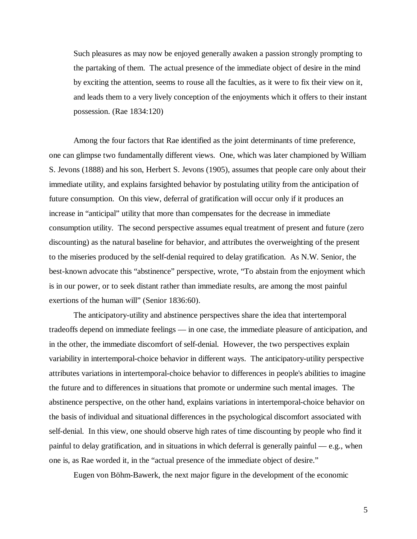Such pleasures as may now be enjoyed generally awaken a passion strongly prompting to the partaking of them. The actual presence of the immediate object of desire in the mind by exciting the attention, seems to rouse all the faculties, as it were to fix their view on it, and leads them to a very lively conception of the enjoyments which it offers to their instant possession. (Rae 1834:120)

Among the four factors that Rae identified as the joint determinants of time preference, one can glimpse two fundamentally different views. One, which was later championed by William S. Jevons (1888) and his son, Herbert S. Jevons (1905), assumes that people care only about their immediate utility, and explains farsighted behavior by postulating utility from the anticipation of future consumption. On this view, deferral of gratification will occur only if it produces an increase in "anticipal" utility that more than compensates for the decrease in immediate consumption utility. The second perspective assumes equal treatment of present and future (zero discounting) as the natural baseline for behavior, and attributes the overweighting of the present to the miseries produced by the self-denial required to delay gratification. As N.W. Senior, the best-known advocate this "abstinence" perspective, wrote, "To abstain from the enjoyment which is in our power, or to seek distant rather than immediate results, are among the most painful exertions of the human will" (Senior 1836:60).

The anticipatory-utility and abstinence perspectives share the idea that intertemporal tradeoffs depend on immediate feelings — in one case, the immediate pleasure of anticipation, and in the other, the immediate discomfort of self-denial. However, the two perspectives explain variability in intertemporal-choice behavior in different ways. The anticipatory-utility perspective attributes variations in intertemporal-choice behavior to differences in people's abilities to imagine the future and to differences in situations that promote or undermine such mental images. The abstinence perspective, on the other hand, explains variations in intertemporal-choice behavior on the basis of individual and situational differences in the psychological discomfort associated with self-denial. In this view, one should observe high rates of time discounting by people who find it painful to delay gratification, and in situations in which deferral is generally painful — e.g., when one is, as Rae worded it, in the "actual presence of the immediate object of desire."

Eugen von Böhm-Bawerk, the next major figure in the development of the economic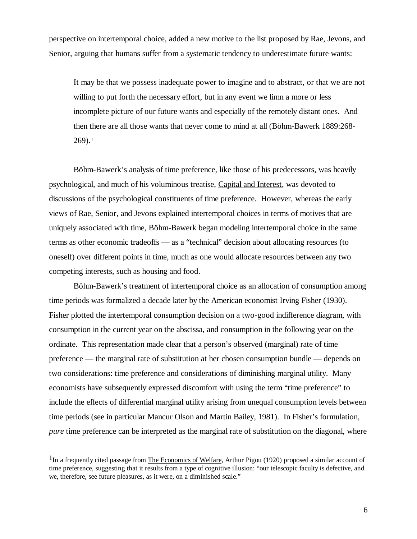perspective on intertemporal choice, added a new motive to the list proposed by Rae, Jevons, and Senior, arguing that humans suffer from a systematic tendency to underestimate future wants:

It may be that we possess inadequate power to imagine and to abstract, or that we are not willing to put forth the necessary effort, but in any event we limn a more or less incomplete picture of our future wants and especially of the remotely distant ones. And then there are all those wants that never come to mind at all (Böhm-Bawerk 1889:268- 269).1

Böhm-Bawerk's analysis of time preference, like those of his predecessors, was heavily psychological, and much of his voluminous treatise, Capital and Interest, was devoted to discussions of the psychological constituents of time preference. However, whereas the early views of Rae, Senior, and Jevons explained intertemporal choices in terms of motives that are uniquely associated with time, Böhm-Bawerk began modeling intertemporal choice in the same terms as other economic tradeoffs — as a "technical" decision about allocating resources (to oneself) over different points in time, much as one would allocate resources between any two competing interests, such as housing and food.

Böhm-Bawerk's treatment of intertemporal choice as an allocation of consumption among time periods was formalized a decade later by the American economist Irving Fisher (1930). Fisher plotted the intertemporal consumption decision on a two-good indifference diagram, with consumption in the current year on the abscissa, and consumption in the following year on the ordinate. This representation made clear that a person's observed (marginal) rate of time preference — the marginal rate of substitution at her chosen consumption bundle — depends on two considerations: time preference and considerations of diminishing marginal utility. Many economists have subsequently expressed discomfort with using the term "time preference" to include the effects of differential marginal utility arising from unequal consumption levels between time periods (see in particular Mancur Olson and Martin Bailey, 1981). In Fisher's formulation, *pure* time preference can be interpreted as the marginal rate of substitution on the diagonal, where

<sup>&</sup>lt;sup>1</sup>In a frequently cited passage from The Economics of Welfare, Arthur Pigou (1920) proposed a similar account of time preference, suggesting that it results from a type of cognitive illusion: "our telescopic faculty is defective, and we, therefore, see future pleasures, as it were, on a diminished scale."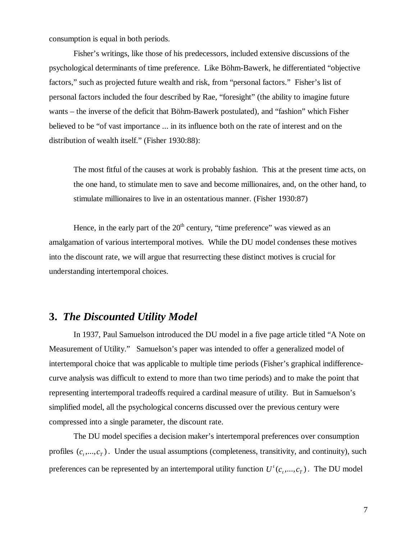consumption is equal in both periods.

Fisher's writings, like those of his predecessors, included extensive discussions of the psychological determinants of time preference. Like Böhm-Bawerk, he differentiated "objective factors," such as projected future wealth and risk, from "personal factors." Fisher's list of personal factors included the four described by Rae, "foresight" (the ability to imagine future wants – the inverse of the deficit that Böhm-Bawerk postulated), and "fashion" which Fisher believed to be "of vast importance ... in its influence both on the rate of interest and on the distribution of wealth itself." (Fisher 1930:88):

The most fitful of the causes at work is probably fashion. This at the present time acts, on the one hand, to stimulate men to save and become millionaires, and, on the other hand, to stimulate millionaires to live in an ostentatious manner. (Fisher 1930:87)

Hence, in the early part of the  $20<sup>th</sup>$  century, "time preference" was viewed as an amalgamation of various intertemporal motives. While the DU model condenses these motives into the discount rate, we will argue that resurrecting these distinct motives is crucial for understanding intertemporal choices.

# **3.** *The Discounted Utility Model*

In 1937, Paul Samuelson introduced the DU model in a five page article titled "A Note on Measurement of Utility." Samuelson's paper was intended to offer a generalized model of intertemporal choice that was applicable to multiple time periods (Fisher's graphical indifferencecurve analysis was difficult to extend to more than two time periods) and to make the point that representing intertemporal tradeoffs required a cardinal measure of utility. But in Samuelson's simplified model, all the psychological concerns discussed over the previous century were compressed into a single parameter, the discount rate.

The DU model specifies a decision maker's intertemporal preferences over consumption profiles  $(c, ..., c<sub>T</sub>)$ . Under the usual assumptions (completeness, transitivity, and continuity), such preferences can be represented by an intertemporal utility function  $U^t(c_1, ..., c_T)$ . The DU model

7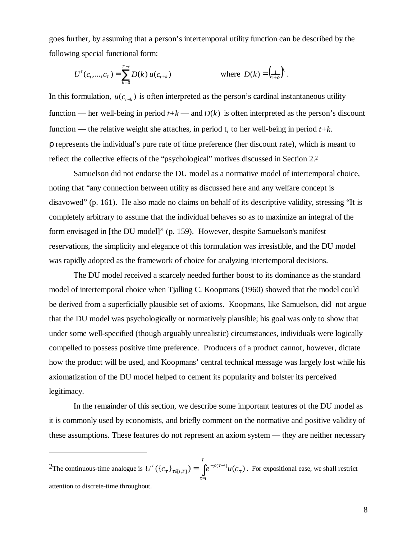goes further, by assuming that a person's intertemporal utility function can be described by the following special functional form:

$$
U^{t}(c_{t},...,c_{T})=\sum_{k=0}^{T-t}D(k) u(c_{t+k}) \qquad \text{where } D(k)=\left(\frac{1}{1+\rho}\right)^{k}.
$$

In this formulation,  $u(c_{t+k})$  is often interpreted as the person's cardinal instantaneous utility function — her well-being in period  $t+k$  — and  $D(k)$  is often interpreted as the person's discount function — the relative weight she attaches, in period t, to her well-being in period *t+k*. ρ represents the individual's pure rate of time preference (her discount rate), which is meant to reflect the collective effects of the "psychological" motives discussed in Section 2.2

Samuelson did not endorse the DU model as a normative model of intertemporal choice, noting that "any connection between utility as discussed here and any welfare concept is disavowed" (p. 161). He also made no claims on behalf of its descriptive validity, stressing "It is completely arbitrary to assume that the individual behaves so as to maximize an integral of the form envisaged in [the DU model]" (p. 159). However, despite Samuelson's manifest reservations, the simplicity and elegance of this formulation was irresistible, and the DU model was rapidly adopted as the framework of choice for analyzing intertemporal decisions.

The DU model received a scarcely needed further boost to its dominance as the standard model of intertemporal choice when Tjalling C. Koopmans (1960) showed that the model could be derived from a superficially plausible set of axioms. Koopmans, like Samuelson, did not argue that the DU model was psychologically or normatively plausible; his goal was only to show that under some well-specified (though arguably unrealistic) circumstances, individuals were logically compelled to possess positive time preference. Producers of a product cannot, however, dictate how the product will be used, and Koopmans' central technical message was largely lost while his axiomatization of the DU model helped to cement its popularity and bolster its perceived legitimacy.

In the remainder of this section, we describe some important features of the DU model as it is commonly used by economists, and briefly comment on the normative and positive validity of these assumptions. These features do not represent an axiom system — they are neither necessary

<sup>&</sup>lt;sup>2</sup>The continuous-time analogue is  $U^{\dagger}(\lbrace c_{\tau} \rbrace_{\tau \in [t,T]}) = \int_{\tau=0}^{\tau=0}$  $\epsilon_{[t,T]}$ ) =  $\int e^{-\rho(\tau-\tau)}$ *T t t*  $U^t(\{c_\tau\}_{\tau \in [t,T]}) = \int e^{-\rho(\tau-t)} u(c_\tau)$ . For expositional ease, we shall restrict τ attention to discrete-time throughout.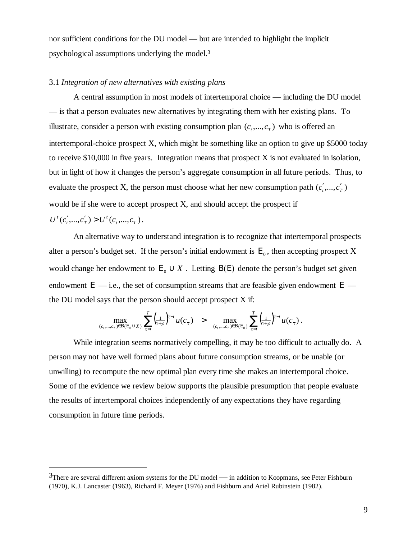nor sufficient conditions for the DU model — but are intended to highlight the implicit psychological assumptions underlying the model.3

## 3.1 *Integration of new alternatives with existing plans*

A central assumption in most models of intertemporal choice — including the DU model — is that a person evaluates new alternatives by integrating them with her existing plans. To illustrate, consider a person with existing consumption plan  $(c_1, ..., c_\tau)$  who is offered an intertemporal-choice prospect X, which might be something like an option to give up \$5000 today to receive \$10,000 in five years. Integration means that prospect X is not evaluated in isolation, but in light of how it changes the person's aggregate consumption in all future periods. Thus, to evaluate the prospect X, the person must choose what her new consumption path  $(c'_t, ..., c'_T)$ would be if she were to accept prospect X, and should accept the prospect if  $(c'_{t},...,c'_{T}) > U^{t}(c_{t},...,c_{T})$  $U^{t}(c'_{t},...,c'_{T}) > U^{t}(c_{t},...,c_{T}).$ 

An alternative way to understand integration is to recognize that intertemporal prospects alter a person's budget set. If the person's initial endowment is  $E_0$ , then accepting prospect X would change her endowment to  $E_0 \cup X$ . Letting B(E) denote the person's budget set given endowment  $E$  — i.e., the set of consumption streams that are feasible given endowment  $E$  the DU model says that the person should accept prospect X if:

$$
\max_{(c_t,\ldots,c_T)\in B(E_0\cup X)} \sum_{\tau=t}^T \left(\tfrac{1}{1+\rho}\right)^{\tau-t} u(c_\tau) > \max_{(c_t,\ldots,c_T)\in B(E_0)} \sum_{\tau=t}^T \left(\tfrac{1}{1+\rho}\right)^{\tau-t} u(c_\tau).
$$

While integration seems normatively compelling, it may be too difficult to actually do. A person may not have well formed plans about future consumption streams, or be unable (or unwilling) to recompute the new optimal plan every time she makes an intertemporal choice. Some of the evidence we review below supports the plausible presumption that people evaluate the results of intertemporal choices independently of any expectations they have regarding consumption in future time periods.

 $3$ There are several different axiom systems for the DU model — in addition to Koopmans, see Peter Fishburn (1970), K.J. Lancaster (1963), Richard F. Meyer (1976) and Fishburn and Ariel Rubinstein (1982).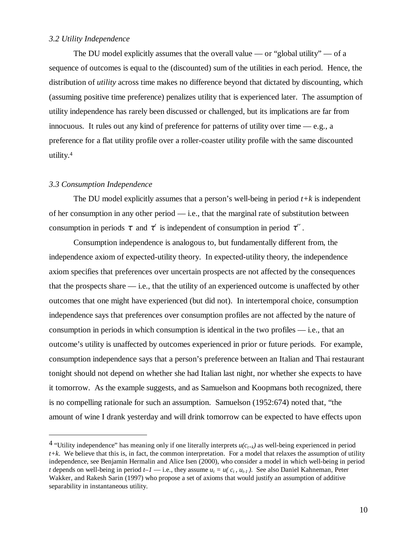## *3.2 Utility Independence*

The DU model explicitly assumes that the overall value — or "global utility" — of a sequence of outcomes is equal to the (discounted) sum of the utilities in each period. Hence, the distribution of *utility* across time makes no difference beyond that dictated by discounting, which (assuming positive time preference) penalizes utility that is experienced later. The assumption of utility independence has rarely been discussed or challenged, but its implications are far from innocuous. It rules out any kind of preference for patterns of utility over time  $-e.g., a$ preference for a flat utility profile over a roller-coaster utility profile with the same discounted utility.4

## *3.3 Consumption Independence*

 $\overline{a}$ 

The DU model explicitly assumes that a person's well-being in period *t+k* is independent of her consumption in any other period — i.e., that the marginal rate of substitution between consumption in periods  $\tau$  and  $\tau'$  is independent of consumption in period  $\tau''$ .

Consumption independence is analogous to, but fundamentally different from, the independence axiom of expected-utility theory. In expected-utility theory, the independence axiom specifies that preferences over uncertain prospects are not affected by the consequences that the prospects share  $\frac{d}{dx}$  i.e., that the utility of an experienced outcome is unaffected by other outcomes that one might have experienced (but did not). In intertemporal choice, consumption independence says that preferences over consumption profiles are not affected by the nature of consumption in periods in which consumption is identical in the two profiles — i.e., that an outcome's utility is unaffected by outcomes experienced in prior or future periods. For example, consumption independence says that a person's preference between an Italian and Thai restaurant tonight should not depend on whether she had Italian last night, nor whether she expects to have it tomorrow. As the example suggests, and as Samuelson and Koopmans both recognized, there is no compelling rationale for such an assumption. Samuelson (1952:674) noted that, "the amount of wine I drank yesterday and will drink tomorrow can be expected to have effects upon

<sup>&</sup>lt;sup>4</sup> "Utility independence" has meaning only if one literally interprets  $u(c_{t+k})$  as well-being experienced in period *t+k*. We believe that this is, in fact, the common interpretation. For a model that relaxes the assumption of utility independence, see Benjamin Hermalin and Alice Isen (2000), who consider a model in which well-being in period *t* depends on well-being in period  $t-I$  — i.e., they assume  $u_t = u(c_t, u_{t-1})$ . See also Daniel Kahneman, Peter Wakker, and Rakesh Sarin (1997) who propose a set of axioms that would justify an assumption of additive separability in instantaneous utility.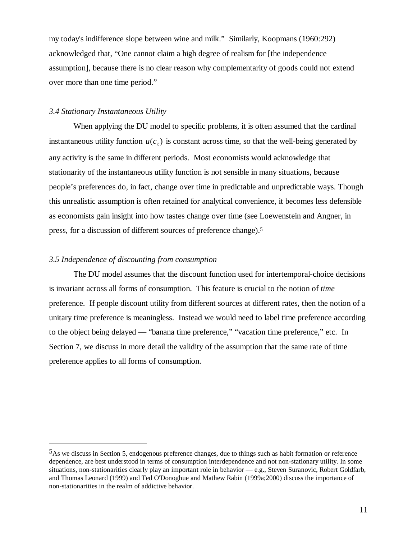my today's indifference slope between wine and milk." Similarly, Koopmans (1960:292) acknowledged that, "One cannot claim a high degree of realism for [the independence assumption], because there is no clear reason why complementarity of goods could not extend over more than one time period."

## *3.4 Stationary Instantaneous Utility*

When applying the DU model to specific problems, it is often assumed that the cardinal instantaneous utility function  $u(c_{\tau})$  is constant across time, so that the well-being generated by any activity is the same in different periods. Most economists would acknowledge that stationarity of the instantaneous utility function is not sensible in many situations, because people's preferences do, in fact, change over time in predictable and unpredictable ways. Though this unrealistic assumption is often retained for analytical convenience, it becomes less defensible as economists gain insight into how tastes change over time (see Loewenstein and Angner, in press, for a discussion of different sources of preference change).5

## *3.5 Independence of discounting from consumption*

 $\overline{a}$ 

The DU model assumes that the discount function used for intertemporal-choice decisions is invariant across all forms of consumption. This feature is crucial to the notion of *time* preference. If people discount utility from different sources at different rates, then the notion of a unitary time preference is meaningless. Instead we would need to label time preference according to the object being delayed — "banana time preference," "vacation time preference," etc. In Section 7, we discuss in more detail the validity of the assumption that the same rate of time preference applies to all forms of consumption.

<sup>5</sup>As we discuss in Section 5, endogenous preference changes, due to things such as habit formation or reference dependence, are best understood in terms of consumption interdependence and not non-stationary utility. In some situations, non-stationarities clearly play an important role in behavior — e.g., Steven Suranovic, Robert Goldfarb, and Thomas Leonard (1999) and Ted O'Donoghue and Mathew Rabin (1999a;2000) discuss the importance of non-stationarities in the realm of addictive behavior.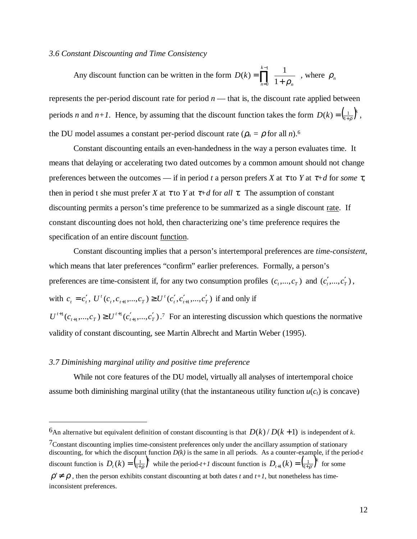## *3.6 Constant Discounting and Time Consistency*

Any discount function can be written in the form  $D(k) = \prod_{k=1}^{k-1}$  $\prod_{=0}$   $\frac{1}{1+\rho_n}$  $\overline{\phantom{a}}$  $\overline{a}$ I l ſ  $= \prod_{n=0}$   $\frac{1}{1+n}$ 1  $\frac{1}{0}$  1  $(k) = \prod_{k=1}^{k-1} \left( \frac{1}{k} \right)$  $n=0$  (  $1 \top P_n$ *D k*  $\frac{1}{\rho_n}$ , where  $\rho_n$ 

represents the per-period discount rate for period  $n$  — that is, the discount rate applied between periods *n* and *n+1*. Hence, by assuming that the discount function takes the form  $D(k) = \left(\frac{1}{1+\rho}\right)^k$ , the DU model assumes a constant per-period discount rate ( $\rho_n = \rho$  for all *n*).<sup>6</sup>

Constant discounting entails an even-handedness in the way a person evaluates time. It means that delaying or accelerating two dated outcomes by a common amount should not change preferences between the outcomes — if in period *t* a person prefers *X* at  $\tau$  to *Y* at  $\tau$ +*d* for *some*  $\tau$ , then in period t she must prefer *X* at  $\tau$  to *Y* at  $\tau$ +d for all  $\tau$ . The assumption of constant discounting permits a person's time preference to be summarized as a single discount rate. If constant discounting does not hold, then characterizing one's time preference requires the specification of an entire discount function.

Constant discounting implies that a person's intertemporal preferences are *time-consistent*, which means that later preferences "confirm" earlier preferences. Formally, a person's preferences are time-consistent if, for any two consumption profiles  $(c_1, ..., c_T)$  and  $(c'_1, ..., c'_T)$ , with  $c_t = c'_t$ ,  $U^t(c_t, c_{t+1},...,c_T) \ge U^t(c'_t, c'_{t+1},...,c'_T)$  $U^t$   $(c_t, c_{t+1},...,c_T) \ge U^t$   $(c'_t, c'_{t+1},...,c'_T)$  if and only if  $(c_{i+1},...,c_{T}) \geq U^{t+1}(c'_{i+1},...,c'_{T})$ 1 1  $_{t+1},\ldots,\mathbf{c}_{T}$ *t*  $U^{t+1}(c_{t+1},...,c_{T}) \geq U^{t+1}(c'_{t+1},...,c'_{T})$  $U^{t+1}(c_{t+1},...,c_T) \ge U^{t+1}(c'_{t+1},...,c'_{T}).$ <sup>7</sup> For an interesting discussion which questions the normative validity of constant discounting, see Martin Albrecht and Martin Weber (1995).

## *3.7 Diminishing marginal utility and positive time preference*

 $\overline{a}$ 

inconsistent preferences.

While not core features of the DU model, virtually all analyses of intertemporal choice assume both diminishing marginal utility (that the instantaneous utility function  $u(c_t)$  is concave)

7Constant discounting implies time-consistent preferences only under the ancillary assumption of stationary discounting, for which the discount function *D(k)* is the same in all periods. As a counter-example, if the period-*t* discount function is  $D_t(k) = \left(\frac{1}{1+\rho}\right)^k$  while the period-*t+1* discount function is  $D_{t+1}(k) = \left(\frac{1}{1+\rho}\right)^k$  for some  $\rho' \neq \rho$ , then the person exhibits constant discounting at both dates *t* and *t+1*, but nonetheless has time-

<sup>6</sup>An alternative but equivalent definition of constant discounting is that  $D(k)/D(k+1)$  is independent of *k*.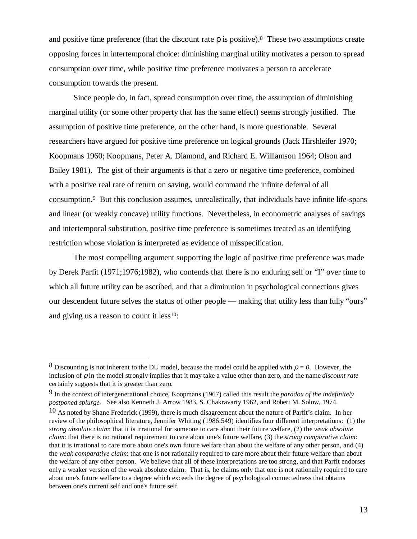and positive time preference (that the discount rate  $\rho$  is positive).<sup>8</sup> These two assumptions create opposing forces in intertemporal choice: diminishing marginal utility motivates a person to spread consumption over time, while positive time preference motivates a person to accelerate consumption towards the present.

Since people do, in fact, spread consumption over time, the assumption of diminishing marginal utility (or some other property that has the same effect) seems strongly justified. The assumption of positive time preference, on the other hand, is more questionable. Several researchers have argued for positive time preference on logical grounds (Jack Hirshleifer 1970; Koopmans 1960; Koopmans, Peter A. Diamond, and Richard E. Williamson 1964; Olson and Bailey 1981). The gist of their arguments is that a zero or negative time preference, combined with a positive real rate of return on saving, would command the infinite deferral of all consumption.9 But this conclusion assumes, unrealistically, that individuals have infinite life-spans and linear (or weakly concave) utility functions. Nevertheless, in econometric analyses of savings and intertemporal substitution, positive time preference is sometimes treated as an identifying restriction whose violation is interpreted as evidence of misspecification.

The most compelling argument supporting the logic of positive time preference was made by Derek Parfit (1971;1976;1982), who contends that there is no enduring self or "I" over time to which all future utility can be ascribed, and that a diminution in psychological connections gives our descendent future selves the status of other people — making that utility less than fully "ours" and giving us a reason to count it less<sup>10</sup>:

<sup>&</sup>lt;sup>8</sup> Discounting is not inherent to the DU model, because the model could be applied with  $\rho = 0$ . However, the inclusion of  $\rho$  in the model strongly implies that it may take a value other than zero, and the name *discount rate* certainly suggests that it is greater than zero.

<sup>9</sup> In the context of intergenerational choice, Koopmans (1967) called this result the *paradox of the indefinitely postponed splurge*. See also Kenneth J. Arrow 1983, S. Chakravarty 1962, and Robert M. Solow, 1974.

<sup>10</sup> As noted by Shane Frederick (1999)**,** there is much disagreement about the nature of Parfit's claim. In her review of the philosophical literature, Jennifer Whiting (1986:549) identifies four different interpretations: (1) the *strong absolute claim*: that it is irrational for someone to care about their future welfare, (2) the *weak absolute claim*: that there is no rational requirement to care about one's future welfare, (3) the *strong comparative claim*: that it is irrational to care more about one's own future welfare than about the welfare of any other person, and (4) the *weak comparative claim*: that one is not rationally required to care more about their future welfare than about the welfare of any other person. We believe that all of these interpretations are too strong, and that Parfit endorses only a weaker version of the weak absolute claim. That is, he claims only that one is not rationally required to care about one's future welfare to a degree which exceeds the degree of psychological connectedness that obtains between one's current self and one's future self.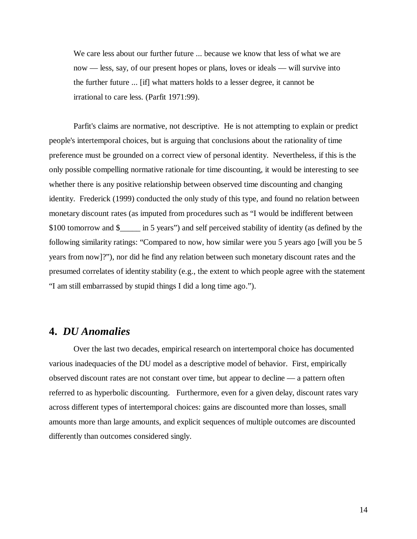We care less about our further future ... because we know that less of what we are now — less, say, of our present hopes or plans, loves or ideals — will survive into the further future ... [if] what matters holds to a lesser degree, it cannot be irrational to care less. (Parfit 1971:99).

Parfit's claims are normative, not descriptive. He is not attempting to explain or predict people's intertemporal choices, but is arguing that conclusions about the rationality of time preference must be grounded on a correct view of personal identity. Nevertheless, if this is the only possible compelling normative rationale for time discounting, it would be interesting to see whether there is any positive relationship between observed time discounting and changing identity. Frederick (1999) conducted the only study of this type, and found no relation between monetary discount rates (as imputed from procedures such as "I would be indifferent between \$100 tomorrow and \$\_\_\_\_\_ in 5 years") and self perceived stability of identity (as defined by the following similarity ratings: "Compared to now, how similar were you 5 years ago [will you be 5 years from now]?"), nor did he find any relation between such monetary discount rates and the presumed correlates of identity stability (e.g., the extent to which people agree with the statement "I am still embarrassed by stupid things I did a long time ago.").

## **4.** *DU Anomalies*

Over the last two decades, empirical research on intertemporal choice has documented various inadequacies of the DU model as a descriptive model of behavior. First, empirically observed discount rates are not constant over time, but appear to decline — a pattern often referred to as hyperbolic discounting. Furthermore, even for a given delay, discount rates vary across different types of intertemporal choices: gains are discounted more than losses, small amounts more than large amounts, and explicit sequences of multiple outcomes are discounted differently than outcomes considered singly.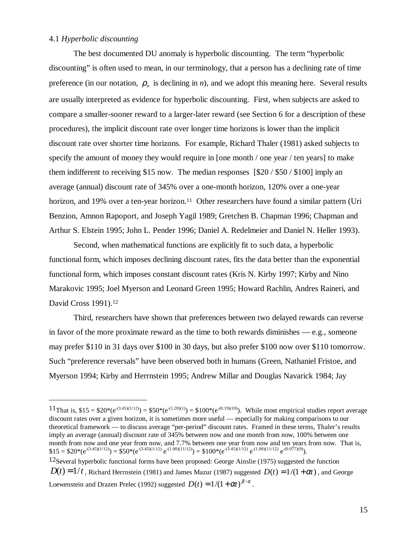## 4.1 *Hyperbolic discounting*

 $\overline{a}$ 

The best documented DU anomaly is hyperbolic discounting. The term "hyperbolic discounting" is often used to mean, in our terminology, that a person has a declining rate of time preference (in our notation,  $\rho_n$  is declining in *n*), and we adopt this meaning here. Several results are usually interpreted as evidence for hyperbolic discounting. First, when subjects are asked to compare a smaller-sooner reward to a larger-later reward (see Section 6 for a description of these procedures), the implicit discount rate over longer time horizons is lower than the implicit discount rate over shorter time horizons. For example, Richard Thaler (1981) asked subjects to specify the amount of money they would require in [one month / one year / ten years] to make them indifferent to receiving \$15 now. The median responses [\$20 / \$50 / \$100] imply an average (annual) discount rate of 345% over a one-month horizon, 120% over a one-year horizon, and 19% over a ten-year horizon.<sup>11</sup> Other researchers have found a similar pattern (Uri Benzion, Amnon Rapoport, and Joseph Yagil 1989; Gretchen B. Chapman 1996; Chapman and Arthur S. Elstein 1995; John L. Pender 1996; Daniel A. Redelmeier and Daniel N. Heller 1993).

Second, when mathematical functions are explicitly fit to such data, a hyperbolic functional form, which imposes declining discount rates, fits the data better than the exponential functional form, which imposes constant discount rates (Kris N. Kirby 1997; Kirby and Nino Marakovic 1995; Joel Myerson and Leonard Green 1995; Howard Rachlin, Andres Raineri, and David Cross 1991).12

Third, researchers have shown that preferences between two delayed rewards can reverse in favor of the more proximate reward as the time to both rewards diminishes  $-e.g.,$  someone may prefer \$110 in 31 days over \$100 in 30 days, but also prefer \$100 now over \$110 tomorrow. Such "preference reversals" have been observed both in humans (Green, Nathaniel Fristoe, and Myerson 1994; Kirby and Herrnstein 1995; Andrew Millar and Douglas Navarick 1984; Jay

<sup>11</sup>That is,  $$15 = $20*(e^{-(3.45)(1/12)}) = $50*(e^{-(1.20)(1)}) = $100*(e^{-(0.19)(10)})$ . While most empirical studies report average discount rates over a given horizon, it is sometimes more useful — especially for making comparisons to our theoretical framework — to discuss average "per-period" discount rates. Framed in these terms, Thaler's results imply an average (annual) discount rate of 345% between now and one month from now, 100% between one month from now and one year from now, and 7.7% between one year from now and ten years from now. That is,  $$15 = $20^*(e^{-(3.45)(1/12)}) = $50^*(e^{-(3.45)(1/12)} e^{-(1.00)(11/12)}) = $100^*(e^{-(3.45)(1/12)} e^{-(1.00)(11/12)} e^{-(0.077)(9)})$ .

<sup>&</sup>lt;sup>12</sup>Several hyperbolic functional forms have been proposed: George Ainslie (1975) suggested the function  $D(t) = 1/t$ , Richard Herrnstein (1981) and James Mazur (1987) suggested  $D(t) = 1/(1+\alpha t)$ , and George Loewenstein and Drazen Prelec (1992) suggested  $D(t) = 1/(1 + \alpha t)^{\beta/\alpha}$ .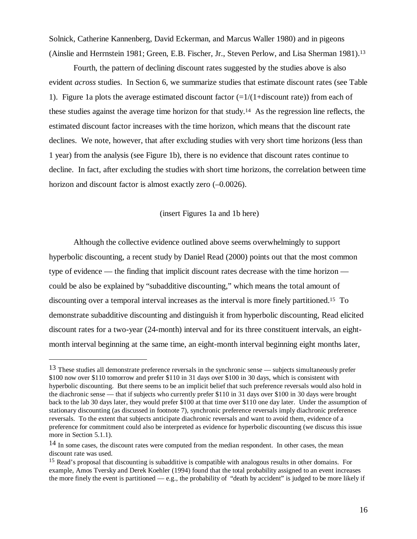Solnick, Catherine Kannenberg, David Eckerman, and Marcus Waller 1980) and in pigeons (Ainslie and Herrnstein 1981; Green, E.B. Fischer, Jr., Steven Perlow, and Lisa Sherman 1981).13

Fourth, the pattern of declining discount rates suggested by the studies above is also evident *across* studies. In Section 6, we summarize studies that estimate discount rates (see Table 1). Figure 1a plots the average estimated discount factor  $(=1/(1+distance))$  from each of these studies against the average time horizon for that study.14 As the regression line reflects, the estimated discount factor increases with the time horizon, which means that the discount rate declines. We note, however, that after excluding studies with very short time horizons (less than 1 year) from the analysis (see Figure 1b), there is no evidence that discount rates continue to decline. In fact, after excluding the studies with short time horizons, the correlation between time horizon and discount factor is almost exactly zero  $(-0.0026)$ .

## (insert Figures 1a and 1b here)

Although the collective evidence outlined above seems overwhelmingly to support hyperbolic discounting, a recent study by Daniel Read (2000) points out that the most common type of evidence — the finding that implicit discount rates decrease with the time horizon could be also be explained by "subadditive discounting," which means the total amount of discounting over a temporal interval increases as the interval is more finely partitioned.15 To demonstrate subadditive discounting and distinguish it from hyperbolic discounting, Read elicited discount rates for a two-year (24-month) interval and for its three constituent intervals, an eightmonth interval beginning at the same time, an eight-month interval beginning eight months later,

<sup>13</sup> These studies all demonstrate preference reversals in the synchronic sense — subjects simultaneously prefer \$100 now over \$110 tomorrow and prefer \$110 in 31 days over \$100 in 30 days, which is consistent with hyperbolic discounting. But there seems to be an implicit belief that such preference reversals would also hold in the diachronic sense — that if subjects who currently prefer \$110 in 31 days over \$100 in 30 days were brought back to the lab 30 days later, they would prefer \$100 at that time over \$110 one day later. Under the assumption of stationary discounting (as discussed in footnote 7), synchronic preference reversals imply diachronic preference reversals. To the extent that subjects anticipate diachronic reversals and want to avoid them, evidence of a preference for commitment could also be interpreted as evidence for hyperbolic discounting (we discuss this issue more in Section 5.1.1).

<sup>&</sup>lt;sup>14</sup> In some cases, the discount rates were computed from the median respondent. In other cases, the mean discount rate was used.

<sup>15</sup> Read's proposal that discounting is subadditive is compatible with analogous results in other domains. For example, Amos Tversky and Derek Koehler (1994) found that the total probability assigned to an event increases the more finely the event is partitioned — e.g., the probability of "death by accident" is judged to be more likely if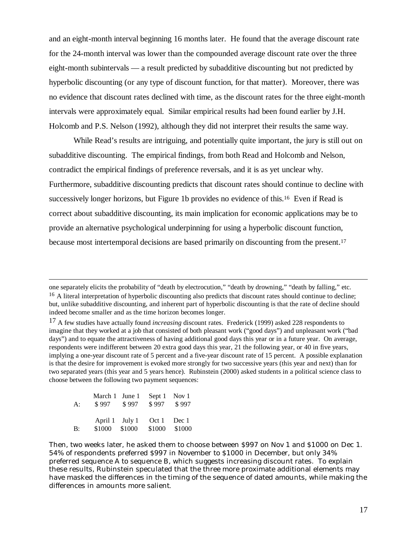and an eight-month interval beginning 16 months later. He found that the average discount rate for the 24-month interval was lower than the compounded average discount rate over the three eight-month subintervals — a result predicted by subadditive discounting but not predicted by hyperbolic discounting (or any type of discount function, for that matter). Moreover, there was no evidence that discount rates declined with time, as the discount rates for the three eight-month intervals were approximately equal. Similar empirical results had been found earlier by J.H. Holcomb and P.S. Nelson (1992), although they did not interpret their results the same way.

While Read's results are intriguing, and potentially quite important, the jury is still out on subadditive discounting. The empirical findings, from both Read and Holcomb and Nelson, contradict the empirical findings of preference reversals, and it is as yet unclear why. Furthermore, subadditive discounting predicts that discount rates should continue to decline with successively longer horizons, but Figure 1b provides no evidence of this.<sup>16</sup> Even if Read is correct about subadditive discounting, its main implication for economic applications may be to provide an alternative psychological underpinning for using a hyperbolic discount function, because most intertemporal decisions are based primarily on discounting from the present.17

<sup>17</sup> A few studies have actually found *increasing* discount rates. Frederick (1999) asked 228 respondents to imagine that they worked at a job that consisted of both pleasant work ("good days") and unpleasant work ("bad days") and to equate the attractiveness of having additional good days this year or in a future year. On average, respondents were indifferent between 20 extra good days this year, 21 the following year, or 40 in five years, implying a one-year discount rate of 5 percent and a five-year discount rate of 15 percent. A possible explanation is that the desire for improvement is evoked more strongly for two successive years (this year and next) than for two separated years (this year and 5 years hence). Rubinstein (2000) asked students in a political science class to choose between the following two payment sequences:

| A:             | March 1                  | June 1 | Sept 1          | Nov 1           |
|----------------|--------------------------|--------|-----------------|-----------------|
|                | \$997                    | \$997  | \$997           | \$997           |
| $\mathbf{B}$ : | April 1 July 1<br>\$1000 | \$1000 | Oct 1<br>\$1000 | Dec 1<br>\$1000 |

 $\overline{a}$ 

Then, two weeks later, he asked them to choose between \$997 on Nov 1 and \$1000 on Dec 1. 54% of respondents preferred \$997 in November to \$1000 in December, but only 34% preferred sequence A to sequence B, which suggests increasing discount rates. To explain these results, Rubinstein speculated that the three more proximate additional elements may have masked the differences in the timing of the sequence of dated amounts, while making the differences in amounts more salient.

one separately elicits the probability of "death by electrocution," "death by drowning," "death by falling," etc. <sup>16</sup> A literal interpretation of hyperbolic discounting also predicts that discount rates should continue to decline; but, unlike subadditive discounting, and inherent part of hyperbolic discounting is that the rate of decline should indeed become smaller and as the time horizon becomes longer.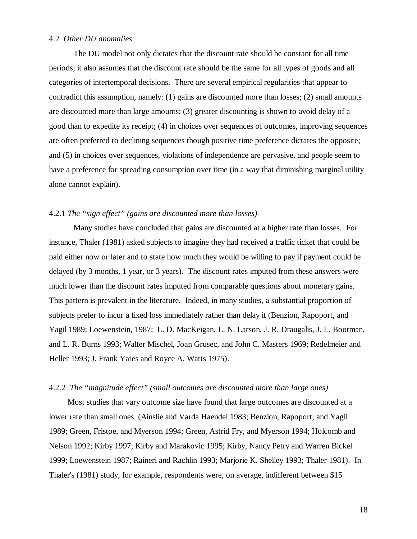## 4.2 *Other DU anomalies*

The DU model not only dictates that the discount rate should be constant for all time periods; it also assumes that the discount rate should be the same for all types of goods and all categories of intertemporal decisions. There are several empirical regularities that appear to contradict this assumption, namely: (1) gains are discounted more than losses; (2) small amounts are discounted more than large amounts; (3) greater discounting is shown to avoid delay of a good than to expedite its receipt; (4) in choices over sequences of outcomes, improving sequences are often preferred to declining sequences though positive time preference dictates the opposite; and (5) in choices over sequences, violations of independence are pervasive, and people seem to have a preference for spreading consumption over time (in a way that diminishing marginal utility alone cannot explain).

## 4.2.1 *The "sign effect" (gains are discounted more than losses)*

Many studies have concluded that gains are discounted at a higher rate than losses. For instance, Thaler (1981) asked subjects to imagine they had received a traffic ticket that could be paid either now or later and to state how much they would be willing to pay if payment could be delayed (by 3 months, 1 year, or 3 years). The discount rates imputed from these answers were much lower than the discount rates imputed from comparable questions about monetary gains. This pattern is prevalent in the literature. Indeed, in many studies, a substantial proportion of subjects prefer to incur a fixed loss immediately rather than delay it (Benzion, Rapoport, and Yagil 1989; Loewenstein, 1987; L. D. MacKeigan, L. N. Larson, J. R. Draugalis, J. L. Bootman, and L. R. Burns 1993; Walter Mischel, Joan Grusec, and John C. Masters 1969; Redelmeier and Heller 1993; J. Frank Yates and Royce A. Watts 1975).

#### 4.2.2 *The "magnitude effect" (small outcomes are discounted more than large ones)*

Most studies that vary outcome size have found that large outcomes are discounted at a lower rate than small ones (Ainslie and Varda Haendel 1983; Benzion, Rapoport, and Yagil 1989; Green, Fristoe, and Myerson 1994; Green, Astrid Fry, and Myerson 1994; Holcomb and Nelson 1992; Kirby 1997; Kirby and Marakovic 1995; Kirby, Nancy Petry and Warren Bickel 1999; Loewenstein 1987; Raineri and Rachlin 1993; Marjorie K. Shelley 1993; Thaler 1981). In Thaler's (1981) study, for example, respondents were, on average, indifferent between \$15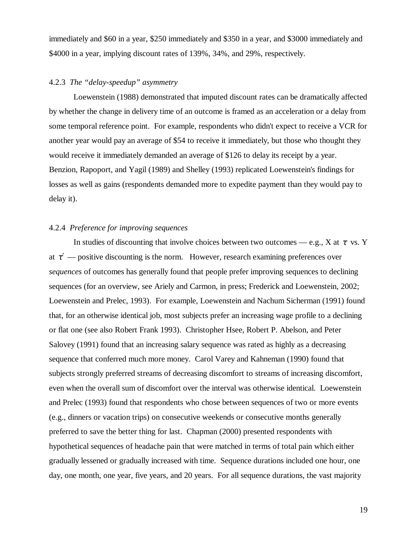immediately and \$60 in a year, \$250 immediately and \$350 in a year, and \$3000 immediately and \$4000 in a year, implying discount rates of 139%, 34%, and 29%, respectively.

## 4.2.3 *The "delay-speedup" asymmetry*

Loewenstein (1988) demonstrated that imputed discount rates can be dramatically affected by whether the change in delivery time of an outcome is framed as an acceleration or a delay from some temporal reference point. For example, respondents who didn't expect to receive a VCR for another year would pay an average of \$54 to receive it immediately, but those who thought they would receive it immediately demanded an average of \$126 to delay its receipt by a year. Benzion, Rapoport, and Yagil (1989) and Shelley (1993) replicated Loewenstein's findings for losses as well as gains (respondents demanded more to expedite payment than they would pay to delay it).

## 4.2.4 *Preference for improving sequences*

In studies of discounting that involve choices between two outcomes — e.g., X at  $\tau$  vs. Y at  $\tau'$  — positive discounting is the norm. However, research examining preferences over *sequences* of outcomes has generally found that people prefer improving sequences to declining sequences (for an overview, see Ariely and Carmon, in press; Frederick and Loewenstein, 2002; Loewenstein and Prelec, 1993). For example, Loewenstein and Nachum Sicherman (1991) found that, for an otherwise identical job, most subjects prefer an increasing wage profile to a declining or flat one (see also Robert Frank 1993). Christopher Hsee, Robert P. Abelson, and Peter Salovey (1991) found that an increasing salary sequence was rated as highly as a decreasing sequence that conferred much more money. Carol Varey and Kahneman (1990) found that subjects strongly preferred streams of decreasing discomfort to streams of increasing discomfort, even when the overall sum of discomfort over the interval was otherwise identical. Loewenstein and Prelec (1993) found that respondents who chose between sequences of two or more events (e.g., dinners or vacation trips) on consecutive weekends or consecutive months generally preferred to save the better thing for last. Chapman (2000) presented respondents with hypothetical sequences of headache pain that were matched in terms of total pain which either gradually lessened or gradually increased with time. Sequence durations included one hour, one day, one month, one year, five years, and 20 years. For all sequence durations, the vast majority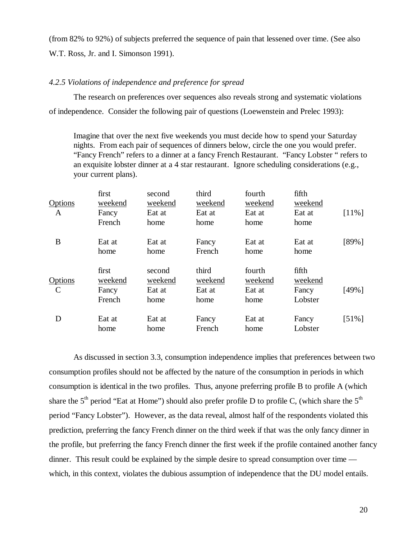(from 82% to 92%) of subjects preferred the sequence of pain that lessened over time. (See also W.T. Ross, Jr. and I. Simonson 1991).

## *4.2.5 Violations of independence and preference for spread*

The research on preferences over sequences also reveals strong and systematic violations of independence. Consider the following pair of questions (Loewenstein and Prelec 1993):

Imagine that over the next five weekends you must decide how to spend your Saturday nights. From each pair of sequences of dinners below, circle the one you would prefer. "Fancy French" refers to a dinner at a fancy French Restaurant. "Fancy Lobster " refers to an exquisite lobster dinner at a 4 star restaurant. Ignore scheduling considerations (e.g., your current plans).

| <b>Options</b><br>A            | first<br>weekend<br>Fancy<br>French | second<br>weekend<br>Eat at<br>home | third<br>weekend<br>Eat at<br>home | fourth<br>weekend<br>Eat at<br>home | fifth<br>weekend<br>Eat at<br>home   | $[11\%]$ |
|--------------------------------|-------------------------------------|-------------------------------------|------------------------------------|-------------------------------------|--------------------------------------|----------|
| B                              | Eat at<br>home                      | Eat at<br>home                      | Fancy<br>French                    | Eat at<br>home                      | Eat at<br>home                       | [89%]    |
| <b>Options</b><br>$\mathsf{C}$ | first<br>weekend<br>Fancy<br>French | second<br>weekend<br>Eat at<br>home | third<br>weekend<br>Eat at<br>home | fourth<br>weekend<br>Eat at<br>home | fifth<br>weekend<br>Fancy<br>Lobster | [49%]    |
| D                              | Eat at<br>home                      | Eat at<br>home                      | Fancy<br>French                    | Eat at<br>home                      | Fancy<br>Lobster                     | $[51\%]$ |

As discussed in section 3.3, consumption independence implies that preferences between two consumption profiles should not be affected by the nature of the consumption in periods in which consumption is identical in the two profiles. Thus, anyone preferring profile B to profile A (which share the  $5<sup>th</sup>$  period "Eat at Home") should also prefer profile D to profile C, (which share the  $5<sup>th</sup>$ period "Fancy Lobster"). However, as the data reveal, almost half of the respondents violated this prediction, preferring the fancy French dinner on the third week if that was the only fancy dinner in the profile, but preferring the fancy French dinner the first week if the profile contained another fancy dinner. This result could be explained by the simple desire to spread consumption over time which, in this context, violates the dubious assumption of independence that the DU model entails.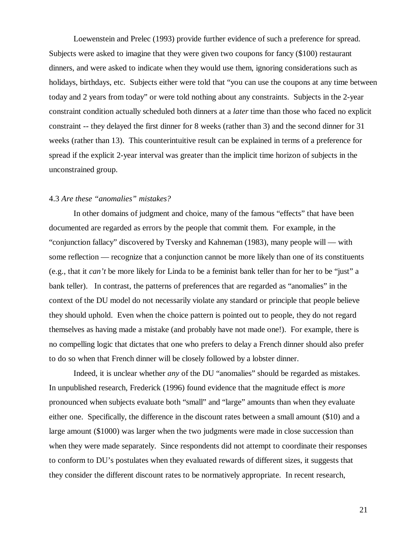Loewenstein and Prelec (1993) provide further evidence of such a preference for spread. Subjects were asked to imagine that they were given two coupons for fancy (\$100) restaurant dinners, and were asked to indicate when they would use them, ignoring considerations such as holidays, birthdays, etc. Subjects either were told that "you can use the coupons at any time between today and 2 years from today" or were told nothing about any constraints. Subjects in the 2-year constraint condition actually scheduled both dinners at a *later* time than those who faced no explicit constraint -- they delayed the first dinner for 8 weeks (rather than 3) and the second dinner for 31 weeks (rather than 13). This counterintuitive result can be explained in terms of a preference for spread if the explicit 2-year interval was greater than the implicit time horizon of subjects in the unconstrained group.

## 4.3 *Are these "anomalies" mistakes?*

In other domains of judgment and choice, many of the famous "effects" that have been documented are regarded as errors by the people that commit them. For example, in the "conjunction fallacy" discovered by Tversky and Kahneman (1983), many people will — with some reflection — recognize that a conjunction cannot be more likely than one of its constituents (e.g., that it *can't* be more likely for Linda to be a feminist bank teller than for her to be "just" a bank teller). In contrast, the patterns of preferences that are regarded as "anomalies" in the context of the DU model do not necessarily violate any standard or principle that people believe they should uphold. Even when the choice pattern is pointed out to people, they do not regard themselves as having made a mistake (and probably have not made one!). For example, there is no compelling logic that dictates that one who prefers to delay a French dinner should also prefer to do so when that French dinner will be closely followed by a lobster dinner.

Indeed, it is unclear whether *any* of the DU "anomalies" should be regarded as mistakes. In unpublished research, Frederick (1996) found evidence that the magnitude effect is *more* pronounced when subjects evaluate both "small" and "large" amounts than when they evaluate either one. Specifically, the difference in the discount rates between a small amount (\$10) and a large amount (\$1000) was larger when the two judgments were made in close succession than when they were made separately. Since respondents did not attempt to coordinate their responses to conform to DU's postulates when they evaluated rewards of different sizes, it suggests that they consider the different discount rates to be normatively appropriate. In recent research,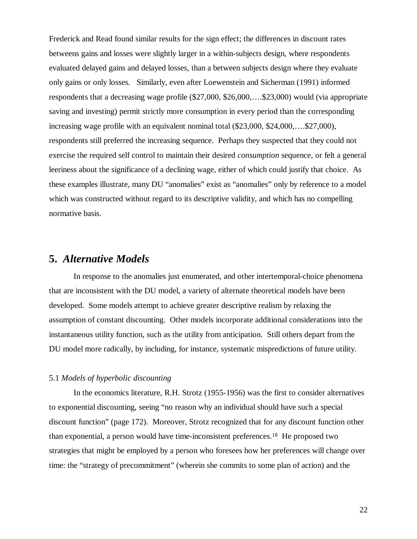Frederick and Read found similar results for the sign effect; the differences in discount rates betweens gains and losses were slightly larger in a within-subjects design, where respondents evaluated delayed gains and delayed losses, than a between subjects design where they evaluate only gains or only losses. Similarly, even after Loewenstein and Sicherman (1991) informed respondents that a decreasing wage profile (\$27,000, \$26,000,….\$23,000) would (via appropriate saving and investing) permit strictly more consumption in every period than the corresponding increasing wage profile with an equivalent nominal total (\$23,000, \$24,000,....\$27,000), respondents still preferred the increasing sequence. Perhaps they suspected that they could not exercise the required self control to maintain their desired *consumption* sequence, or felt a general leeriness about the significance of a declining wage, either of which could justify that choice. As these examples illustrate, many DU "anomalies" exist as "anomalies" only by reference to a model which was constructed without regard to its descriptive validity, and which has no compelling normative basis.

# **5.** *Alternative Models*

In response to the anomalies just enumerated, and other intertemporal-choice phenomena that are inconsistent with the DU model, a variety of alternate theoretical models have been developed. Some models attempt to achieve greater descriptive realism by relaxing the assumption of constant discounting. Other models incorporate additional considerations into the instantaneous utility function, such as the utility from anticipation. Still others depart from the DU model more radically, by including, for instance, systematic mispredictions of future utility.

## 5.1 *Models of hyperbolic discounting*

In the economics literature, R.H. Strotz (1955-1956) was the first to consider alternatives to exponential discounting, seeing "no reason why an individual should have such a special discount function" (page 172). Moreover, Strotz recognized that for any discount function other than exponential, a person would have time-inconsistent preferences.18 He proposed two strategies that might be employed by a person who foresees how her preferences will change over time: the "strategy of precommitment" (wherein she commits to some plan of action) and the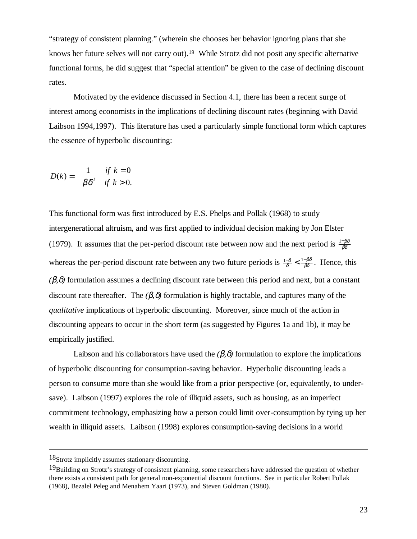"strategy of consistent planning." (wherein she chooses her behavior ignoring plans that she knows her future selves will not carry out).19 While Strotz did not posit any specific alternative functional forms, he did suggest that "special attention" be given to the case of declining discount rates.

Motivated by the evidence discussed in Section 4.1, there has been a recent surge of interest among economists in the implications of declining discount rates (beginning with David Laibson 1994,1997). This literature has used a particularly simple functional form which captures the essence of hyperbolic discounting:

$$
D(k) = \begin{cases} 1 & \text{if } k = 0 \\ \beta \delta^k & \text{if } k > 0. \end{cases}
$$

This functional form was first introduced by E.S. Phelps and Pollak (1968) to study intergenerational altruism, and was first applied to individual decision making by Jon Elster (1979). It assumes that the per-period discount rate between now and the next period is  $\frac{1-\beta\delta}{\beta\delta}$ whereas the per-period discount rate between any two future periods is  $\frac{1-\delta}{\delta} < \frac{1-\beta\delta}{\beta\delta}$ . Hence, this *(*β*,*δ*)* formulation assumes a declining discount rate between this period and next, but a constant discount rate thereafter. The  $(\beta, \delta)$  formulation is highly tractable, and captures many of the *qualitative* implications of hyperbolic discounting. Moreover, since much of the action in discounting appears to occur in the short term (as suggested by Figures 1a and 1b), it may be empirically justified.

Laibson and his collaborators have used the  $(\beta, \delta)$  formulation to explore the implications of hyperbolic discounting for consumption-saving behavior. Hyperbolic discounting leads a person to consume more than she would like from a prior perspective (or, equivalently, to undersave). Laibson (1997) explores the role of illiquid assets, such as housing, as an imperfect commitment technology, emphasizing how a person could limit over-consumption by tying up her wealth in illiquid assets. Laibson (1998) explores consumption-saving decisions in a world

<sup>18</sup>Strotz implicitly assumes stationary discounting.

<sup>&</sup>lt;sup>19</sup>Building on Strotz's strategy of consistent planning, some researchers have addressed the question of whether there exists a consistent path for general non-exponential discount functions. See in particular Robert Pollak (1968), Bezalel Peleg and Menahem Yaari (1973), and Steven Goldman (1980).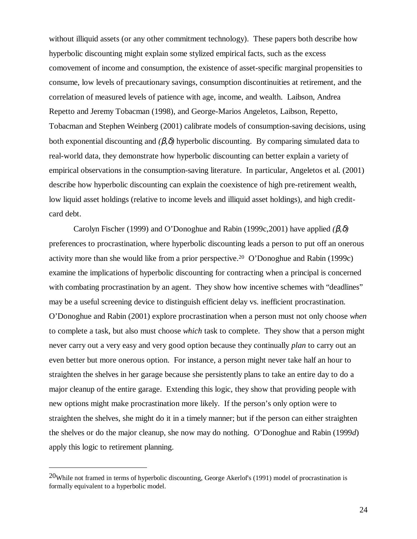without illiquid assets (or any other commitment technology). These papers both describe how hyperbolic discounting might explain some stylized empirical facts, such as the excess comovement of income and consumption, the existence of asset-specific marginal propensities to consume, low levels of precautionary savings, consumption discontinuities at retirement, and the correlation of measured levels of patience with age, income, and wealth. Laibson, Andrea Repetto and Jeremy Tobacman (1998), and George-Marios Angeletos, Laibson, Repetto, Tobacman and Stephen Weinberg (2001) calibrate models of consumption-saving decisions, using both exponential discounting and *(*β*,*δ*)* hyperbolic discounting. By comparing simulated data to real-world data, they demonstrate how hyperbolic discounting can better explain a variety of empirical observations in the consumption-saving literature. In particular, Angeletos et al. (2001) describe how hyperbolic discounting can explain the coexistence of high pre-retirement wealth, low liquid asset holdings (relative to income levels and illiquid asset holdings), and high creditcard debt.

Carolyn Fischer (1999) and O'Donoghue and Rabin (1999c,2001) have applied *(*β*,*δ*)* preferences to procrastination, where hyperbolic discounting leads a person to put off an onerous activity more than she would like from a prior perspective.20 O'Donoghue and Rabin (1999c) examine the implications of hyperbolic discounting for contracting when a principal is concerned with combating procrastination by an agent. They show how incentive schemes with "deadlines" may be a useful screening device to distinguish efficient delay vs. inefficient procrastination. O'Donoghue and Rabin (2001) explore procrastination when a person must not only choose *when* to complete a task, but also must choose *which* task to complete. They show that a person might never carry out a very easy and very good option because they continually *plan* to carry out an even better but more onerous option. For instance, a person might never take half an hour to straighten the shelves in her garage because she persistently plans to take an entire day to do a major cleanup of the entire garage. Extending this logic, they show that providing people with new options might make procrastination more likely. If the person's only option were to straighten the shelves, she might do it in a timely manner; but if the person can either straighten the shelves or do the major cleanup, she now may do nothing. O'Donoghue and Rabin (1999*d*) apply this logic to retirement planning.

 $20$ While not framed in terms of hyperbolic discounting, George Akerlof's (1991) model of procrastination is formally equivalent to a hyperbolic model.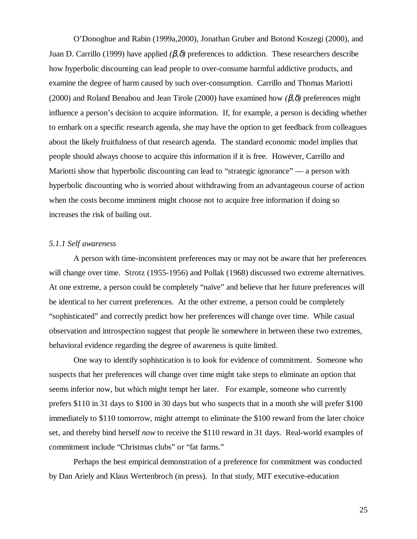O'Donoghue and Rabin (1999a,2000), Jonathan Gruber and Botond Koszegi (2000), and Juan D. Carrillo (1999) have applied *(*β*,*δ*)* preferences to addiction. These researchers describe how hyperbolic discounting can lead people to over-consume harmful addictive products, and examine the degree of harm caused by such over-consumption. Carrillo and Thomas Mariotti (2000) and Roland Benabou and Jean Tirole (2000) have examined how *(*β*,*δ*)* preferences might influence a person's decision to acquire information. If, for example, a person is deciding whether to embark on a specific research agenda, she may have the option to get feedback from colleagues about the likely fruitfulness of that research agenda. The standard economic model implies that people should always choose to acquire this information if it is free. However, Carrillo and Mariotti show that hyperbolic discounting can lead to "strategic ignorance" — a person with hyperbolic discounting who is worried about withdrawing from an advantageous course of action when the costs become imminent might choose not to acquire free information if doing so increases the risk of bailing out.

## *5.1.1 Self awareness*

A person with time-inconsistent preferences may or may not be aware that her preferences will change over time. Strotz (1955-1956) and Pollak (1968) discussed two extreme alternatives. At one extreme, a person could be completely "naïve" and believe that her future preferences will be identical to her current preferences. At the other extreme, a person could be completely "sophisticated" and correctly predict how her preferences will change over time. While casual observation and introspection suggest that people lie somewhere in between these two extremes, behavioral evidence regarding the degree of awareness is quite limited.

One way to identify sophistication is to look for evidence of commitment. Someone who suspects that her preferences will change over time might take steps to eliminate an option that seems inferior now, but which might tempt her later. For example, someone who currently prefers \$110 in 31 days to \$100 in 30 days but who suspects that in a month she will prefer \$100 immediately to \$110 tomorrow, might attempt to eliminate the \$100 reward from the later choice set, and thereby bind herself *now* to receive the \$110 reward in 31 days. Real-world examples of commitment include "Christmas clubs" or "fat farms."

Perhaps the best empirical demonstration of a preference for commitment was conducted by Dan Ariely and Klaus Wertenbroch (in press). In that study, MIT executive-education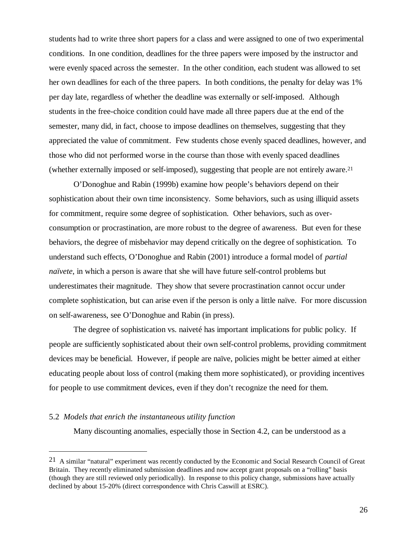students had to write three short papers for a class and were assigned to one of two experimental conditions. In one condition, deadlines for the three papers were imposed by the instructor and were evenly spaced across the semester. In the other condition, each student was allowed to set her own deadlines for each of the three papers. In both conditions, the penalty for delay was 1% per day late, regardless of whether the deadline was externally or self-imposed. Although students in the free-choice condition could have made all three papers due at the end of the semester, many did, in fact, choose to impose deadlines on themselves, suggesting that they appreciated the value of commitment. Few students chose evenly spaced deadlines, however, and those who did not performed worse in the course than those with evenly spaced deadlines (whether externally imposed or self-imposed), suggesting that people are not entirely aware.21

O'Donoghue and Rabin (1999b) examine how people's behaviors depend on their sophistication about their own time inconsistency. Some behaviors, such as using illiquid assets for commitment, require some degree of sophistication. Other behaviors, such as overconsumption or procrastination, are more robust to the degree of awareness. But even for these behaviors, the degree of misbehavior may depend critically on the degree of sophistication. To understand such effects, O'Donoghue and Rabin (2001) introduce a formal model of *partial naïvete*, in which a person is aware that she will have future self-control problems but underestimates their magnitude. They show that severe procrastination cannot occur under complete sophistication, but can arise even if the person is only a little naïve. For more discussion on self-awareness, see O'Donoghue and Rabin (in press).

The degree of sophistication vs. naiveté has important implications for public policy. If people are sufficiently sophisticated about their own self-control problems, providing commitment devices may be beneficial. However, if people are naïve, policies might be better aimed at either educating people about loss of control (making them more sophisticated), or providing incentives for people to use commitment devices, even if they don't recognize the need for them.

## 5.2 *Models that enrich the instantaneous utility function*

 $\overline{a}$ 

Many discounting anomalies, especially those in Section 4.2, can be understood as a

 $21$  A similar "natural" experiment was recently conducted by the Economic and Social Research Council of Great Britain. They recently eliminated submission deadlines and now accept grant proposals on a "rolling" basis (though they are still reviewed only periodically). In response to this policy change, submissions have actually declined by about 15-20% (direct correspondence with Chris Caswill at ESRC).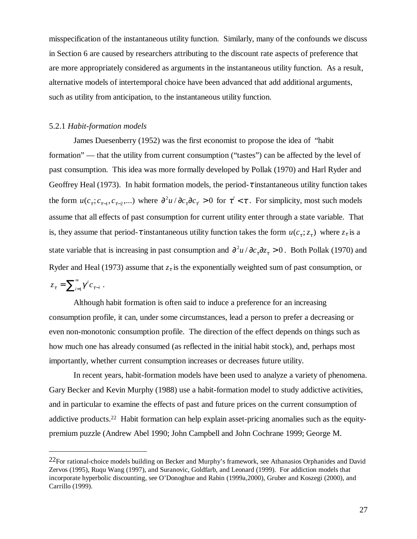misspecification of the instantaneous utility function. Similarly, many of the confounds we discuss in Section 6 are caused by researchers attributing to the discount rate aspects of preference that are more appropriately considered as arguments in the instantaneous utility function. As a result, alternative models of intertemporal choice have been advanced that add additional arguments, such as utility from anticipation, to the instantaneous utility function.

## 5.2.1 *Habit-formation models*

James Duesenberry (1952) was the first economist to propose the idea of "habit formation" — that the utility from current consumption ("tastes") can be affected by the level of past consumption. This idea was more formally developed by Pollak (1970) and Harl Ryder and Geoffrey Heal (1973). In habit formation models, the period- $\tau$  instantaneous utility function takes the form  $u(c_{\tau}; c_{\tau-1}, c_{\tau-2},...)$  where  $\frac{\partial^2 u}{\partial c_{\tau} \partial c_{\tau}} > 0$  for  $\tau' < \tau$ . For simplicity, most such models assume that all effects of past consumption for current utility enter through a state variable. That is, they assume that period- $\tau$  instantaneous utility function takes the form  $u(c_{\tau}; z_{\tau})$  where  $z_{\tau}$  is a state variable that is increasing in past consumption and  $\frac{\partial^2 u}{\partial c_x \partial z_x} > 0$ . Both Pollak (1970) and Ryder and Heal (1973) assume that  $z<sub>\tau</sub>$  is the exponentially weighted sum of past consumption, or

$$
z_{\tau} = \sum_{i=1}^{\infty} \gamma^{i} c_{\tau - i} .
$$

 $\overline{a}$ 

Although habit formation is often said to induce a preference for an increasing consumption profile, it can, under some circumstances, lead a person to prefer a decreasing or even non-monotonic consumption profile. The direction of the effect depends on things such as how much one has already consumed (as reflected in the initial habit stock), and, perhaps most importantly, whether current consumption increases or decreases future utility.

In recent years, habit-formation models have been used to analyze a variety of phenomena. Gary Becker and Kevin Murphy (1988) use a habit-formation model to study addictive activities, and in particular to examine the effects of past and future prices on the current consumption of addictive products.22 Habit formation can help explain asset-pricing anomalies such as the equitypremium puzzle (Andrew Abel 1990; John Campbell and John Cochrane 1999; George M.

 $^{22}$ For rational-choice models building on Becker and Murphy's framework, see Athanasios Orphanides and David Zervos (1995), Ruqu Wang (1997), and Suranovic, Goldfarb, and Leonard (1999). For addiction models that incorporate hyperbolic discounting, see O'Donoghue and Rabin (1999a,2000), Gruber and Koszegi (2000), and Carrillo (1999).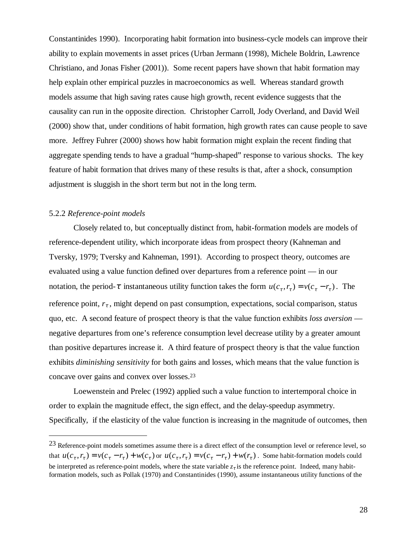Constantinides 1990). Incorporating habit formation into business-cycle models can improve their ability to explain movements in asset prices (Urban Jermann (1998), Michele Boldrin, Lawrence Christiano, and Jonas Fisher (2001)). Some recent papers have shown that habit formation may help explain other empirical puzzles in macroeconomics as well. Whereas standard growth models assume that high saving rates cause high growth, recent evidence suggests that the causality can run in the opposite direction. Christopher Carroll, Jody Overland, and David Weil (2000) show that, under conditions of habit formation, high growth rates can cause people to save more. Jeffrey Fuhrer (2000) shows how habit formation might explain the recent finding that aggregate spending tends to have a gradual "hump-shaped" response to various shocks. The key feature of habit formation that drives many of these results is that, after a shock, consumption adjustment is sluggish in the short term but not in the long term.

## 5.2.2 *Reference-point models*

 $\overline{a}$ 

Closely related to, but conceptually distinct from, habit-formation models are models of reference-dependent utility, which incorporate ideas from prospect theory (Kahneman and Tversky, 1979; Tversky and Kahneman, 1991). According to prospect theory, outcomes are evaluated using a value function defined over departures from a reference point — in our notation, the period- $\tau$  instantaneous utility function takes the form  $u(c_\tau, r_\tau) = v(c_\tau - r_\tau)$ . The reference point,  $r_{\tau}$ , might depend on past consumption, expectations, social comparison, status quo, etc. A second feature of prospect theory is that the value function exhibits *loss aversion* negative departures from one's reference consumption level decrease utility by a greater amount than positive departures increase it. A third feature of prospect theory is that the value function exhibits *diminishing sensitivity* for both gains and losses, which means that the value function is concave over gains and convex over losses.23

Loewenstein and Prelec (1992) applied such a value function to intertemporal choice in order to explain the magnitude effect, the sign effect, and the delay-speedup asymmetry. Specifically, if the elasticity of the value function is increasing in the magnitude of outcomes, then

<sup>&</sup>lt;sup>23</sup> Reference-point models sometimes assume there is a direct effect of the consumption level or reference level, so that  $u(c_\tau, r_\tau) = v(c_\tau - r_\tau) + w(c_\tau)$  or  $u(c_\tau, r_\tau) = v(c_\tau - r_\tau) + w(r_\tau)$ . Some habit-formation models could be interpreted as reference-point models, where the state variable  $z<sub>\tau</sub>$  is the reference point. Indeed, many habitformation models, such as Pollak (1970) and Constantinides (1990), assume instantaneous utility functions of the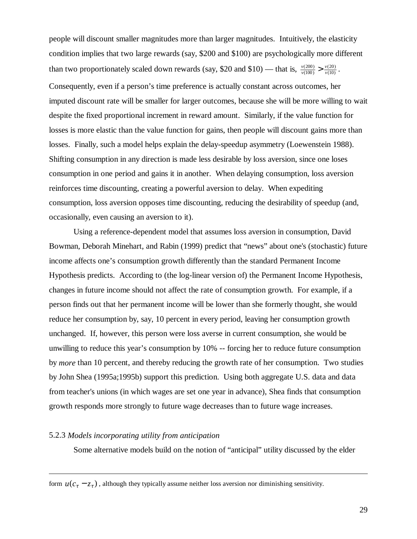people will discount smaller magnitudes more than larger magnitudes. Intuitively, the elasticity condition implies that two large rewards (say, \$200 and \$100) are psychologically more different than two proportionately scaled down rewards (say, \$20 and \$10) — that is,  $\frac{v(200)}{v(100)} > \frac{v(20)}{v(10)}$ (100) (200) *v v*  $\frac{v(200)}{v(100)}$  >  $\frac{v(20)}{v(10)}$ . Consequently, even if a person's time preference is actually constant across outcomes, her imputed discount rate will be smaller for larger outcomes, because she will be more willing to wait despite the fixed proportional increment in reward amount. Similarly, if the value function for losses is more elastic than the value function for gains, then people will discount gains more than losses. Finally, such a model helps explain the delay-speedup asymmetry (Loewenstein 1988). Shifting consumption in any direction is made less desirable by loss aversion, since one loses consumption in one period and gains it in another. When delaying consumption, loss aversion reinforces time discounting, creating a powerful aversion to delay. When expediting consumption, loss aversion opposes time discounting, reducing the desirability of speedup (and, occasionally, even causing an aversion to it).

Using a reference-dependent model that assumes loss aversion in consumption, David Bowman, Deborah Minehart, and Rabin (1999) predict that "news" about one's (stochastic) future income affects one's consumption growth differently than the standard Permanent Income Hypothesis predicts. According to (the log-linear version of) the Permanent Income Hypothesis, changes in future income should not affect the rate of consumption growth. For example, if a person finds out that her permanent income will be lower than she formerly thought, she would reduce her consumption by, say, 10 percent in every period, leaving her consumption growth unchanged. If, however, this person were loss averse in current consumption, she would be unwilling to reduce this year's consumption by 10% -- forcing her to reduce future consumption by *more* than 10 percent, and thereby reducing the growth rate of her consumption. Two studies by John Shea (1995a;1995b) support this prediction. Using both aggregate U.S. data and data from teacher's unions (in which wages are set one year in advance), Shea finds that consumption growth responds more strongly to future wage decreases than to future wage increases.

## 5.2.3 *Models incorporating utility from anticipation*

 $\overline{a}$ 

Some alternative models build on the notion of "anticipal" utility discussed by the elder

form  $u ( c<sub>\tau</sub> - z<sub>\tau</sub> )$ , although they typically assume neither loss aversion nor diminishing sensitivity.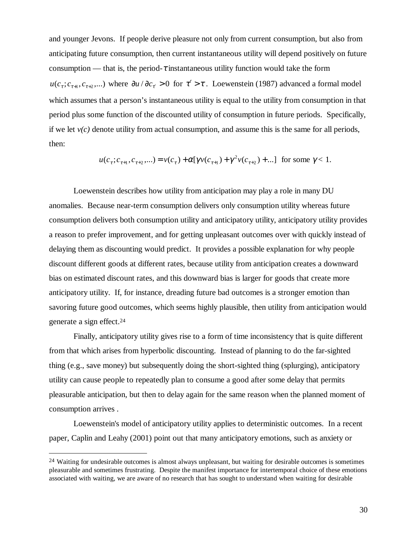and younger Jevons. If people derive pleasure not only from current consumption, but also from anticipating future consumption, then current instantaneous utility will depend positively on future consumption — that is, the period- $\tau$  instantaneous utility function would take the form  $u(c_{\tau}; c_{\tau+1}, c_{\tau+2},...)$  where  $\partial u / \partial c_{\tau} > 0$  for  $\tau' > \tau$ . Loewenstein (1987) advanced a formal model which assumes that a person's instantaneous utility is equal to the utility from consumption in that period plus some function of the discounted utility of consumption in future periods. Specifically, if we let  $v(c)$  denote utility from actual consumption, and assume this is the same for all periods, then:

$$
u(c_{\tau}; c_{\tau+1}, c_{\tau+2}, \ldots) = v(c_{\tau}) + \alpha [\gamma v(c_{\tau+1}) + \gamma^2 v(c_{\tau+2}) + \ldots] \text{ for some } \gamma < 1.
$$

Loewenstein describes how utility from anticipation may play a role in many DU anomalies. Because near-term consumption delivers only consumption utility whereas future consumption delivers both consumption utility and anticipatory utility, anticipatory utility provides a reason to prefer improvement, and for getting unpleasant outcomes over with quickly instead of delaying them as discounting would predict. It provides a possible explanation for why people discount different goods at different rates, because utility from anticipation creates a downward bias on estimated discount rates, and this downward bias is larger for goods that create more anticipatory utility. If, for instance, dreading future bad outcomes is a stronger emotion than savoring future good outcomes, which seems highly plausible, then utility from anticipation would generate a sign effect.24

Finally, anticipatory utility gives rise to a form of time inconsistency that is quite different from that which arises from hyperbolic discounting. Instead of planning to do the far-sighted thing (e.g., save money) but subsequently doing the short-sighted thing (splurging), anticipatory utility can cause people to repeatedly plan to consume a good after some delay that permits pleasurable anticipation, but then to delay again for the same reason when the planned moment of consumption arrives .

Loewenstein's model of anticipatory utility applies to deterministic outcomes. In a recent paper, Caplin and Leahy (2001) point out that many anticipatory emotions, such as anxiety or

 $^{24}$  Waiting for undesirable outcomes is almost always unpleasant, but waiting for desirable outcomes is sometimes pleasurable and sometimes frustrating. Despite the manifest importance for intertemporal choice of these emotions associated with waiting, we are aware of no research that has sought to understand when waiting for desirable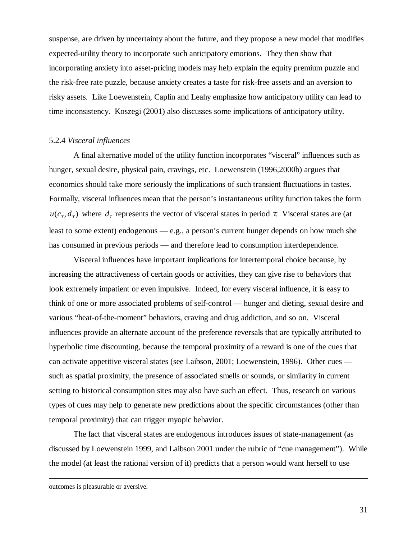suspense, are driven by uncertainty about the future, and they propose a new model that modifies expected-utility theory to incorporate such anticipatory emotions. They then show that incorporating anxiety into asset-pricing models may help explain the equity premium puzzle and the risk-free rate puzzle, because anxiety creates a taste for risk-free assets and an aversion to risky assets. Like Loewenstein, Caplin and Leahy emphasize how anticipatory utility can lead to time inconsistency. Koszegi (2001) also discusses some implications of anticipatory utility.

## 5.2.4 *Visceral influences*

A final alternative model of the utility function incorporates "visceral" influences such as hunger, sexual desire, physical pain, cravings, etc. Loewenstein (1996,2000b) argues that economics should take more seriously the implications of such transient fluctuations in tastes. Formally, visceral influences mean that the person's instantaneous utility function takes the form  $u(c_r, d_r)$  where  $d_r$  represents the vector of visceral states in period  $\tau$ . Visceral states are (at least to some extent) endogenous — e.g., a person's current hunger depends on how much she has consumed in previous periods — and therefore lead to consumption interdependence.

Visceral influences have important implications for intertemporal choice because, by increasing the attractiveness of certain goods or activities, they can give rise to behaviors that look extremely impatient or even impulsive. Indeed, for every visceral influence, it is easy to think of one or more associated problems of self-control — hunger and dieting, sexual desire and various "heat-of-the-moment" behaviors, craving and drug addiction, and so on. Visceral influences provide an alternate account of the preference reversals that are typically attributed to hyperbolic time discounting, because the temporal proximity of a reward is one of the cues that can activate appetitive visceral states (see Laibson, 2001; Loewenstein, 1996). Other cues such as spatial proximity, the presence of associated smells or sounds, or similarity in current setting to historical consumption sites may also have such an effect. Thus, research on various types of cues may help to generate new predictions about the specific circumstances (other than temporal proximity) that can trigger myopic behavior.

The fact that visceral states are endogenous introduces issues of state-management (as discussed by Loewenstein 1999, and Laibson 2001 under the rubric of "cue management"). While the model (at least the rational version of it) predicts that a person would want herself to use

outcomes is pleasurable or aversive.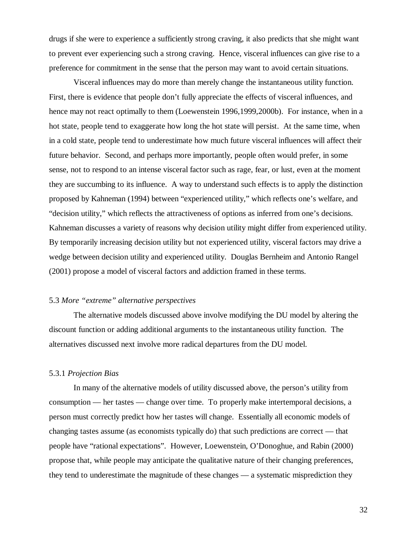drugs if she were to experience a sufficiently strong craving, it also predicts that she might want to prevent ever experiencing such a strong craving. Hence, visceral influences can give rise to a preference for commitment in the sense that the person may want to avoid certain situations.

Visceral influences may do more than merely change the instantaneous utility function. First, there is evidence that people don't fully appreciate the effects of visceral influences, and hence may not react optimally to them (Loewenstein 1996,1999,2000b). For instance, when in a hot state, people tend to exaggerate how long the hot state will persist. At the same time, when in a cold state, people tend to underestimate how much future visceral influences will affect their future behavior. Second, and perhaps more importantly, people often would prefer, in some sense, not to respond to an intense visceral factor such as rage, fear, or lust, even at the moment they are succumbing to its influence. A way to understand such effects is to apply the distinction proposed by Kahneman (1994) between "experienced utility," which reflects one's welfare, and "decision utility," which reflects the attractiveness of options as inferred from one's decisions. Kahneman discusses a variety of reasons why decision utility might differ from experienced utility. By temporarily increasing decision utility but not experienced utility, visceral factors may drive a wedge between decision utility and experienced utility. Douglas Bernheim and Antonio Rangel (2001) propose a model of visceral factors and addiction framed in these terms.

## 5.3 *More "extreme" alternative perspectives*

The alternative models discussed above involve modifying the DU model by altering the discount function or adding additional arguments to the instantaneous utility function. The alternatives discussed next involve more radical departures from the DU model.

#### 5.3.1 *Projection Bias*

In many of the alternative models of utility discussed above, the person's utility from consumption — her tastes — change over time. To properly make intertemporal decisions, a person must correctly predict how her tastes will change. Essentially all economic models of changing tastes assume (as economists typically do) that such predictions are correct — that people have "rational expectations". However, Loewenstein, O'Donoghue, and Rabin (2000) propose that, while people may anticipate the qualitative nature of their changing preferences, they tend to underestimate the magnitude of these changes — a systematic misprediction they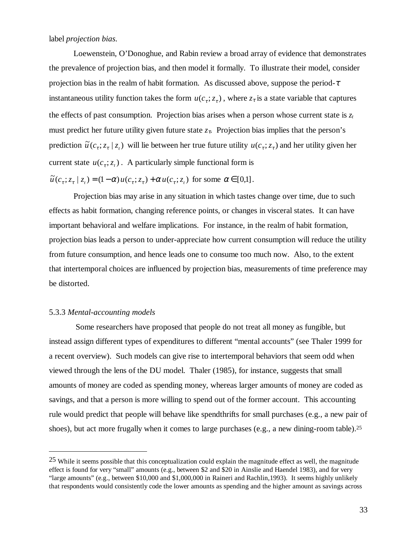## label *projection bias*.

Loewenstein, O'Donoghue, and Rabin review a broad array of evidence that demonstrates the prevalence of projection bias, and then model it formally. To illustrate their model, consider projection bias in the realm of habit formation. As discussed above, suppose the period- $\tau$ instantaneous utility function takes the form  $u(c_r; z_r)$ , where  $z_r$  is a state variable that captures the effects of past consumption. Projection bias arises when a person whose current state is  $z_t$ must predict her future utility given future state  $z<sub>\tau</sub>$ . Projection bias implies that the person's prediction  $\tilde{u}(c_{\tau}; z_{\tau} | z_{\tau})$  will lie between her true future utility  $u(c_{\tau}; z_{\tau})$  and her utility given her current state  $u(c_{\tau}; z_{\tau})$ . A particularly simple functional form is

 $\tilde{u}(c_{\tau}; z_{\tau} | z_{\tau}) = (1 - \alpha) u(c_{\tau}; z_{\tau}) + \alpha u(c_{\tau}; z_{\tau})$  for some  $\alpha \in [0,1]$ .

Projection bias may arise in any situation in which tastes change over time, due to such effects as habit formation, changing reference points, or changes in visceral states. It can have important behavioral and welfare implications. For instance, in the realm of habit formation, projection bias leads a person to under-appreciate how current consumption will reduce the utility from future consumption, and hence leads one to consume too much now. Also, to the extent that intertemporal choices are influenced by projection bias, measurements of time preference may be distorted.

## 5.3.3 *Mental-accounting models*

 $\overline{a}$ 

 Some researchers have proposed that people do not treat all money as fungible, but instead assign different types of expenditures to different "mental accounts" (see Thaler 1999 for a recent overview). Such models can give rise to intertemporal behaviors that seem odd when viewed through the lens of the DU model. Thaler (1985), for instance, suggests that small amounts of money are coded as spending money, whereas larger amounts of money are coded as savings, and that a person is more willing to spend out of the former account. This accounting rule would predict that people will behave like spendthrifts for small purchases (e.g., a new pair of shoes), but act more frugally when it comes to large purchases (e.g., a new dining-room table).25

 $^{25}$  While it seems possible that this conceptualization could explain the magnitude effect as well, the magnitude effect is found for very "small" amounts (e.g., between \$2 and \$20 in Ainslie and Haendel 1983), and for very "large amounts" (e.g., between \$10,000 and \$1,000,000 in Raineri and Rachlin,1993). It seems highly unlikely that respondents would consistently code the lower amounts as spending and the higher amount as savings across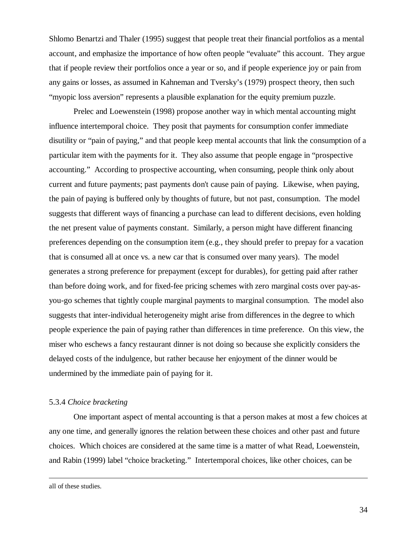Shlomo Benartzi and Thaler (1995) suggest that people treat their financial portfolios as a mental account, and emphasize the importance of how often people "evaluate" this account. They argue that if people review their portfolios once a year or so, and if people experience joy or pain from any gains or losses, as assumed in Kahneman and Tversky's (1979) prospect theory, then such "myopic loss aversion" represents a plausible explanation for the equity premium puzzle.

Prelec and Loewenstein (1998) propose another way in which mental accounting might influence intertemporal choice. They posit that payments for consumption confer immediate disutility or "pain of paying," and that people keep mental accounts that link the consumption of a particular item with the payments for it. They also assume that people engage in "prospective accounting." According to prospective accounting, when consuming, people think only about current and future payments; past payments don't cause pain of paying. Likewise, when paying, the pain of paying is buffered only by thoughts of future, but not past, consumption. The model suggests that different ways of financing a purchase can lead to different decisions, even holding the net present value of payments constant. Similarly, a person might have different financing preferences depending on the consumption item (e.g., they should prefer to prepay for a vacation that is consumed all at once vs. a new car that is consumed over many years). The model generates a strong preference for prepayment (except for durables), for getting paid after rather than before doing work, and for fixed-fee pricing schemes with zero marginal costs over pay-asyou-go schemes that tightly couple marginal payments to marginal consumption. The model also suggests that inter-individual heterogeneity might arise from differences in the degree to which people experience the pain of paying rather than differences in time preference. On this view, the miser who eschews a fancy restaurant dinner is not doing so because she explicitly considers the delayed costs of the indulgence, but rather because her enjoyment of the dinner would be undermined by the immediate pain of paying for it.

#### 5.3.4 *Choice bracketing*

One important aspect of mental accounting is that a person makes at most a few choices at any one time, and generally ignores the relation between these choices and other past and future choices. Which choices are considered at the same time is a matter of what Read, Loewenstein, and Rabin (1999) label "choice bracketing." Intertemporal choices, like other choices, can be

all of these studies.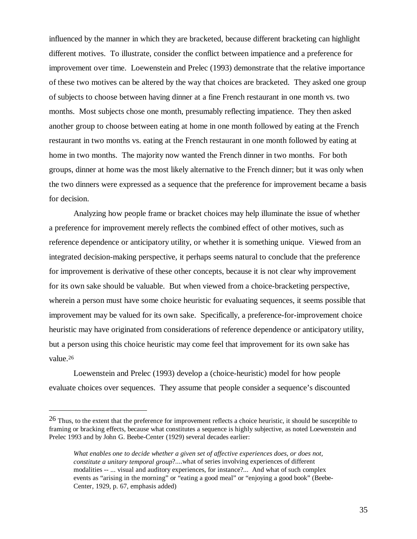influenced by the manner in which they are bracketed, because different bracketing can highlight different motives. To illustrate, consider the conflict between impatience and a preference for improvement over time. Loewenstein and Prelec (1993) demonstrate that the relative importance of these two motives can be altered by the way that choices are bracketed. They asked one group of subjects to choose between having dinner at a fine French restaurant in one month vs. two months. Most subjects chose one month, presumably reflecting impatience. They then asked another group to choose between eating at home in one month followed by eating at the French restaurant in two months vs. eating at the French restaurant in one month followed by eating at home in two months. The majority now wanted the French dinner in two months. For both groups, dinner at home was the most likely alternative to the French dinner; but it was only when the two dinners were expressed as a sequence that the preference for improvement became a basis for decision.

Analyzing how people frame or bracket choices may help illuminate the issue of whether a preference for improvement merely reflects the combined effect of other motives, such as reference dependence or anticipatory utility, or whether it is something unique. Viewed from an integrated decision-making perspective, it perhaps seems natural to conclude that the preference for improvement is derivative of these other concepts, because it is not clear why improvement for its own sake should be valuable. But when viewed from a choice-bracketing perspective, wherein a person must have some choice heuristic for evaluating sequences, it seems possible that improvement may be valued for its own sake. Specifically, a preference-for-improvement choice heuristic may have originated from considerations of reference dependence or anticipatory utility, but a person using this choice heuristic may come feel that improvement for its own sake has value.26

Loewenstein and Prelec (1993) develop a (choice-heuristic) model for how people evaluate choices over sequences. They assume that people consider a sequence's discounted

<sup>&</sup>lt;sup>26</sup> Thus, to the extent that the preference for improvement reflects a choice heuristic, it should be susceptible to framing or bracking effects, because what constitutes a sequence is highly subjective, as noted Loewenstein and Prelec 1993 and by John G. Beebe-Center (1929) several decades earlier:

*What enables one to decide whether a given set of affective experiences does, or does not, constitute a unitary temporal group*?....what of series involving experiences of different modalities -- ... visual and auditory experiences, for instance?... And what of such complex events as "arising in the morning" or "eating a good meal" or "enjoying a good book" (Beebe-Center, 1929, p. 67, emphasis added)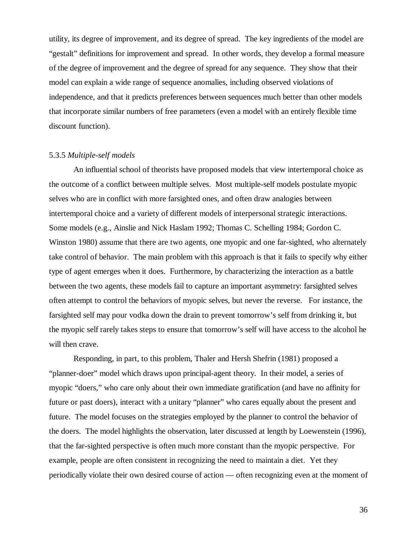utility, its degree of improvement, and its degree of spread. The key ingredients of the model are "gestalt" definitions for improvement and spread. In other words, they develop a formal measure of the degree of improvement and the degree of spread for any sequence. They show that their model can explain a wide range of sequence anomalies, including observed violations of independence, and that it predicts preferences between sequences much better than other models that incorporate similar numbers of free parameters (even a model with an entirely flexible time discount function).

## 5.3.5 *Multiple-self models*

An influential school of theorists have proposed models that view intertemporal choice as the outcome of a conflict between multiple selves. Most multiple-self models postulate myopic selves who are in conflict with more farsighted ones, and often draw analogies between intertemporal choice and a variety of different models of interpersonal strategic interactions. Some models (e.g., Ainslie and Nick Haslam 1992; Thomas C. Schelling 1984; Gordon C. Winston 1980) assume that there are two agents, one myopic and one far-sighted, who alternately take control of behavior. The main problem with this approach is that it fails to specify why either type of agent emerges when it does. Furthermore, by characterizing the interaction as a battle between the two agents, these models fail to capture an important asymmetry: farsighted selves often attempt to control the behaviors of myopic selves, but never the reverse. For instance, the farsighted self may pour vodka down the drain to prevent tomorrow's self from drinking it, but the myopic self rarely takes steps to ensure that tomorrow's self will have access to the alcohol he will then crave.

Responding, in part, to this problem, Thaler and Hersh Shefrin (1981) proposed a "planner-doer" model which draws upon principal-agent theory. In their model, a series of myopic "doers," who care only about their own immediate gratification (and have no affinity for future or past doers), interact with a unitary "planner" who cares equally about the present and future. The model focuses on the strategies employed by the planner to control the behavior of the doers. The model highlights the observation, later discussed at length by Loewenstein (1996), that the far-sighted perspective is often much more constant than the myopic perspective. For example, people are often consistent in recognizing the need to maintain a diet. Yet they periodically violate their own desired course of action — often recognizing even at the moment of

36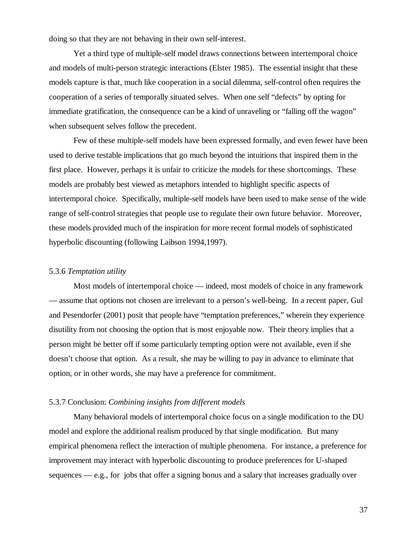doing so that they are not behaving in their own self-interest.

Yet a third type of multiple-self model draws connections between intertemporal choice and models of multi-person strategic interactions (Elster 1985). The essential insight that these models capture is that, much like cooperation in a social dilemma, self-control often requires the cooperation of a series of temporally situated selves. When one self "defects" by opting for immediate gratification, the consequence can be a kind of unraveling or "falling off the wagon" when subsequent selves follow the precedent.

Few of these multiple-self models have been expressed formally, and even fewer have been used to derive testable implications that go much beyond the intuitions that inspired them in the first place. However, perhaps it is unfair to criticize the models for these shortcomings. These models are probably best viewed as metaphors intended to highlight specific aspects of intertemporal choice. Specifically, multiple-self models have been used to make sense of the wide range of self-control strategies that people use to regulate their own future behavior. Moreover, these models provided much of the inspiration for more recent formal models of sophisticated hyperbolic discounting (following Laibson 1994,1997).

#### 5.3.6 *Temptation utility*

Most models of intertemporal choice — indeed, most models of choice in any framework — assume that options not chosen are irrelevant to a person's well-being. In a recent paper, Gul and Pesendorfer (2001) posit that people have "temptation preferences," wherein they experience disutility from not choosing the option that is most enjoyable now. Their theory implies that a person might be better off if some particularly tempting option were not available, even if she doesn't choose that option. As a result, she may be willing to pay in advance to eliminate that option, or in other words, she may have a preference for commitment.

#### 5.3.7 Conclusion: *Combining insights from different models*

Many behavioral models of intertemporal choice focus on a single modification to the DU model and explore the additional realism produced by that single modification. But many empirical phenomena reflect the interaction of multiple phenomena. For instance, a preference for improvement may interact with hyperbolic discounting to produce preferences for U-shaped sequences — e.g., for jobs that offer a signing bonus and a salary that increases gradually over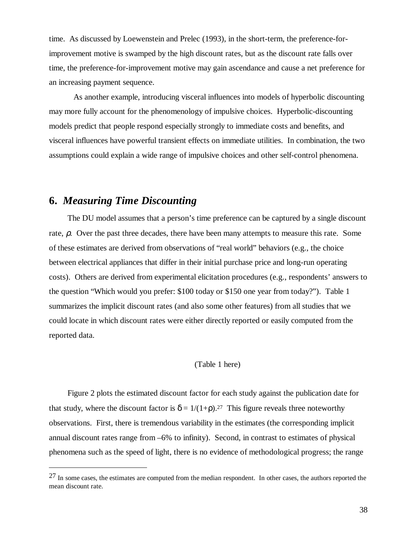time. As discussed by Loewenstein and Prelec (1993), in the short-term, the preference-forimprovement motive is swamped by the high discount rates, but as the discount rate falls over time, the preference-for-improvement motive may gain ascendance and cause a net preference for an increasing payment sequence.

As another example, introducing visceral influences into models of hyperbolic discounting may more fully account for the phenomenology of impulsive choices. Hyperbolic-discounting models predict that people respond especially strongly to immediate costs and benefits, and visceral influences have powerful transient effects on immediate utilities. In combination, the two assumptions could explain a wide range of impulsive choices and other self-control phenomena.

# **6.** *Measuring Time Discounting*

 $\overline{a}$ 

The DU model assumes that a person's time preference can be captured by a single discount rate,  $\rho$ . Over the past three decades, there have been many attempts to measure this rate. Some of these estimates are derived from observations of "real world" behaviors (e.g., the choice between electrical appliances that differ in their initial purchase price and long-run operating costs). Others are derived from experimental elicitation procedures (e.g., respondents' answers to the question "Which would you prefer: \$100 today or \$150 one year from today?"). Table 1 summarizes the implicit discount rates (and also some other features) from all studies that we could locate in which discount rates were either directly reported or easily computed from the reported data.

#### (Table 1 here)

Figure 2 plots the estimated discount factor for each study against the publication date for that study, where the discount factor is  $\delta = 1/(1+\rho)$ .<sup>27</sup> This figure reveals three noteworthy observations. First, there is tremendous variability in the estimates (the corresponding implicit annual discount rates range from –6% to infinity). Second, in contrast to estimates of physical phenomena such as the speed of light, there is no evidence of methodological progress; the range

<sup>&</sup>lt;sup>27</sup> In some cases, the estimates are computed from the median respondent. In other cases, the authors reported the mean discount rate.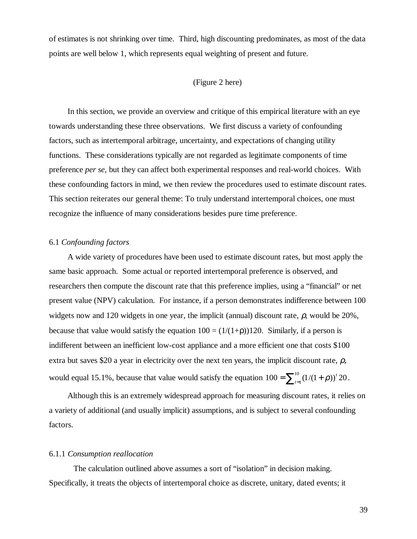of estimates is not shrinking over time. Third, high discounting predominates, as most of the data points are well below 1, which represents equal weighting of present and future.

#### (Figure 2 here)

In this section, we provide an overview and critique of this empirical literature with an eye towards understanding these three observations. We first discuss a variety of confounding factors, such as intertemporal arbitrage, uncertainty, and expectations of changing utility functions. These considerations typically are not regarded as legitimate components of time preference *per se*, but they can affect both experimental responses and real-world choices. With these confounding factors in mind, we then review the procedures used to estimate discount rates. This section reiterates our general theme: To truly understand intertemporal choices, one must recognize the influence of many considerations besides pure time preference.

#### 6.1 *Confounding factors*

A wide variety of procedures have been used to estimate discount rates, but most apply the same basic approach. Some actual or reported intertemporal preference is observed, and researchers then compute the discount rate that this preference implies, using a "financial" or net present value (NPV) calculation. For instance, if a person demonstrates indifference between 100 widgets now and 120 widgets in one year, the implicit (annual) discount rate,  $\rho$ , would be 20%, because that value would satisfy the equation  $100 = (1/(1+\rho))120$ . Similarly, if a person is indifferent between an inefficient low-cost appliance and a more efficient one that costs \$100 extra but saves \$20 a year in electricity over the next ten years, the implicit discount rate,  $\rho$ , would equal 15.1%, because that value would satisfy the equation  $100 = \sum_{t=1}^{10} (1/(1 +$  $100 = \sum_{t=1}^{10} (1/(1+\rho))^t 20$ .

Although this is an extremely widespread approach for measuring discount rates, it relies on a variety of additional (and usually implicit) assumptions, and is subject to several confounding factors.

#### 6.1.1 *Consumption reallocation*

The calculation outlined above assumes a sort of "isolation" in decision making. Specifically, it treats the objects of intertemporal choice as discrete, unitary, dated events; it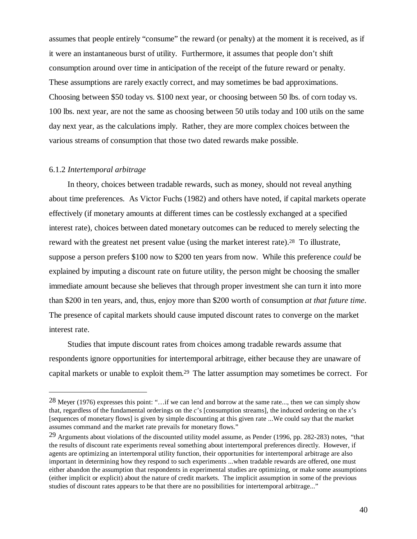assumes that people entirely "consume" the reward (or penalty) at the moment it is received, as if it were an instantaneous burst of utility. Furthermore, it assumes that people don't shift consumption around over time in anticipation of the receipt of the future reward or penalty. These assumptions are rarely exactly correct, and may sometimes be bad approximations. Choosing between \$50 today vs. \$100 next year, or choosing between 50 lbs. of corn today vs. 100 lbs. next year, are not the same as choosing between 50 utils today and 100 utils on the same day next year, as the calculations imply. Rather, they are more complex choices between the various streams of consumption that those two dated rewards make possible.

#### 6.1.2 *Intertemporal arbitrage*

 $\overline{a}$ 

In theory, choices between tradable rewards, such as money, should not reveal anything about time preferences. As Victor Fuchs (1982) and others have noted, if capital markets operate effectively (if monetary amounts at different times can be costlessly exchanged at a specified interest rate), choices between dated monetary outcomes can be reduced to merely selecting the reward with the greatest net present value (using the market interest rate).28 To illustrate, suppose a person prefers \$100 now to \$200 ten years from now. While this preference *could* be explained by imputing a discount rate on future utility, the person might be choosing the smaller immediate amount because she believes that through proper investment she can turn it into more than \$200 in ten years, and, thus, enjoy more than \$200 worth of consumption *at that future time*. The presence of capital markets should cause imputed discount rates to converge on the market interest rate.

Studies that impute discount rates from choices among tradable rewards assume that respondents ignore opportunities for intertemporal arbitrage, either because they are unaware of capital markets or unable to exploit them.29 The latter assumption may sometimes be correct. For

 $28$  Meyer (1976) expresses this point: "...if we can lend and borrow at the same rate..., then we can simply show that, regardless of the fundamental orderings on the *c*'s [consumption streams], the induced ordering on the *x*'s [sequences of monetary flows] is given by simple discounting at this given rate ...We could say that the market assumes command and the market rate prevails for monetary flows."

 $29$  Arguments about violations of the discounted utility model assume, as Pender (1996, pp. 282-283) notes, "that the results of discount rate experiments reveal something about intertemporal preferences directly. However, if agents are optimizing an intertemporal utility function, their opportunities for intertemporal arbitrage are also important in determining how they respond to such experiments ...when tradable rewards are offered, one must either abandon the assumption that respondents in experimental studies are optimizing, or make some assumptions (either implicit or explicit) about the nature of credit markets. The implicit assumption in some of the previous studies of discount rates appears to be that there are no possibilities for intertemporal arbitrage..."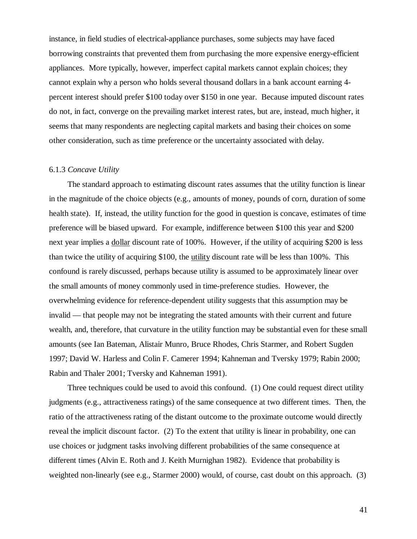instance, in field studies of electrical-appliance purchases, some subjects may have faced borrowing constraints that prevented them from purchasing the more expensive energy-efficient appliances. More typically, however, imperfect capital markets cannot explain choices; they cannot explain why a person who holds several thousand dollars in a bank account earning 4 percent interest should prefer \$100 today over \$150 in one year. Because imputed discount rates do not, in fact, converge on the prevailing market interest rates, but are, instead, much higher, it seems that many respondents are neglecting capital markets and basing their choices on some other consideration, such as time preference or the uncertainty associated with delay.

#### 6.1.3 *Concave Utility*

The standard approach to estimating discount rates assumes that the utility function is linear in the magnitude of the choice objects (e.g., amounts of money, pounds of corn, duration of some health state). If, instead, the utility function for the good in question is concave, estimates of time preference will be biased upward. For example, indifference between \$100 this year and \$200 next year implies a dollar discount rate of 100%. However, if the utility of acquiring \$200 is less than twice the utility of acquiring \$100, the utility discount rate will be less than 100%. This confound is rarely discussed, perhaps because utility is assumed to be approximately linear over the small amounts of money commonly used in time-preference studies. However, the overwhelming evidence for reference-dependent utility suggests that this assumption may be invalid — that people may not be integrating the stated amounts with their current and future wealth, and, therefore, that curvature in the utility function may be substantial even for these small amounts (see Ian Bateman, Alistair Munro, Bruce Rhodes, Chris Starmer, and Robert Sugden 1997; David W. Harless and Colin F. Camerer 1994; Kahneman and Tversky 1979; Rabin 2000; Rabin and Thaler 2001; Tversky and Kahneman 1991).

Three techniques could be used to avoid this confound. (1) One could request direct utility judgments (e.g., attractiveness ratings) of the same consequence at two different times. Then, the ratio of the attractiveness rating of the distant outcome to the proximate outcome would directly reveal the implicit discount factor. (2) To the extent that utility is linear in probability, one can use choices or judgment tasks involving different probabilities of the same consequence at different times (Alvin E. Roth and J. Keith Murnighan 1982). Evidence that probability is weighted non-linearly (see e.g., Starmer 2000) would, of course, cast doubt on this approach. (3)

41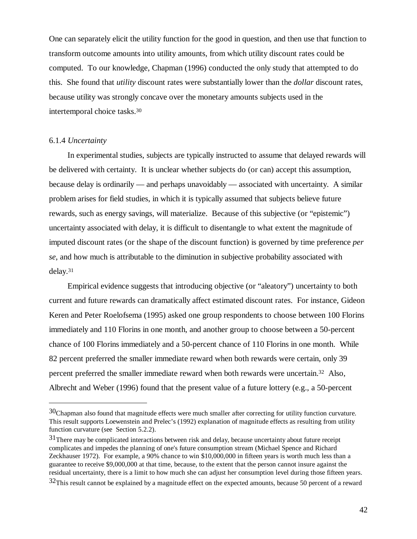One can separately elicit the utility function for the good in question, and then use that function to transform outcome amounts into utility amounts, from which utility discount rates could be computed. To our knowledge, Chapman (1996) conducted the only study that attempted to do this. She found that *utility* discount rates were substantially lower than the *dollar* discount rates, because utility was strongly concave over the monetary amounts subjects used in the intertemporal choice tasks.30

#### 6.1.4 *Uncertainty*

 $\overline{a}$ 

In experimental studies, subjects are typically instructed to assume that delayed rewards will be delivered with certainty. It is unclear whether subjects do (or can) accept this assumption, because delay is ordinarily — and perhaps unavoidably — associated with uncertainty. A similar problem arises for field studies, in which it is typically assumed that subjects believe future rewards, such as energy savings, will materialize. Because of this subjective (or "epistemic") uncertainty associated with delay, it is difficult to disentangle to what extent the magnitude of imputed discount rates (or the shape of the discount function) is governed by time preference *per se*, and how much is attributable to the diminution in subjective probability associated with delay.31

Empirical evidence suggests that introducing objective (or "aleatory") uncertainty to both current and future rewards can dramatically affect estimated discount rates. For instance, Gideon Keren and Peter Roelofsema (1995) asked one group respondents to choose between 100 Florins immediately and 110 Florins in one month, and another group to choose between a 50-percent chance of 100 Florins immediately and a 50-percent chance of 110 Florins in one month. While 82 percent preferred the smaller immediate reward when both rewards were certain, only 39 percent preferred the smaller immediate reward when both rewards were uncertain.32 Also, Albrecht and Weber (1996) found that the present value of a future lottery (e.g., a 50-percent

<sup>30</sup>Chapman also found that magnitude effects were much smaller after correcting for utility function curvature. This result supports Loewenstein and Prelec's (1992) explanation of magnitude effects as resulting from utility function curvature (see Section 5.2.2).

<sup>&</sup>lt;sup>31</sup>There may be complicated interactions between risk and delay, because uncertainty about future receipt complicates and impedes the planning of one's future consumption stream (Michael Spence and Richard Zeckhauser 1972). For example, a 90% chance to win \$10,000,000 in fifteen years is worth much less than a guarantee to receive \$9,000,000 at that time, because, to the extent that the person cannot insure against the residual uncertainty, there is a limit to how much she can adjust her consumption level during those fifteen years.

 $32$ This result cannot be explained by a magnitude effect on the expected amounts, because 50 percent of a reward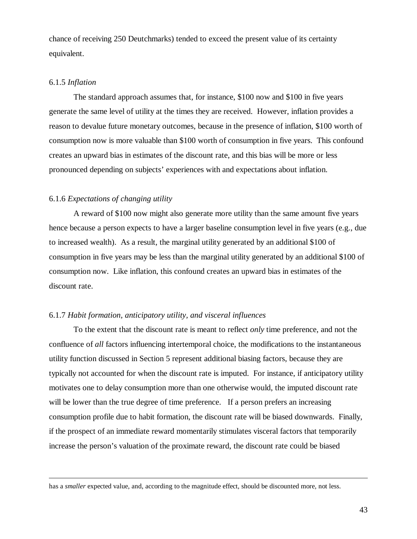chance of receiving 250 Deutchmarks) tended to exceed the present value of its certainty equivalent.

#### 6.1.5 *Inflation*

 $\overline{a}$ 

The standard approach assumes that, for instance, \$100 now and \$100 in five years generate the same level of utility at the times they are received. However, inflation provides a reason to devalue future monetary outcomes, because in the presence of inflation, \$100 worth of consumption now is more valuable than \$100 worth of consumption in five years. This confound creates an upward bias in estimates of the discount rate, and this bias will be more or less pronounced depending on subjects' experiences with and expectations about inflation.

#### 6.1.6 *Expectations of changing utility*

A reward of \$100 now might also generate more utility than the same amount five years hence because a person expects to have a larger baseline consumption level in five years (e.g., due to increased wealth). As a result, the marginal utility generated by an additional \$100 of consumption in five years may be less than the marginal utility generated by an additional \$100 of consumption now. Like inflation, this confound creates an upward bias in estimates of the discount rate.

#### 6.1.7 *Habit formation, anticipatory utility, and visceral influences*

To the extent that the discount rate is meant to reflect *only* time preference, and not the confluence of *all* factors influencing intertemporal choice, the modifications to the instantaneous utility function discussed in Section 5 represent additional biasing factors, because they are typically not accounted for when the discount rate is imputed. For instance, if anticipatory utility motivates one to delay consumption more than one otherwise would, the imputed discount rate will be lower than the true degree of time preference. If a person prefers an increasing consumption profile due to habit formation, the discount rate will be biased downwards. Finally, if the prospect of an immediate reward momentarily stimulates visceral factors that temporarily increase the person's valuation of the proximate reward, the discount rate could be biased

has a *smaller* expected value, and, according to the magnitude effect, should be discounted more, not less.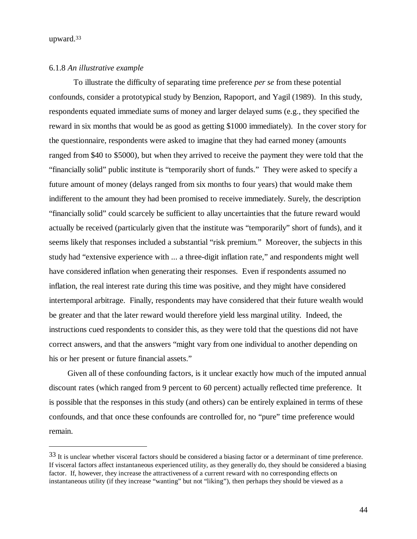$\overline{a}$ 

#### 6.1.8 *An illustrative example*

To illustrate the difficulty of separating time preference *per se* from these potential confounds, consider a prototypical study by Benzion, Rapoport, and Yagil (1989). In this study, respondents equated immediate sums of money and larger delayed sums (e.g., they specified the reward in six months that would be as good as getting \$1000 immediately). In the cover story for the questionnaire, respondents were asked to imagine that they had earned money (amounts ranged from \$40 to \$5000), but when they arrived to receive the payment they were told that the "financially solid" public institute is "temporarily short of funds." They were asked to specify a future amount of money (delays ranged from six months to four years) that would make them indifferent to the amount they had been promised to receive immediately. Surely, the description "financially solid" could scarcely be sufficient to allay uncertainties that the future reward would actually be received (particularly given that the institute was "temporarily" short of funds), and it seems likely that responses included a substantial "risk premium." Moreover, the subjects in this study had "extensive experience with ... a three-digit inflation rate," and respondents might well have considered inflation when generating their responses. Even if respondents assumed no inflation, the real interest rate during this time was positive, and they might have considered intertemporal arbitrage. Finally, respondents may have considered that their future wealth would be greater and that the later reward would therefore yield less marginal utility. Indeed, the instructions cued respondents to consider this, as they were told that the questions did not have correct answers, and that the answers "might vary from one individual to another depending on his or her present or future financial assets."

Given all of these confounding factors, is it unclear exactly how much of the imputed annual discount rates (which ranged from 9 percent to 60 percent) actually reflected time preference. It is possible that the responses in this study (and others) can be entirely explained in terms of these confounds, and that once these confounds are controlled for, no "pure" time preference would remain.

<sup>33</sup> It is unclear whether visceral factors should be considered a biasing factor or a determinant of time preference. If visceral factors affect instantaneous experienced utility, as they generally do, they should be considered a biasing factor. If, however, they increase the attractiveness of a current reward with no corresponding effects on instantaneous utility (if they increase "wanting" but not "liking"), then perhaps they should be viewed as a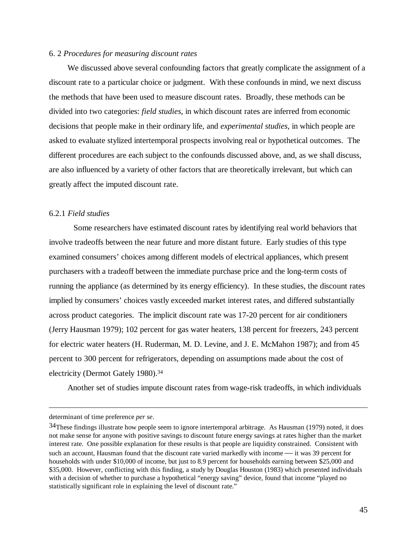#### 6. 2 *Procedures for measuring discount rates*

We discussed above several confounding factors that greatly complicate the assignment of a discount rate to a particular choice or judgment. With these confounds in mind, we next discuss the methods that have been used to measure discount rates. Broadly, these methods can be divided into two categories: *field studies*, in which discount rates are inferred from economic decisions that people make in their ordinary life, and *experimental studies*, in which people are asked to evaluate stylized intertemporal prospects involving real or hypothetical outcomes. The different procedures are each subject to the confounds discussed above, and, as we shall discuss, are also influenced by a variety of other factors that are theoretically irrelevant, but which can greatly affect the imputed discount rate.

#### 6.2.1 *Field studies*

Some researchers have estimated discount rates by identifying real world behaviors that involve tradeoffs between the near future and more distant future. Early studies of this type examined consumers' choices among different models of electrical appliances, which present purchasers with a tradeoff between the immediate purchase price and the long-term costs of running the appliance (as determined by its energy efficiency). In these studies, the discount rates implied by consumers' choices vastly exceeded market interest rates, and differed substantially across product categories. The implicit discount rate was 17-20 percent for air conditioners (Jerry Hausman 1979); 102 percent for gas water heaters, 138 percent for freezers, 243 percent for electric water heaters (H. Ruderman, M. D. Levine, and J. E. McMahon 1987); and from 45 percent to 300 percent for refrigerators, depending on assumptions made about the cost of electricity (Dermot Gately 1980).34

Another set of studies impute discount rates from wage-risk tradeoffs, in which individuals

determinant of time preference *per se*.

<sup>34</sup>These findings illustrate how people seem to ignore intertemporal arbitrage. As Hausman (1979) noted, it does not make sense for anyone with positive savings to discount future energy savings at rates higher than the market interest rate. One possible explanation for these results is that people are liquidity constrained. Consistent with such an account, Hausman found that the discount rate varied markedly with income — it was 39 percent for households with under \$10,000 of income, but just to 8.9 percent for households earning between \$25,000 and \$35,000. However, conflicting with this finding, a study by Douglas Houston (1983) which presented individuals with a decision of whether to purchase a hypothetical "energy saving" device, found that income "played no statistically significant role in explaining the level of discount rate."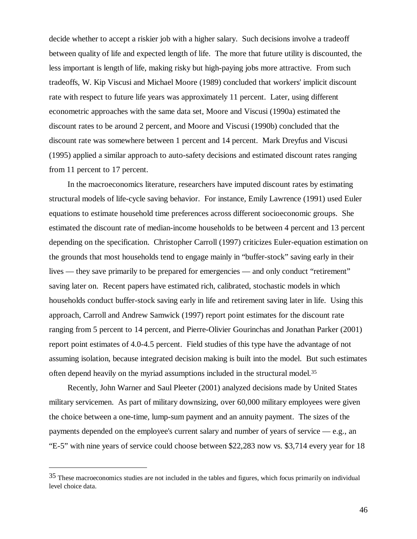decide whether to accept a riskier job with a higher salary. Such decisions involve a tradeoff between quality of life and expected length of life. The more that future utility is discounted, the less important is length of life, making risky but high-paying jobs more attractive. From such tradeoffs, W. Kip Viscusi and Michael Moore (1989) concluded that workers' implicit discount rate with respect to future life years was approximately 11 percent. Later, using different econometric approaches with the same data set, Moore and Viscusi (1990a) estimated the discount rates to be around 2 percent, and Moore and Viscusi (1990b) concluded that the discount rate was somewhere between 1 percent and 14 percent. Mark Dreyfus and Viscusi (1995) applied a similar approach to auto-safety decisions and estimated discount rates ranging from 11 percent to 17 percent.

In the macroeconomics literature, researchers have imputed discount rates by estimating structural models of life-cycle saving behavior. For instance, Emily Lawrence (1991) used Euler equations to estimate household time preferences across different socioeconomic groups. She estimated the discount rate of median-income households to be between 4 percent and 13 percent depending on the specification. Christopher Carroll (1997) criticizes Euler-equation estimation on the grounds that most households tend to engage mainly in "buffer-stock" saving early in their lives — they save primarily to be prepared for emergencies — and only conduct "retirement" saving later on. Recent papers have estimated rich, calibrated, stochastic models in which households conduct buffer-stock saving early in life and retirement saving later in life. Using this approach, Carroll and Andrew Samwick (1997) report point estimates for the discount rate ranging from 5 percent to 14 percent, and Pierre-Olivier Gourinchas and Jonathan Parker (2001) report point estimates of 4.0-4.5 percent. Field studies of this type have the advantage of not assuming isolation, because integrated decision making is built into the model. But such estimates often depend heavily on the myriad assumptions included in the structural model.35

Recently, John Warner and Saul Pleeter (2001) analyzed decisions made by United States military servicemen. As part of military downsizing, over 60,000 military employees were given the choice between a one-time, lump-sum payment and an annuity payment. The sizes of the payments depended on the employee's current salary and number of years of service — e.g., an "E-5" with nine years of service could choose between \$22,283 now vs. \$3,714 every year for 18

<sup>35</sup> These macroeconomics studies are not included in the tables and figures, which focus primarily on individual level choice data.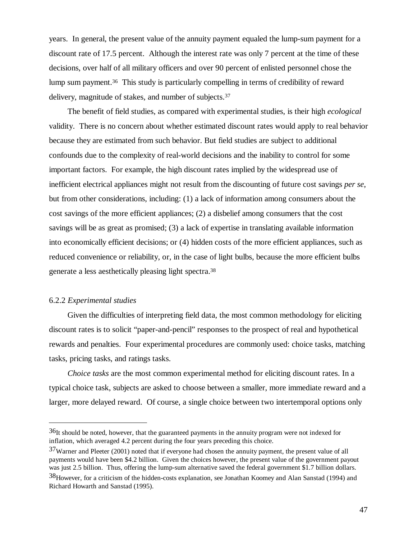years. In general, the present value of the annuity payment equaled the lump-sum payment for a discount rate of 17.5 percent. Although the interest rate was only 7 percent at the time of these decisions, over half of all military officers and over 90 percent of enlisted personnel chose the lump sum payment.36 This study is particularly compelling in terms of credibility of reward delivery, magnitude of stakes, and number of subjects.<sup>37</sup>

The benefit of field studies, as compared with experimental studies, is their high *ecological* validity. There is no concern about whether estimated discount rates would apply to real behavior because they are estimated from such behavior. But field studies are subject to additional confounds due to the complexity of real-world decisions and the inability to control for some important factors. For example, the high discount rates implied by the widespread use of inefficient electrical appliances might not result from the discounting of future cost savings *per se*, but from other considerations, including: (1) a lack of information among consumers about the cost savings of the more efficient appliances; (2) a disbelief among consumers that the cost savings will be as great as promised; (3) a lack of expertise in translating available information into economically efficient decisions; or (4) hidden costs of the more efficient appliances, such as reduced convenience or reliability, or, in the case of light bulbs, because the more efficient bulbs generate a less aesthetically pleasing light spectra.38

#### 6.2.2 *Experimental studies*

 $\overline{a}$ 

Given the difficulties of interpreting field data, the most common methodology for eliciting discount rates is to solicit "paper-and-pencil" responses to the prospect of real and hypothetical rewards and penalties. Four experimental procedures are commonly used: choice tasks, matching tasks, pricing tasks, and ratings tasks.

*Choice tasks* are the most common experimental method for eliciting discount rates. In a typical choice task, subjects are asked to choose between a smaller, more immediate reward and a larger, more delayed reward. Of course, a single choice between two intertemporal options only

<sup>36</sup>It should be noted, however, that the guaranteed payments in the annuity program were not indexed for inflation, which averaged 4.2 percent during the four years preceding this choice.

<sup>37</sup>Warner and Pleeter (2001) noted that if everyone had chosen the annuity payment, the present value of all payments would have been \$4.2 billion. Given the choices however, the present value of the government payout was just 2.5 billion. Thus, offering the lump-sum alternative saved the federal government \$1.7 billion dollars.

<sup>38</sup>However, for a criticism of the hidden-costs explanation, see Jonathan Koomey and Alan Sanstad (1994) and Richard Howarth and Sanstad (1995).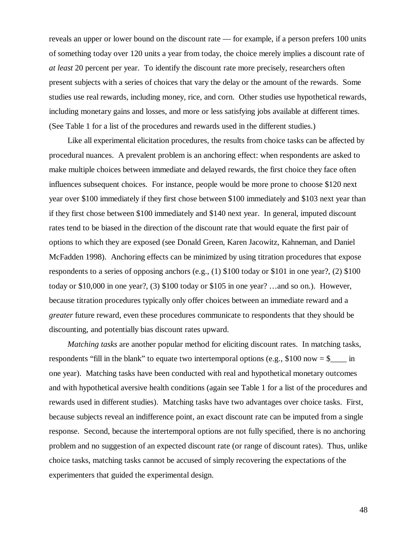reveals an upper or lower bound on the discount rate — for example, if a person prefers 100 units of something today over 120 units a year from today, the choice merely implies a discount rate of *at least* 20 percent per year. To identify the discount rate more precisely, researchers often present subjects with a series of choices that vary the delay or the amount of the rewards. Some studies use real rewards, including money, rice, and corn. Other studies use hypothetical rewards, including monetary gains and losses, and more or less satisfying jobs available at different times. (See Table 1 for a list of the procedures and rewards used in the different studies.)

Like all experimental elicitation procedures, the results from choice tasks can be affected by procedural nuances. A prevalent problem is an anchoring effect: when respondents are asked to make multiple choices between immediate and delayed rewards, the first choice they face often influences subsequent choices. For instance, people would be more prone to choose \$120 next year over \$100 immediately if they first chose between \$100 immediately and \$103 next year than if they first chose between \$100 immediately and \$140 next year. In general, imputed discount rates tend to be biased in the direction of the discount rate that would equate the first pair of options to which they are exposed (see Donald Green, Karen Jacowitz, Kahneman, and Daniel McFadden 1998). Anchoring effects can be minimized by using titration procedures that expose respondents to a series of opposing anchors (e.g., (1) \$100 today or \$101 in one year?, (2) \$100 today or \$10,000 in one year?, (3) \$100 today or \$105 in one year? …and so on.). However, because titration procedures typically only offer choices between an immediate reward and a *greater* future reward, even these procedures communicate to respondents that they should be discounting, and potentially bias discount rates upward.

*Matching tasks* are another popular method for eliciting discount rates. In matching tasks, respondents "fill in the blank" to equate two intertemporal options (e.g., \$100 now  $=\$$  \_\_\_\_ in one year). Matching tasks have been conducted with real and hypothetical monetary outcomes and with hypothetical aversive health conditions (again see Table 1 for a list of the procedures and rewards used in different studies). Matching tasks have two advantages over choice tasks. First, because subjects reveal an indifference point, an exact discount rate can be imputed from a single response. Second, because the intertemporal options are not fully specified, there is no anchoring problem and no suggestion of an expected discount rate (or range of discount rates). Thus, unlike choice tasks, matching tasks cannot be accused of simply recovering the expectations of the experimenters that guided the experimental design.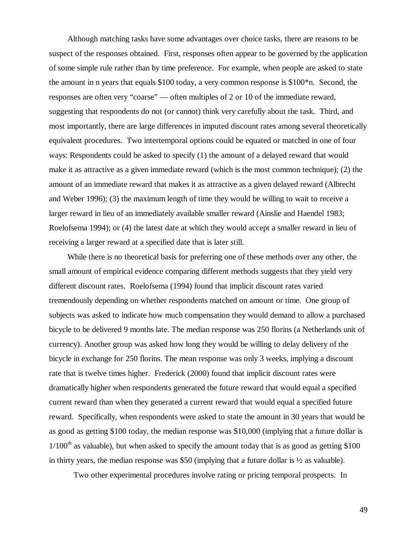Although matching tasks have some advantages over choice tasks, there are reasons to be suspect of the responses obtained. First, responses often appear to be governed by the application of some simple rule rather than by time preference. For example, when people are asked to state the amount in n years that equals \$100 today, a very common response is \$100\*n. Second, the responses are often very "coarse" — often multiples of 2 or 10 of the immediate reward, suggesting that respondents do not (or cannot) think very carefully about the task. Third, and most importantly, there are large differences in imputed discount rates among several theoretically equivalent procedures. Two intertemporal options could be equated or matched in one of four ways: Respondents could be asked to specify (1) the amount of a delayed reward that would make it as attractive as a given immediate reward (which is the most common technique); (2) the amount of an immediate reward that makes it as attractive as a given delayed reward (Albrecht and Weber 1996); (3) the maximum length of time they would be willing to wait to receive a larger reward in lieu of an immediately available smaller reward (Ainslie and Haendel 1983; Roelofsema 1994); or (4) the latest date at which they would accept a smaller reward in lieu of receiving a larger reward at a specified date that is later still.

While there is no theoretical basis for preferring one of these methods over any other, the small amount of empirical evidence comparing different methods suggests that they yield very different discount rates. Roelofsema (1994) found that implicit discount rates varied tremendously depending on whether respondents matched on amount or time. One group of subjects was asked to indicate how much compensation they would demand to allow a purchased bicycle to be delivered 9 months late. The median response was 250 florins (a Netherlands unit of currency). Another group was asked how long they would be willing to delay delivery of the bicycle in exchange for 250 florins. The mean response was only 3 weeks, implying a discount rate that is twelve times higher. Frederick (2000) found that implicit discount rates were dramatically higher when respondents generated the future reward that would equal a specified current reward than when they generated a current reward that would equal a specified future reward. Specifically, when respondents were asked to state the amount in 30 years that would be as good as getting \$100 today, the median response was \$10,000 (implying that a future dollar is  $1/100<sup>th</sup>$  as valuable), but when asked to specify the amount today that is as good as getting \$100 in thirty years, the median response was \$50 (implying that a future dollar is  $\frac{1}{2}$  as valuable).

Two other experimental procedures involve rating or pricing temporal prospects. In

49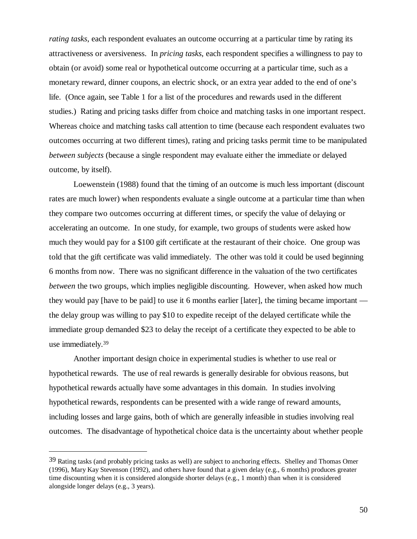*rating tasks*, each respondent evaluates an outcome occurring at a particular time by rating its attractiveness or aversiveness. In *pricing tasks*, each respondent specifies a willingness to pay to obtain (or avoid) some real or hypothetical outcome occurring at a particular time, such as a monetary reward, dinner coupons, an electric shock, or an extra year added to the end of one's life. (Once again, see Table 1 for a list of the procedures and rewards used in the different studies.) Rating and pricing tasks differ from choice and matching tasks in one important respect. Whereas choice and matching tasks call attention to time (because each respondent evaluates two outcomes occurring at two different times), rating and pricing tasks permit time to be manipulated *between subjects* (because a single respondent may evaluate either the immediate or delayed outcome, by itself).

Loewenstein (1988) found that the timing of an outcome is much less important (discount rates are much lower) when respondents evaluate a single outcome at a particular time than when they compare two outcomes occurring at different times, or specify the value of delaying or accelerating an outcome. In one study, for example, two groups of students were asked how much they would pay for a \$100 gift certificate at the restaurant of their choice. One group was told that the gift certificate was valid immediately. The other was told it could be used beginning 6 months from now. There was no significant difference in the valuation of the two certificates *between* the two groups, which implies negligible discounting. However, when asked how much they would pay [have to be paid] to use it 6 months earlier [later], the timing became important the delay group was willing to pay \$10 to expedite receipt of the delayed certificate while the immediate group demanded \$23 to delay the receipt of a certificate they expected to be able to use immediately.39

Another important design choice in experimental studies is whether to use real or hypothetical rewards. The use of real rewards is generally desirable for obvious reasons, but hypothetical rewards actually have some advantages in this domain. In studies involving hypothetical rewards, respondents can be presented with a wide range of reward amounts, including losses and large gains, both of which are generally infeasible in studies involving real outcomes. The disadvantage of hypothetical choice data is the uncertainty about whether people

 $39$  Rating tasks (and probably pricing tasks as well) are subject to anchoring effects. Shelley and Thomas Omer (1996), Mary Kay Stevenson (1992), and others have found that a given delay (e.g., 6 months) produces greater time discounting when it is considered alongside shorter delays (e.g., 1 month) than when it is considered alongside longer delays (e.g., 3 years).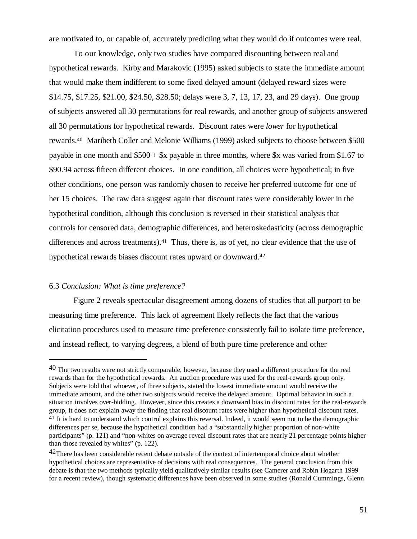are motivated to, or capable of, accurately predicting what they would do if outcomes were real.

To our knowledge, only two studies have compared discounting between real and hypothetical rewards. Kirby and Marakovic (1995) asked subjects to state the immediate amount that would make them indifferent to some fixed delayed amount (delayed reward sizes were \$14.75, \$17.25, \$21.00, \$24.50, \$28.50; delays were 3, 7, 13, 17, 23, and 29 days). One group of subjects answered all 30 permutations for real rewards, and another group of subjects answered all 30 permutations for hypothetical rewards. Discount rates were *lower* for hypothetical rewards.40 Maribeth Coller and Melonie Williams (1999) asked subjects to choose between \$500 payable in one month and \$500 + \$x payable in three months, where \$x was varied from \$1.67 to \$90.94 across fifteen different choices. In one condition, all choices were hypothetical; in five other conditions, one person was randomly chosen to receive her preferred outcome for one of her 15 choices. The raw data suggest again that discount rates were considerably lower in the hypothetical condition, although this conclusion is reversed in their statistical analysis that controls for censored data, demographic differences, and heteroskedasticity (across demographic differences and across treatments).<sup>41</sup> Thus, there is, as of yet, no clear evidence that the use of hypothetical rewards biases discount rates upward or downward.<sup>42</sup>

#### 6.3 *Conclusion: What is time preference?*

 $\overline{a}$ 

Figure 2 reveals spectacular disagreement among dozens of studies that all purport to be measuring time preference. This lack of agreement likely reflects the fact that the various elicitation procedures used to measure time preference consistently fail to isolate time preference, and instead reflect, to varying degrees, a blend of both pure time preference and other

<sup>&</sup>lt;sup>40</sup> The two results were not strictly comparable, however, because they used a different procedure for the real rewards than for the hypothetical rewards. An auction procedure was used for the real-rewards group only. Subjects were told that whoever, of three subjects, stated the lowest immediate amount would receive the immediate amount, and the other two subjects would receive the delayed amount. Optimal behavior in such a situation involves over-bidding. However, since this creates a downward bias in discount rates for the real-rewards group, it does not explain away the finding that real discount rates were higher than hypothetical discount rates. <sup>41</sup> It is hard to understand which control explains this reversal. Indeed, it would seem not to be the demographic differences per se, because the hypothetical condition had a "substantially higher proportion of non-white participants" (p. 121) and "non-whites on average reveal discount rates that are nearly 21 percentage points higher than those revealed by whites" (p. 122).

<sup>&</sup>lt;sup>42</sup>There has been considerable recent debate outside of the context of intertemporal choice about whether hypothetical choices are representative of decisions with real consequences. The general conclusion from this debate is that the two methods typically yield qualitatively similar results (see Camerer and Robin Hogarth 1999 for a recent review), though systematic differences have been observed in some studies (Ronald Cummings, Glenn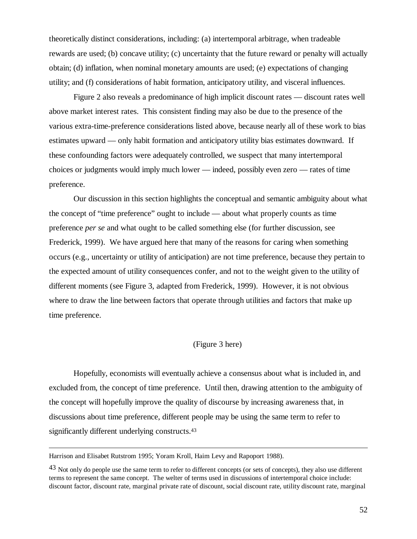theoretically distinct considerations, including: (a) intertemporal arbitrage, when tradeable rewards are used; (b) concave utility; (c) uncertainty that the future reward or penalty will actually obtain; (d) inflation, when nominal monetary amounts are used; (e) expectations of changing utility; and (f) considerations of habit formation, anticipatory utility, and visceral influences.

Figure 2 also reveals a predominance of high implicit discount rates — discount rates well above market interest rates. This consistent finding may also be due to the presence of the various extra-time-preference considerations listed above, because nearly all of these work to bias estimates upward — only habit formation and anticipatory utility bias estimates downward. If these confounding factors were adequately controlled, we suspect that many intertemporal choices or judgments would imply much lower — indeed, possibly even zero — rates of time preference.

Our discussion in this section highlights the conceptual and semantic ambiguity about what the concept of "time preference" ought to include — about what properly counts as time preference *per se* and what ought to be called something else (for further discussion, see Frederick, 1999). We have argued here that many of the reasons for caring when something occurs (e.g., uncertainty or utility of anticipation) are not time preference, because they pertain to the expected amount of utility consequences confer, and not to the weight given to the utility of different moments (see Figure 3, adapted from Frederick, 1999). However, it is not obvious where to draw the line between factors that operate through utilities and factors that make up time preference.

#### (Figure 3 here)

Hopefully, economists will eventually achieve a consensus about what is included in, and excluded from, the concept of time preference. Until then, drawing attention to the ambiguity of the concept will hopefully improve the quality of discourse by increasing awareness that, in discussions about time preference, different people may be using the same term to refer to significantly different underlying constructs.<sup>43</sup>

Harrison and Elisabet Rutstrom 1995; Yoram Kroll, Haim Levy and Rapoport 1988).

<sup>&</sup>lt;sup>43</sup> Not only do people use the same term to refer to different concepts (or sets of concepts), they also use different terms to represent the same concept. The welter of terms used in discussions of intertemporal choice include: discount factor, discount rate, marginal private rate of discount, social discount rate, utility discount rate, marginal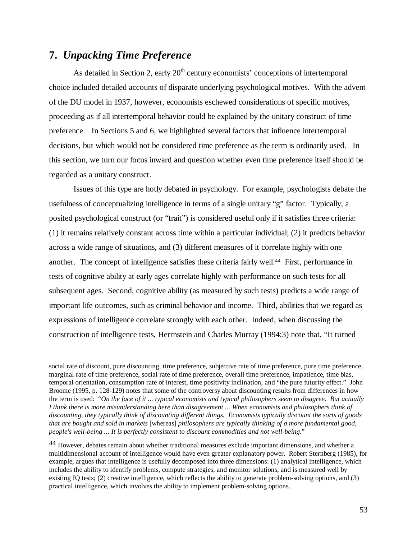## **7.** *Unpacking Time Preference*

 $\overline{a}$ 

As detailed in Section 2, early  $20<sup>th</sup>$  century economists' conceptions of intertemporal choice included detailed accounts of disparate underlying psychological motives. With the advent of the DU model in 1937, however, economists eschewed considerations of specific motives, proceeding as if all intertemporal behavior could be explained by the unitary construct of time preference. In Sections 5 and 6, we highlighted several factors that influence intertemporal decisions, but which would not be considered time preference as the term is ordinarily used. In this section, we turn our focus inward and question whether even time preference itself should be regarded as a unitary construct.

Issues of this type are hotly debated in psychology. For example, psychologists debate the usefulness of conceptualizing intelligence in terms of a single unitary "g" factor. Typically, a posited psychological construct (or "trait") is considered useful only if it satisfies three criteria: (1) it remains relatively constant across time within a particular individual; (2) it predicts behavior across a wide range of situations, and (3) different measures of it correlate highly with one another. The concept of intelligence satisfies these criteria fairly well.44 First, performance in tests of cognitive ability at early ages correlate highly with performance on such tests for all subsequent ages. Second, cognitive ability (as measured by such tests) predicts a wide range of important life outcomes, such as criminal behavior and income. Third, abilities that we regard as expressions of intelligence correlate strongly with each other. Indeed, when discussing the construction of intelligence tests, Herrnstein and Charles Murray (1994:3) note that, "It turned

<sup>44</sup> However, debates remain about whether traditional measures exclude important dimensions, and whether a multidimensional account of intelligence would have even greater explanatory power. Robert Sternberg (1985), for example, argues that intelligence is usefully decomposed into three dimensions: (1) analytical intelligence, which includes the ability to identify problems, compute strategies, and monitor solutions, and is measured well by existing IQ tests; (2) creative intelligence, which reflects the ability to generate problem-solving options, and (3) practical intelligence, which involves the ability to implement problem-solving options.

social rate of discount, pure discounting, time preference, subjective rate of time preference, pure time preference, marginal rate of time preference, social rate of time preference, overall time preference, impatience, time bias, temporal orientation, consumption rate of interest, time positivity inclination, and "the pure futurity effect." John Broome (1995, p. 128-129) notes that some of the controversy about discounting results from differences in how the term is used: "*On the face of it ... typical economists and typical philosophers seem to disagree. But actually I think there is more misunderstanding here than disagreement ... When economists and philosophers think of discounting, they typically think of discounting different things. Economists typically discount the sorts of goods that are bought and sold in markets* [whereas] *philosophers are typically thinking of a more fundamental good, people's well-being ... It is perfectly consistent to discount commodities and not well-being*."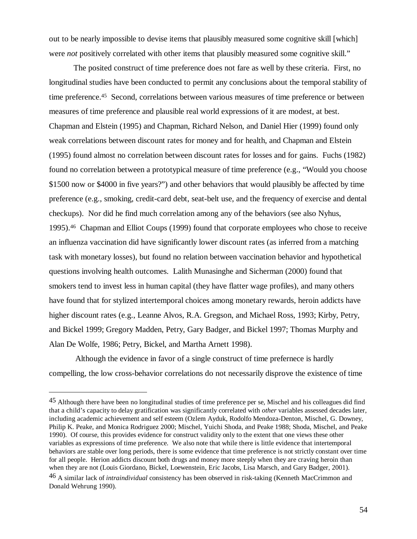out to be nearly impossible to devise items that plausibly measured some cognitive skill [which] were *not* positively correlated with other items that plausibly measured some cognitive skill."

The posited construct of time preference does not fare as well by these criteria. First, no longitudinal studies have been conducted to permit any conclusions about the temporal stability of time preference.45 Second, correlations between various measures of time preference or between measures of time preference and plausible real world expressions of it are modest, at best. Chapman and Elstein (1995) and Chapman, Richard Nelson, and Daniel Hier (1999) found only weak correlations between discount rates for money and for health, and Chapman and Elstein (1995) found almost no correlation between discount rates for losses and for gains. Fuchs (1982) found no correlation between a prototypical measure of time preference (e.g., "Would you choose \$1500 now or \$4000 in five years?") and other behaviors that would plausibly be affected by time preference (e.g., smoking, credit-card debt, seat-belt use, and the frequency of exercise and dental checkups). Nor did he find much correlation among any of the behaviors (see also Nyhus, 1995).46 Chapman and Elliot Coups (1999) found that corporate employees who chose to receive an influenza vaccination did have significantly lower discount rates (as inferred from a matching task with monetary losses), but found no relation between vaccination behavior and hypothetical questions involving health outcomes. Lalith Munasinghe and Sicherman (2000) found that smokers tend to invest less in human capital (they have flatter wage profiles), and many others have found that for stylized intertemporal choices among monetary rewards, heroin addicts have higher discount rates (e.g., Leanne Alvos, R.A. Gregson, and Michael Ross, 1993; Kirby, Petry, and Bickel 1999; Gregory Madden, Petry, Gary Badger, and Bickel 1997; Thomas Murphy and Alan De Wolfe, 1986; Petry, Bickel, and Martha Arnett 1998).

Although the evidence in favor of a single construct of time prefernece is hardly compelling, the low cross-behavior correlations do not necessarily disprove the existence of time

<sup>&</sup>lt;sup>45</sup> Although there have been no longitudinal studies of time preference per se, Mischel and his colleagues did find that a child's capacity to delay gratification was significantly correlated with *other* variables assessed decades later, including academic achievement and self esteem (Ozlem Ayduk, Rodolfo Mendoza-Denton, Mischel, G. Downey, Philip K. Peake, and Monica Rodriguez 2000; Mischel, Yuichi Shoda, and Peake 1988; Shoda, Mischel, and Peake 1990). Of course, this provides evidence for construct validity only to the extent that one views these other variables as expressions of time preference. We also note that while there is little evidence that intertemporal behaviors are stable over long periods, there is some evidence that time preference is not strictly constant over time for all people. Herion addicts discount both drugs and money more steeply when they are craving heroin than when they are not (Louis Giordano, Bickel, Loewenstein, Eric Jacobs, Lisa Marsch, and Gary Badger, 2001).

<sup>46</sup> A similar lack of *intraindividual* consistency has been observed in risk-taking (Kenneth MacCrimmon and Donald Wehrung 1990).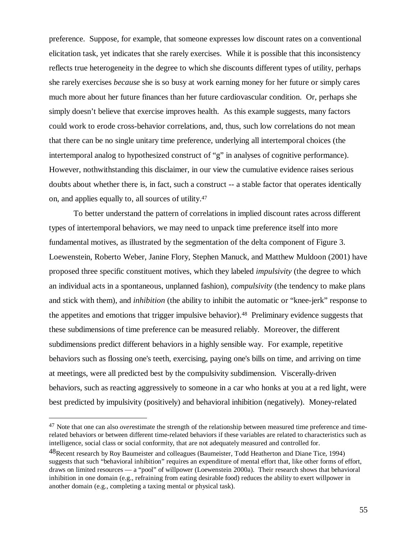preference. Suppose, for example, that someone expresses low discount rates on a conventional elicitation task, yet indicates that she rarely exercises. While it is possible that this inconsistency reflects true heterogeneity in the degree to which she discounts different types of utility, perhaps she rarely exercises *because* she is so busy at work earning money for her future or simply cares much more about her future finances than her future cardiovascular condition. Or, perhaps she simply doesn't believe that exercise improves health. As this example suggests, many factors could work to erode cross-behavior correlations, and, thus, such low correlations do not mean that there can be no single unitary time preference, underlying all intertemporal choices (the intertemporal analog to hypothesized construct of "g" in analyses of cognitive performance). However, nothwithstanding this disclaimer, in our view the cumulative evidence raises serious doubts about whether there is, in fact, such a construct -- a stable factor that operates identically on, and applies equally to, all sources of utility.47

To better understand the pattern of correlations in implied discount rates across different types of intertemporal behaviors, we may need to unpack time preference itself into more fundamental motives, as illustrated by the segmentation of the delta component of Figure 3. Loewenstein, Roberto Weber, Janine Flory, Stephen Manuck, and Matthew Muldoon (2001) have proposed three specific constituent motives, which they labeled *impulsivity* (the degree to which an individual acts in a spontaneous, unplanned fashion), *compulsivity* (the tendency to make plans and stick with them), and *inhibition* (the ability to inhibit the automatic or "knee-jerk" response to the appetites and emotions that trigger impulsive behavior).48 Preliminary evidence suggests that these subdimensions of time preference can be measured reliably. Moreover, the different subdimensions predict different behaviors in a highly sensible way. For example, repetitive behaviors such as flossing one's teeth, exercising, paying one's bills on time, and arriving on time at meetings, were all predicted best by the compulsivity subdimension. Viscerally-driven behaviors, such as reacting aggressively to someone in a car who honks at you at a red light, were best predicted by impulsivity (positively) and behavioral inhibition (negatively). Money-related

<sup>47</sup> Note that one can also *over*estimate the strength of the relationship between measured time preference and timerelated behaviors or between different time-related behaviors if these variables are related to characteristics such as intelligence, social class or social conformity, that are not adequately measured and controlled for.

<sup>48</sup>Recent research by Roy Baumeister and colleagues (Baumeister, Todd Heatherton and Diane Tice, 1994) suggests that such "behavioral inhibition" requires an expenditure of mental effort that, like other forms of effort, draws on limited resources — a "pool" of willpower (Loewenstein 2000a). Their research shows that behavioral inhibition in one domain (e.g., refraining from eating desirable food) reduces the ability to exert willpower in another domain (e.g., completing a taxing mental or physical task).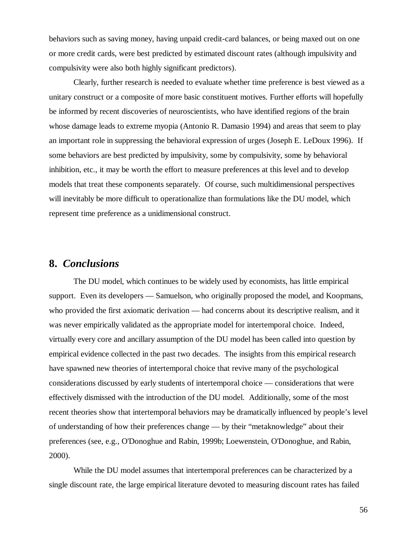behaviors such as saving money, having unpaid credit-card balances, or being maxed out on one or more credit cards, were best predicted by estimated discount rates (although impulsivity and compulsivity were also both highly significant predictors).

Clearly, further research is needed to evaluate whether time preference is best viewed as a unitary construct or a composite of more basic constituent motives. Further efforts will hopefully be informed by recent discoveries of neuroscientists, who have identified regions of the brain whose damage leads to extreme myopia (Antonio R. Damasio 1994) and areas that seem to play an important role in suppressing the behavioral expression of urges (Joseph E. LeDoux 1996). If some behaviors are best predicted by impulsivity, some by compulsivity, some by behavioral inhibition, etc., it may be worth the effort to measure preferences at this level and to develop models that treat these components separately. Of course, such multidimensional perspectives will inevitably be more difficult to operationalize than formulations like the DU model, which represent time preference as a unidimensional construct.

### **8.** *Conclusions*

 The DU model, which continues to be widely used by economists, has little empirical support. Even its developers — Samuelson, who originally proposed the model, and Koopmans, who provided the first axiomatic derivation — had concerns about its descriptive realism, and it was never empirically validated as the appropriate model for intertemporal choice. Indeed, virtually every core and ancillary assumption of the DU model has been called into question by empirical evidence collected in the past two decades. The insights from this empirical research have spawned new theories of intertemporal choice that revive many of the psychological considerations discussed by early students of intertemporal choice — considerations that were effectively dismissed with the introduction of the DU model. Additionally, some of the most recent theories show that intertemporal behaviors may be dramatically influenced by people's level of understanding of how their preferences change — by their "metaknowledge" about their preferences (see, e.g., O'Donoghue and Rabin, 1999b; Loewenstein, O'Donoghue, and Rabin, 2000).

While the DU model assumes that intertemporal preferences can be characterized by a single discount rate, the large empirical literature devoted to measuring discount rates has failed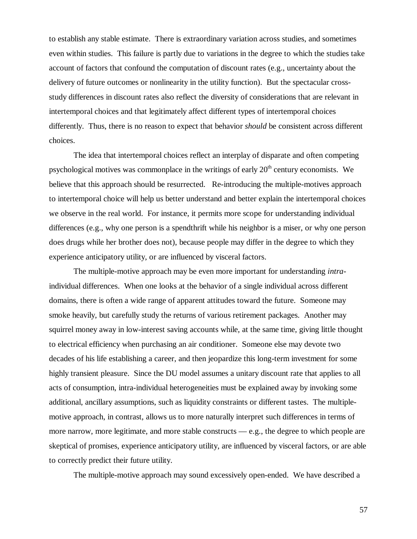to establish any stable estimate. There is extraordinary variation across studies, and sometimes even within studies. This failure is partly due to variations in the degree to which the studies take account of factors that confound the computation of discount rates (e.g., uncertainty about the delivery of future outcomes or nonlinearity in the utility function). But the spectacular crossstudy differences in discount rates also reflect the diversity of considerations that are relevant in intertemporal choices and that legitimately affect different types of intertemporal choices differently. Thus, there is no reason to expect that behavior *should* be consistent across different choices.

The idea that intertemporal choices reflect an interplay of disparate and often competing psychological motives was commonplace in the writings of early 20<sup>th</sup> century economists. We believe that this approach should be resurrected. Re-introducing the multiple-motives approach to intertemporal choice will help us better understand and better explain the intertemporal choices we observe in the real world. For instance, it permits more scope for understanding individual differences (e.g., why one person is a spendthrift while his neighbor is a miser, or why one person does drugs while her brother does not), because people may differ in the degree to which they experience anticipatory utility, or are influenced by visceral factors.

The multiple-motive approach may be even more important for understanding *intra*individual differences. When one looks at the behavior of a single individual across different domains, there is often a wide range of apparent attitudes toward the future. Someone may smoke heavily, but carefully study the returns of various retirement packages. Another may squirrel money away in low-interest saving accounts while, at the same time, giving little thought to electrical efficiency when purchasing an air conditioner. Someone else may devote two decades of his life establishing a career, and then jeopardize this long-term investment for some highly transient pleasure. Since the DU model assumes a unitary discount rate that applies to all acts of consumption, intra-individual heterogeneities must be explained away by invoking some additional, ancillary assumptions, such as liquidity constraints or different tastes. The multiplemotive approach, in contrast, allows us to more naturally interpret such differences in terms of more narrow, more legitimate, and more stable constructs — e.g., the degree to which people are skeptical of promises, experience anticipatory utility, are influenced by visceral factors, or are able to correctly predict their future utility.

The multiple-motive approach may sound excessively open-ended. We have described a

57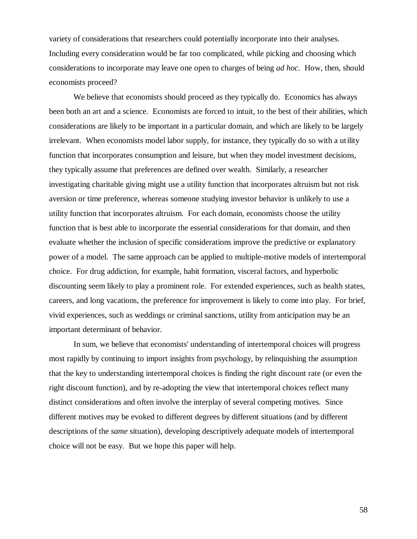variety of considerations that researchers could potentially incorporate into their analyses. Including every consideration would be far too complicated, while picking and choosing which considerations to incorporate may leave one open to charges of being *ad hoc*. How, then, should economists proceed?

We believe that economists should proceed as they typically do. Economics has always been both an art and a science. Economists are forced to intuit, to the best of their abilities, which considerations are likely to be important in a particular domain, and which are likely to be largely irrelevant. When economists model labor supply, for instance, they typically do so with a utility function that incorporates consumption and leisure, but when they model investment decisions, they typically assume that preferences are defined over wealth. Similarly, a researcher investigating charitable giving might use a utility function that incorporates altruism but not risk aversion or time preference, whereas someone studying investor behavior is unlikely to use a utility function that incorporates altruism. For each domain, economists choose the utility function that is best able to incorporate the essential considerations for that domain, and then evaluate whether the inclusion of specific considerations improve the predictive or explanatory power of a model. The same approach can be applied to multiple-motive models of intertemporal choice. For drug addiction, for example, habit formation, visceral factors, and hyperbolic discounting seem likely to play a prominent role. For extended experiences, such as health states, careers, and long vacations, the preference for improvement is likely to come into play. For brief, vivid experiences, such as weddings or criminal sanctions, utility from anticipation may be an important determinant of behavior.

In sum, we believe that economists' understanding of intertemporal choices will progress most rapidly by continuing to import insights from psychology, by relinquishing the assumption that the key to understanding intertemporal choices is finding the right discount rate (or even the right discount function), and by re-adopting the view that intertemporal choices reflect many distinct considerations and often involve the interplay of several competing motives. Since different motives may be evoked to different degrees by different situations (and by different descriptions of the *same* situation), developing descriptively adequate models of intertemporal choice will not be easy. But we hope this paper will help.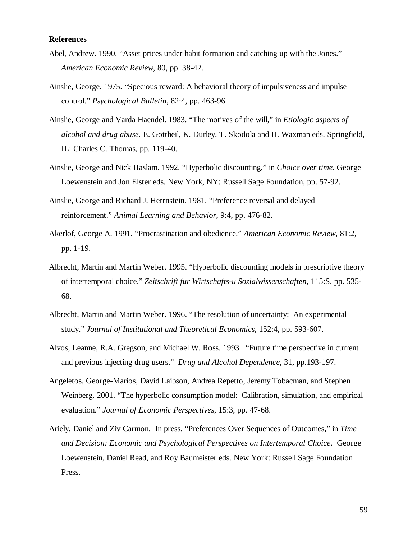#### **References**

- Abel, Andrew. 1990. "Asset prices under habit formation and catching up with the Jones." *American Economic Review*, 80, pp. 38-42.
- Ainslie, George. 1975. "Specious reward: A behavioral theory of impulsiveness and impulse control." *Psychological Bulletin*, 82:4, pp. 463-96.
- Ainslie, George and Varda Haendel. 1983. "The motives of the will," in *Etiologic aspects of alcohol and drug abuse*. E. Gottheil, K. Durley, T. Skodola and H. Waxman eds. Springfield, IL: Charles C. Thomas, pp. 119-40.
- Ainslie, George and Nick Haslam. 1992. "Hyperbolic discounting," in *Choice over time*. George Loewenstein and Jon Elster eds. New York, NY: Russell Sage Foundation, pp. 57-92.
- Ainslie, George and Richard J. Herrnstein. 1981. "Preference reversal and delayed reinforcement." *Animal Learning and Behavior*, 9:4, pp. 476-82.
- Akerlof, George A. 1991. "Procrastination and obedience." *American Economic Review*, 81:2, pp. 1-19.
- Albrecht, Martin and Martin Weber. 1995. "Hyperbolic discounting models in prescriptive theory of intertemporal choice." *Zeitschrift fur Wirtschafts-u Sozialwissenschaften*, 115:S, pp. 535- 68.
- Albrecht, Martin and Martin Weber. 1996. "The resolution of uncertainty: An experimental study." *Journal of Institutional and Theoretical Economics*, 152:4, pp. 593-607.
- Alvos, Leanne, R.A. Gregson, and Michael W. Ross. 1993. "Future time perspective in current and previous injecting drug users." *Drug and Alcohol Dependence*, 31, pp.193-197.
- Angeletos, George-Marios, David Laibson, Andrea Repetto, Jeremy Tobacman, and Stephen Weinberg. 2001. "The hyperbolic consumption model: Calibration, simulation, and empirical evaluation." *Journal of Economic Perspectives*, 15:3, pp. 47-68.
- Ariely, Daniel and Ziv Carmon. In press. "Preferences Over Sequences of Outcomes," in *Time and Decision: Economic and Psychological Perspectives on Intertemporal Choice*. George Loewenstein, Daniel Read, and Roy Baumeister eds. New York: Russell Sage Foundation Press.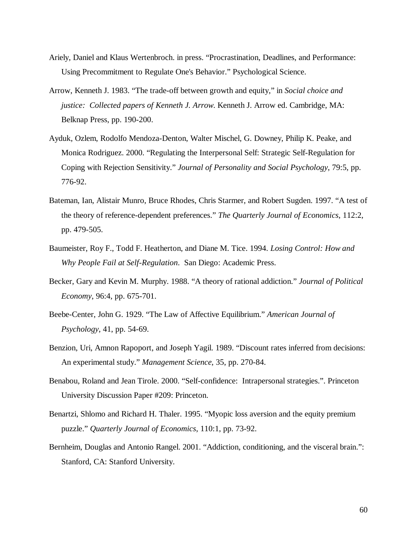- Ariely, Daniel and Klaus Wertenbroch. in press. "Procrastination, Deadlines, and Performance: Using Precommitment to Regulate One's Behavior." Psychological Science.
- Arrow, Kenneth J. 1983. "The trade-off between growth and equity," in *Social choice and justice: Collected papers of Kenneth J. Arrow*. Kenneth J. Arrow ed. Cambridge, MA: Belknap Press, pp. 190-200.
- Ayduk, Ozlem, Rodolfo Mendoza-Denton, Walter Mischel, G. Downey, Philip K. Peake, and Monica Rodriguez. 2000. "Regulating the Interpersonal Self: Strategic Self-Regulation for Coping with Rejection Sensitivity." *Journal of Personality and Social Psychology*, 79:5, pp. 776-92.
- Bateman, Ian, Alistair Munro, Bruce Rhodes, Chris Starmer, and Robert Sugden. 1997. "A test of the theory of reference-dependent preferences." *The Quarterly Journal of Economics*, 112:2, pp. 479-505.
- Baumeister, Roy F., Todd F. Heatherton, and Diane M. Tice. 1994. *Losing Control: How and Why People Fail at Self-Regulation*. San Diego: Academic Press.
- Becker, Gary and Kevin M. Murphy. 1988. "A theory of rational addiction." *Journal of Political Economy*, 96:4, pp. 675-701.
- Beebe-Center, John G. 1929. "The Law of Affective Equilibrium." *American Journal of Psychology*, 41, pp. 54-69.
- Benzion, Uri, Amnon Rapoport, and Joseph Yagil. 1989. "Discount rates inferred from decisions: An experimental study." *Management Science*, 35, pp. 270-84.
- Benabou, Roland and Jean Tirole. 2000. "Self-confidence: Intrapersonal strategies.". Princeton University Discussion Paper #209: Princeton.
- Benartzi, Shlomo and Richard H. Thaler. 1995. "Myopic loss aversion and the equity premium puzzle." *Quarterly Journal of Economics*, 110:1, pp. 73-92.
- Bernheim, Douglas and Antonio Rangel. 2001. "Addiction, conditioning, and the visceral brain.": Stanford, CA: Stanford University.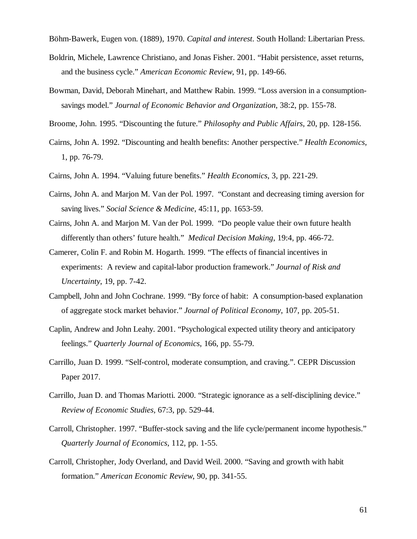Böhm-Bawerk, Eugen von. (1889), 1970. *Capital and interest*. South Holland: Libertarian Press.

- Boldrin, Michele, Lawrence Christiano, and Jonas Fisher. 2001. "Habit persistence, asset returns, and the business cycle." *American Economic Review*, 91, pp. 149-66.
- Bowman, David, Deborah Minehart, and Matthew Rabin. 1999. "Loss aversion in a consumptionsavings model." *Journal of Economic Behavior and Organization*, 38:2, pp. 155-78.
- Broome, John. 1995. "Discounting the future." *Philosophy and Public Affairs*, 20, pp. 128-156.
- Cairns, John A. 1992. "Discounting and health benefits: Another perspective." *Health Economics*, 1, pp. 76-79.
- Cairns, John A. 1994. "Valuing future benefits." *Health Economics*, 3, pp. 221-29.
- Cairns, John A. and Marjon M. Van der Pol. 1997. "Constant and decreasing timing aversion for saving lives." *Social Science & Medicine*, 45:11, pp. 1653-59.
- Cairns, John A. and Marjon M. Van der Pol. 1999. "Do people value their own future health differently than others' future health." *Medical Decision Making*, 19:4, pp. 466-72.
- Camerer, Colin F. and Robin M. Hogarth. 1999. "The effects of financial incentives in experiments: A review and capital-labor production framework." *Journal of Risk and Uncertainty*, 19, pp. 7-42.
- Campbell, John and John Cochrane. 1999. "By force of habit: A consumption-based explanation of aggregate stock market behavior." *Journal of Political Economy*, 107, pp. 205-51.
- Caplin, Andrew and John Leahy. 2001. "Psychological expected utility theory and anticipatory feelings." *Quarterly Journal of Economics*, 166, pp. 55-79.
- Carrillo, Juan D. 1999. "Self-control, moderate consumption, and craving.". CEPR Discussion Paper 2017.
- Carrillo, Juan D. and Thomas Mariotti. 2000. "Strategic ignorance as a self-disciplining device." *Review of Economic Studies*, 67:3, pp. 529-44.
- Carroll, Christopher. 1997. "Buffer-stock saving and the life cycle/permanent income hypothesis." *Quarterly Journal of Economics*, 112, pp. 1-55.
- Carroll, Christopher, Jody Overland, and David Weil. 2000. "Saving and growth with habit formation." *American Economic Review*, 90, pp. 341-55.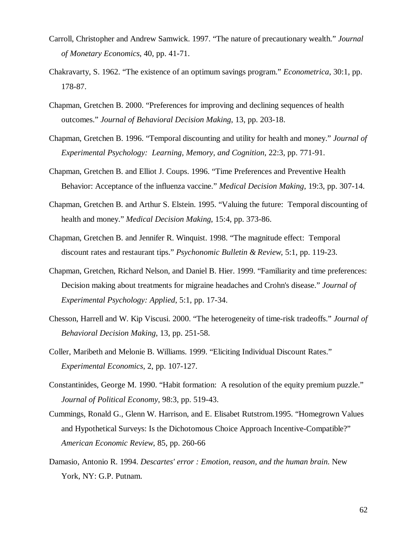- Carroll, Christopher and Andrew Samwick. 1997. "The nature of precautionary wealth." *Journal of Monetary Economics*, 40, pp. 41-71.
- Chakravarty, S. 1962. "The existence of an optimum savings program." *Econometrica*, 30:1, pp. 178-87.
- Chapman, Gretchen B. 2000. "Preferences for improving and declining sequences of health outcomes." *Journal of Behavioral Decision Making*, 13, pp. 203-18.
- Chapman, Gretchen B. 1996. "Temporal discounting and utility for health and money." *Journal of Experimental Psychology: Learning, Memory, and Cognition*, 22:3, pp. 771-91.
- Chapman, Gretchen B. and Elliot J. Coups. 1996. "Time Preferences and Preventive Health Behavior: Acceptance of the influenza vaccine." *Medical Decision Making*, 19:3, pp. 307-14.
- Chapman, Gretchen B. and Arthur S. Elstein. 1995. "Valuing the future: Temporal discounting of health and money." *Medical Decision Making*, 15:4, pp. 373-86.
- Chapman, Gretchen B. and Jennifer R. Winquist. 1998. "The magnitude effect: Temporal discount rates and restaurant tips." *Psychonomic Bulletin & Review*, 5:1, pp. 119-23.
- Chapman, Gretchen, Richard Nelson, and Daniel B. Hier. 1999. "Familiarity and time preferences: Decision making about treatments for migraine headaches and Crohn's disease." *Journal of Experimental Psychology: Applied*, 5:1, pp. 17-34.
- Chesson, Harrell and W. Kip Viscusi. 2000. "The heterogeneity of time-risk tradeoffs." *Journal of Behavioral Decision Making*, 13, pp. 251-58.
- Coller, Maribeth and Melonie B. Williams. 1999. "Eliciting Individual Discount Rates." *Experimental Economics*, 2, pp. 107-127.
- Constantinides, George M. 1990. "Habit formation: A resolution of the equity premium puzzle." *Journal of Political Economy*, 98:3, pp. 519-43.
- Cummings, Ronald G., Glenn W. Harrison, and E. Elisabet Rutstrom.1995. "Homegrown Values and Hypothetical Surveys: Is the Dichotomous Choice Approach Incentive-Compatible?" *American Economic Review*, 85, pp. 260-66
- Damasio, Antonio R. 1994. *Descartes' error : Emotion, reason, and the human brain*. New York, NY: G.P. Putnam.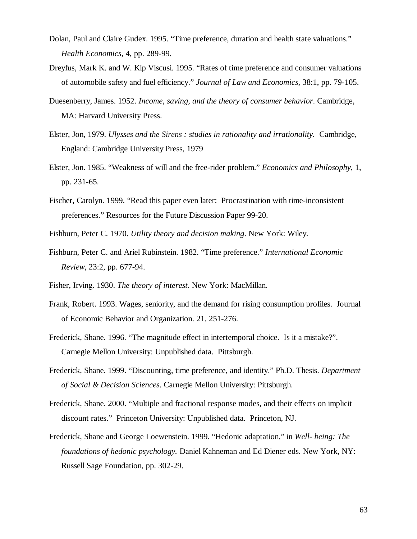- Dolan, Paul and Claire Gudex. 1995. "Time preference, duration and health state valuations." *Health Economics*, 4, pp. 289-99.
- Dreyfus, Mark K. and W. Kip Viscusi. 1995. "Rates of time preference and consumer valuations of automobile safety and fuel efficiency." *Journal of Law and Economics*, 38:1, pp. 79-105.
- Duesenberry, James. 1952. *Income, saving, and the theory of consumer behavior*. Cambridge, MA: Harvard University Press.
- Elster, Jon, 1979. *Ulysses and the Sirens : studies in rationality and irrationality.* Cambridge, England: Cambridge University Press, 1979
- Elster, Jon. 1985. "Weakness of will and the free-rider problem." *Economics and Philosophy*, 1, pp. 231-65.
- Fischer, Carolyn. 1999. "Read this paper even later: Procrastination with time-inconsistent preferences." Resources for the Future Discussion Paper 99-20.
- Fishburn, Peter C. 1970. *Utility theory and decision making*. New York: Wiley.
- Fishburn, Peter C. and Ariel Rubinstein. 1982. "Time preference." *International Economic Review*, 23:2, pp. 677-94.
- Fisher, Irving. 1930. *The theory of interest*. New York: MacMillan.
- Frank, Robert. 1993. Wages, seniority, and the demand for rising consumption profiles. Journal of Economic Behavior and Organization. 21, 251-276.
- Frederick, Shane. 1996. "The magnitude effect in intertemporal choice. Is it a mistake?". Carnegie Mellon University: Unpublished data. Pittsburgh.
- Frederick, Shane. 1999. "Discounting, time preference, and identity." Ph.D. Thesis. *Department of Social & Decision Sciences*. Carnegie Mellon University: Pittsburgh.
- Frederick, Shane. 2000. "Multiple and fractional response modes, and their effects on implicit discount rates." Princeton University: Unpublished data. Princeton, NJ.
- Frederick, Shane and George Loewenstein. 1999. "Hedonic adaptation," in *Well- being: The foundations of hedonic psychology.* Daniel Kahneman and Ed Diener eds. New York, NY: Russell Sage Foundation, pp. 302-29.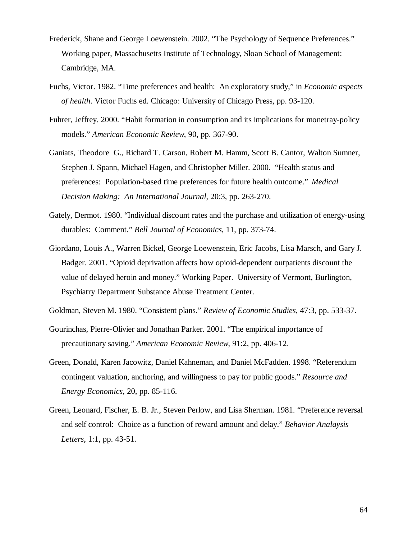- Frederick, Shane and George Loewenstein. 2002. "The Psychology of Sequence Preferences." Working paper, Massachusetts Institute of Technology, Sloan School of Management: Cambridge, MA.
- Fuchs, Victor. 1982. "Time preferences and health: An exploratory study," in *Economic aspects of health*. Victor Fuchs ed. Chicago: University of Chicago Press, pp. 93-120.
- Fuhrer, Jeffrey. 2000. "Habit formation in consumption and its implications for monetray-policy models." *American Economic Review*, 90, pp. 367-90.
- Ganiats, Theodore G., Richard T. Carson, Robert M. Hamm, Scott B. Cantor, Walton Sumner, Stephen J. Spann, Michael Hagen, and Christopher Miller. 2000. "Health status and preferences: Population-based time preferences for future health outcome." *Medical Decision Making: An International Journal*, 20:3, pp. 263-270.
- Gately, Dermot. 1980. "Individual discount rates and the purchase and utilization of energy-using durables: Comment." *Bell Journal of Economics*, 11, pp. 373-74.
- Giordano, Louis A., Warren Bickel, George Loewenstein, Eric Jacobs, Lisa Marsch, and Gary J. Badger. 2001. "Opioid deprivation affects how opioid-dependent outpatients discount the value of delayed heroin and money." Working Paper. University of Vermont, Burlington, Psychiatry Department Substance Abuse Treatment Center.
- Goldman, Steven M. 1980. "Consistent plans." *Review of Economic Studies*, 47:3, pp. 533-37.
- Gourinchas, Pierre-Olivier and Jonathan Parker. 2001. "The empirical importance of precautionary saving." *American Economic Review*, 91:2, pp. 406-12.
- Green, Donald, Karen Jacowitz, Daniel Kahneman, and Daniel McFadden. 1998. "Referendum contingent valuation, anchoring, and willingness to pay for public goods." *Resource and Energy Economics*, 20, pp. 85-116.
- Green, Leonard, Fischer, E. B. Jr., Steven Perlow, and Lisa Sherman. 1981. "Preference reversal and self control: Choice as a function of reward amount and delay." *Behavior Analaysis Letters*, 1:1, pp. 43-51.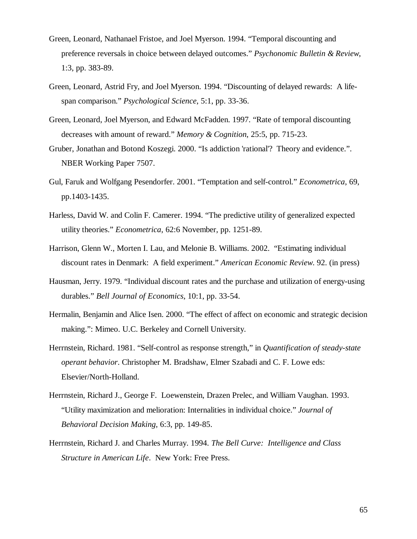- Green, Leonard, Nathanael Fristoe, and Joel Myerson. 1994. "Temporal discounting and preference reversals in choice between delayed outcomes." *Psychonomic Bulletin & Review*, 1:3, pp. 383-89.
- Green, Leonard, Astrid Fry, and Joel Myerson. 1994. "Discounting of delayed rewards: A lifespan comparison." *Psychological Science*, 5:1, pp. 33-36.
- Green, Leonard, Joel Myerson, and Edward McFadden. 1997. "Rate of temporal discounting decreases with amount of reward." *Memory & Cognition*, 25:5, pp. 715-23.
- Gruber, Jonathan and Botond Koszegi. 2000. "Is addiction 'rational'? Theory and evidence.". NBER Working Paper 7507.
- Gul, Faruk and Wolfgang Pesendorfer. 2001. "Temptation and self-control." *Econometrica*, 69, pp.1403-1435.
- Harless, David W. and Colin F. Camerer. 1994. "The predictive utility of generalized expected utility theories." *Econometrica*, 62:6 November, pp. 1251-89.
- Harrison, Glenn W., Morten I. Lau, and Melonie B. Williams. 2002. "Estimating individual discount rates in Denmark: A field experiment." *American Economic Review*. 92. (in press)
- Hausman, Jerry. 1979. "Individual discount rates and the purchase and utilization of energy-using durables." *Bell Journal of Economics*, 10:1, pp. 33-54.
- Hermalin, Benjamin and Alice Isen. 2000. "The effect of affect on economic and strategic decision making.": Mimeo. U.C. Berkeley and Cornell University.
- Herrnstein, Richard. 1981. "Self-control as response strength," in *Quantification of steady-state operant behavior*. Christopher M. Bradshaw, Elmer Szabadi and C. F. Lowe eds: Elsevier/North-Holland.
- Herrnstein, Richard J., George F. Loewenstein, Drazen Prelec, and William Vaughan. 1993. "Utility maximization and melioration: Internalities in individual choice." *Journal of Behavioral Decision Making*, 6:3, pp. 149-85.
- Herrnstein, Richard J. and Charles Murray. 1994. *The Bell Curve: Intelligence and Class Structure in American Life*. New York: Free Press.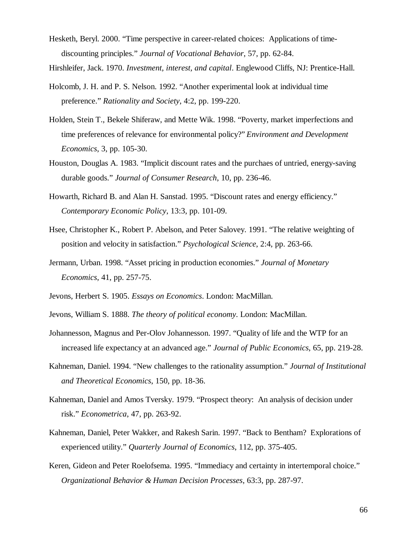- Hesketh, Beryl. 2000. "Time perspective in career-related choices: Applications of timediscounting principles." *Journal of Vocational Behavior*, 57, pp. 62-84.
- Hirshleifer, Jack. 1970. *Investment, interest, and capital*. Englewood Cliffs, NJ: Prentice-Hall.
- Holcomb, J. H. and P. S. Nelson. 1992. "Another experimental look at individual time preference." *Rationality and Society*, 4:2, pp. 199-220.
- Holden, Stein T., Bekele Shiferaw, and Mette Wik. 1998. "Poverty, market imperfections and time preferences of relevance for environmental policy?" *Environment and Development Economics*, 3, pp. 105-30.
- Houston, Douglas A. 1983. "Implicit discount rates and the purchaes of untried, energy-saving durable goods." *Journal of Consumer Research*, 10, pp. 236-46.
- Howarth, Richard B. and Alan H. Sanstad. 1995. "Discount rates and energy efficiency." *Contemporary Economic Policy*, 13:3, pp. 101-09.
- Hsee, Christopher K., Robert P. Abelson, and Peter Salovey. 1991. "The relative weighting of position and velocity in satisfaction." *Psychological Science*, 2:4, pp. 263-66.
- Jermann, Urban. 1998. "Asset pricing in production economies." *Journal of Monetary Economics*, 41, pp. 257-75.
- Jevons, Herbert S. 1905. *Essays on Economics*. London: MacMillan.
- Jevons, William S. 1888. *The theory of political economy*. London: MacMillan.
- Johannesson, Magnus and Per-Olov Johannesson. 1997. "Quality of life and the WTP for an increased life expectancy at an advanced age." *Journal of Public Economics*, 65, pp. 219-28.
- Kahneman, Daniel. 1994. "New challenges to the rationality assumption." *Journal of Institutional and Theoretical Economics*, 150, pp. 18-36.
- Kahneman, Daniel and Amos Tversky. 1979. "Prospect theory: An analysis of decision under risk." *Econometrica*, 47, pp. 263-92.
- Kahneman, Daniel, Peter Wakker, and Rakesh Sarin. 1997. "Back to Bentham? Explorations of experienced utility." *Quarterly Journal of Economics*, 112, pp. 375-405.
- Keren, Gideon and Peter Roelofsema. 1995. "Immediacy and certainty in intertemporal choice." *Organizational Behavior & Human Decision Processes*, 63:3, pp. 287-97.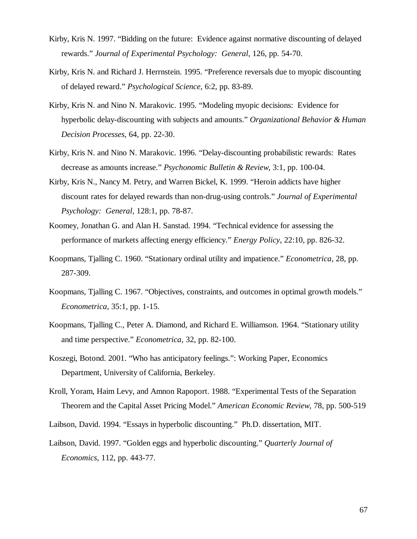- Kirby, Kris N. 1997. "Bidding on the future: Evidence against normative discounting of delayed rewards." *Journal of Experimental Psychology: General*, 126, pp. 54-70.
- Kirby, Kris N. and Richard J. Herrnstein. 1995. "Preference reversals due to myopic discounting of delayed reward." *Psychological Science*, 6:2, pp. 83-89.
- Kirby, Kris N. and Nino N. Marakovic. 1995. "Modeling myopic decisions: Evidence for hyperbolic delay-discounting with subjects and amounts." *Organizational Behavior & Human Decision Processes*, 64, pp. 22-30.
- Kirby, Kris N. and Nino N. Marakovic. 1996. "Delay-discounting probabilistic rewards: Rates decrease as amounts increase." *Psychonomic Bulletin & Review*, 3:1, pp. 100-04.
- Kirby, Kris N., Nancy M. Petry, and Warren Bickel, K. 1999. "Heroin addicts have higher discount rates for delayed rewards than non-drug-using controls." *Journal of Experimental Psychology: General*, 128:1, pp. 78-87.
- Koomey, Jonathan G. and Alan H. Sanstad. 1994. "Technical evidence for assessing the performance of markets affecting energy efficiency." *Energy Policy*, 22:10, pp. 826-32.
- Koopmans, Tjalling C. 1960. "Stationary ordinal utility and impatience." *Econometrica*, 28, pp. 287-309.
- Koopmans, Tjalling C. 1967. "Objectives, constraints, and outcomes in optimal growth models." *Econometrica*, 35:1, pp. 1-15.
- Koopmans, Tjalling C., Peter A. Diamond, and Richard E. Williamson. 1964. "Stationary utility and time perspective." *Econometrica*, 32, pp. 82-100.
- Koszegi, Botond. 2001. "Who has anticipatory feelings.": Working Paper, Economics Department, University of California, Berkeley.
- Kroll, Yoram, Haim Levy, and Amnon Rapoport. 1988. "Experimental Tests of the Separation Theorem and the Capital Asset Pricing Model." *American Economic Review*, 78, pp. 500-519
- Laibson, David. 1994. "Essays in hyperbolic discounting." Ph.D. dissertation, MIT.
- Laibson, David. 1997. "Golden eggs and hyperbolic discounting." *Quarterly Journal of Economics*, 112, pp. 443-77.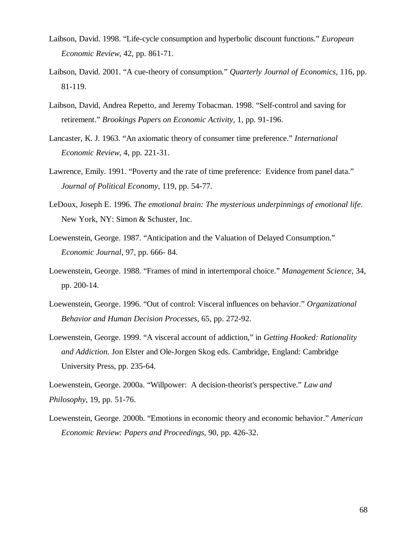- Laibson, David. 1998. "Life-cycle consumption and hyperbolic discount functions." *European Economic Review*, 42, pp. 861-71.
- Laibson, David. 2001. "A cue-theory of consumption." *Quarterly Journal of Economics*, 116, pp. 81-119.
- Laibson, David, Andrea Repetto, and Jeremy Tobacman. 1998. "Self-control and saving for retirement." *Brookings Papers on Economic Activity*, 1, pp. 91-196.
- Lancaster, K. J. 1963. "An axiomatic theory of consumer time preference." *International Economic Review*, 4, pp. 221-31.
- Lawrence, Emily. 1991. "Poverty and the rate of time preference: Evidence from panel data." *Journal of Political Economy*, 119, pp. 54-77.
- LeDoux, Joseph E. 1996. *The emotional brain: The mysterious underpinnings of emotional life*. New York, NY: Simon & Schuster, Inc.
- Loewenstein, George. 1987. "Anticipation and the Valuation of Delayed Consumption." *Economic Journal*, 97, pp. 666- 84.
- Loewenstein, George. 1988. "Frames of mind in intertemporal choice." *Management Science*, 34, pp. 200-14.
- Loewenstein, George. 1996. "Out of control: Visceral influences on behavior." *Organizational Behavior and Human Decision Processes*, 65, pp. 272-92.
- Loewenstein, George. 1999. "A visceral account of addiction," in *Getting Hooked: Rationality and Addiction.* Jon Elster and Ole-Jorgen Skog eds. Cambridge, England: Cambridge University Press, pp. 235-64.

Loewenstein, George. 2000a. "Willpower: A decision-theorist's perspective." *Law and Philosophy*, 19, pp. 51-76.

Loewenstein, George. 2000b. "Emotions in economic theory and economic behavior." *American Economic Review: Papers and Proceedings*, 90, pp. 426-32.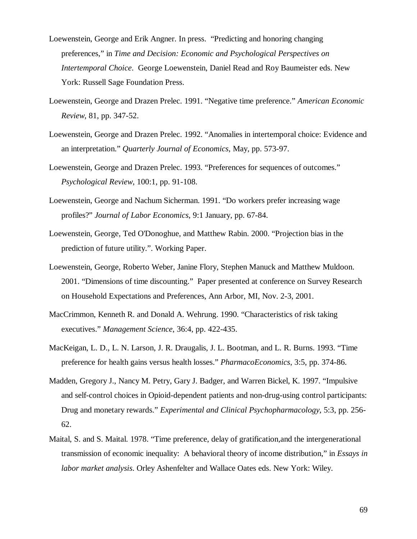- Loewenstein, George and Erik Angner. In press. "Predicting and honoring changing preferences," in *Time and Decision: Economic and Psychological Perspectives on Intertemporal Choice*. George Loewenstein, Daniel Read and Roy Baumeister eds. New York: Russell Sage Foundation Press.
- Loewenstein, George and Drazen Prelec. 1991. "Negative time preference." *American Economic Review*, 81, pp. 347-52.
- Loewenstein, George and Drazen Prelec. 1992. "Anomalies in intertemporal choice: Evidence and an interpretation." *Quarterly Journal of Economics*, May, pp. 573-97.
- Loewenstein, George and Drazen Prelec. 1993. "Preferences for sequences of outcomes." *Psychological Review*, 100:1, pp. 91-108.
- Loewenstein, George and Nachum Sicherman. 1991. "Do workers prefer increasing wage profiles?" *Journal of Labor Economics*, 9:1 January, pp. 67-84.
- Loewenstein, George, Ted O'Donoghue, and Matthew Rabin. 2000. "Projection bias in the prediction of future utility.". Working Paper.
- Loewenstein, George, Roberto Weber, Janine Flory, Stephen Manuck and Matthew Muldoon. 2001. "Dimensions of time discounting." Paper presented at conference on Survey Research on Household Expectations and Preferences, Ann Arbor, MI, Nov. 2-3, 2001.
- MacCrimmon, Kenneth R. and Donald A. Wehrung. 1990. "Characteristics of risk taking executives." *Management Science*, 36:4, pp. 422-435.
- MacKeigan, L. D., L. N. Larson, J. R. Draugalis, J. L. Bootman, and L. R. Burns. 1993. "Time preference for health gains versus health losses." *PharmacoEconomics*, 3:5, pp. 374-86.
- Madden, Gregory J., Nancy M. Petry, Gary J. Badger, and Warren Bickel, K. 1997. "Impulsive and self-control choices in Opioid-dependent patients and non-drug-using control participants: Drug and monetary rewards." *Experimental and Clinical Psychopharmacology*, 5:3, pp. 256- 62.
- Maital, S. and S. Maital. 1978. "Time preference, delay of gratification,and the intergenerational transmission of economic inequality: A behavioral theory of income distribution," in *Essays in labor market analysis*. Orley Ashenfelter and Wallace Oates eds. New York: Wiley.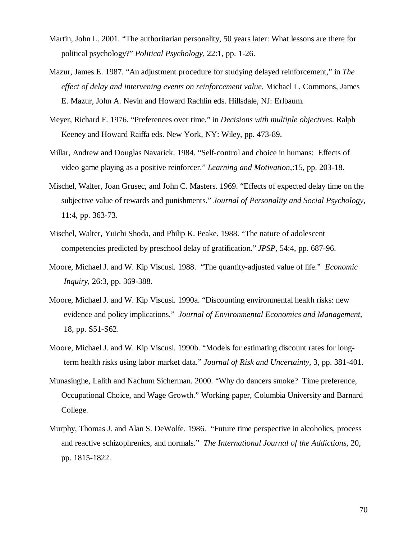- Martin, John L. 2001. "The authoritarian personality, 50 years later: What lessons are there for political psychology?" *Political Psychology*, 22:1, pp. 1-26.
- Mazur, James E. 1987. "An adjustment procedure for studying delayed reinforcement," in *The effect of delay and intervening events on reinforcement value*. Michael L. Commons, James E. Mazur, John A. Nevin and Howard Rachlin eds. Hillsdale, NJ: Erlbaum.
- Meyer, Richard F. 1976. "Preferences over time," in *Decisions with multiple objectives*. Ralph Keeney and Howard Raiffa eds. New York, NY: Wiley, pp. 473-89.
- Millar, Andrew and Douglas Navarick. 1984. "Self-control and choice in humans: Effects of video game playing as a positive reinforcer." *Learning and Motivation*,:15, pp. 203-18.
- Mischel, Walter, Joan Grusec, and John C. Masters. 1969. "Effects of expected delay time on the subjective value of rewards and punishments." *Journal of Personality and Social Psychology*, 11:4, pp. 363-73.
- Mischel, Walter, Yuichi Shoda, and Philip K. Peake. 1988. "The nature of adolescent competencies predicted by preschool delay of gratification." *JPSP*, 54:4, pp. 687-96.
- Moore, Michael J. and W. Kip Viscusi. 1988. "The quantity-adjusted value of life." *Economic Inquiry*, 26:3, pp. 369-388.
- Moore, Michael J. and W. Kip Viscusi. 1990a. "Discounting environmental health risks: new evidence and policy implications." *Journal of Environmental Economics and Management*, 18, pp. S51-S62.
- Moore, Michael J. and W. Kip Viscusi. 1990b. "Models for estimating discount rates for longterm health risks using labor market data." *Journal of Risk and Uncertainty*, 3, pp. 381-401.
- Munasinghe, Lalith and Nachum Sicherman. 2000. "Why do dancers smoke? Time preference, Occupational Choice, and Wage Growth." Working paper, Columbia University and Barnard College.
- Murphy, Thomas J. and Alan S. DeWolfe. 1986. "Future time perspective in alcoholics, process and reactive schizophrenics, and normals." *The International Journal of the Addictions*, 20, pp. 1815-1822.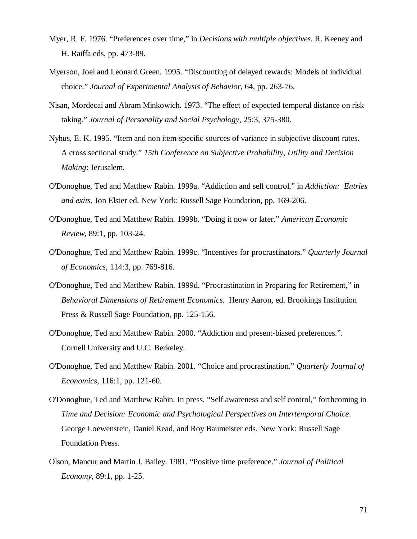- Myer, R. F. 1976. "Preferences over time," in *Decisions with multiple objectives*. R. Keeney and H. Raiffa eds, pp. 473-89.
- Myerson, Joel and Leonard Green. 1995. "Discounting of delayed rewards: Models of individual choice." *Journal of Experimental Analysis of Behavior*, 64, pp. 263-76.
- Nisan, Mordecai and Abram Minkowich. 1973. "The effect of expected temporal distance on risk taking." *Journal of Personality and Social Psychology*, 25:3, 375-380.
- Nyhus, E. K. 1995. "Item and non item-specific sources of variance in subjective discount rates. A cross sectional study." *15th Conference on Subjective Probability, Utility and Decision Making*: Jerusalem.
- O'Donoghue, Ted and Matthew Rabin. 1999a. "Addiction and self control," in *Addiction: Entries and exits*. Jon Elster ed. New York: Russell Sage Foundation, pp. 169-206.
- O'Donoghue, Ted and Matthew Rabin. 1999b. "Doing it now or later." *American Economic Review*, 89:1, pp. 103-24.
- O'Donoghue, Ted and Matthew Rabin. 1999c. "Incentives for procrastinators." *Quarterly Journal of Economics*, 114:3, pp. 769-816.
- O'Donoghue, Ted and Matthew Rabin. 1999d. "Procrastination in Preparing for Retirement," in *Behavioral Dimensions of Retirement Economics*. Henry Aaron, ed. Brookings Institution Press & Russell Sage Foundation, pp. 125-156.
- O'Donoghue, Ted and Matthew Rabin. 2000. "Addiction and present-biased preferences.". Cornell University and U.C. Berkeley.
- O'Donoghue, Ted and Matthew Rabin. 2001. "Choice and procrastination." *Quarterly Journal of Economics*, 116:1, pp. 121-60.
- O'Donoghue, Ted and Matthew Rabin. In press. "Self awareness and self control," forthcoming in *Time and Decision: Economic and Psychological Perspectives on Intertemporal Choice*. George Loewenstein, Daniel Read, and Roy Baumeister eds. New York: Russell Sage Foundation Press.
- Olson, Mancur and Martin J. Bailey. 1981. "Positive time preference." *Journal of Political Economy*, 89:1, pp. 1-25.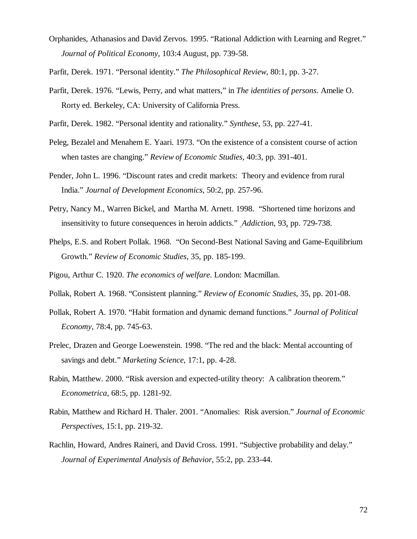- Orphanides, Athanasios and David Zervos. 1995. "Rational Addiction with Learning and Regret." *Journal of Political Economy*, 103:4 August, pp. 739-58.
- Parfit, Derek. 1971. "Personal identity." *The Philosophical Review*, 80:1, pp. 3-27.
- Parfit, Derek. 1976. "Lewis, Perry, and what matters," in *The identities of persons*. Amelie O. Rorty ed. Berkeley, CA: University of California Press.
- Parfit, Derek. 1982. "Personal identity and rationality." *Synthese*, 53, pp. 227-41.
- Peleg, Bezalel and Menahem E. Yaari. 1973. "On the existence of a consistent course of action when tastes are changing." *Review of Economic Studies*, 40:3, pp. 391-401.
- Pender, John L. 1996. "Discount rates and credit markets: Theory and evidence from rural India." *Journal of Development Economics*, 50:2, pp. 257-96.
- Petry, Nancy M., Warren Bickel, and Martha M. Arnett. 1998. "Shortened time horizons and insensitivity to future consequences in heroin addicts." *Addiction*, 93, pp. 729-738.
- Phelps, E.S. and Robert Pollak. 1968. "On Second-Best National Saving and Game-Equilibrium Growth." *Review of Economic Studies*, 35, pp. 185-199.
- Pigou, Arthur C. 1920. *The economics of welfare*. London: Macmillan.
- Pollak, Robert A. 1968. "Consistent planning." *Review of Economic Studies*, 35, pp. 201-08.
- Pollak, Robert A. 1970. "Habit formation and dynamic demand functions." *Journal of Political Economy*, 78:4, pp. 745-63.
- Prelec, Drazen and George Loewenstein. 1998. "The red and the black: Mental accounting of savings and debt." *Marketing Science*, 17:1, pp. 4-28.
- Rabin, Matthew. 2000. "Risk aversion and expected-utility theory: A calibration theorem." *Econometrica*, 68:5, pp. 1281-92.
- Rabin, Matthew and Richard H. Thaler. 2001. "Anomalies: Risk aversion." *Journal of Economic Perspectives*, 15:1, pp. 219-32.
- Rachlin, Howard, Andres Raineri, and David Cross. 1991. "Subjective probability and delay." *Journal of Experimental Analysis of Behavior*, 55:2, pp. 233-44.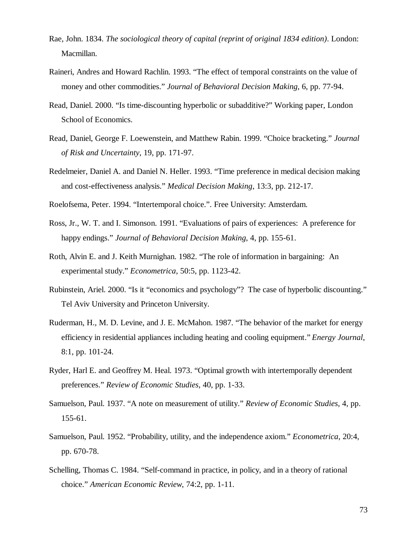- Rae, John. 1834. *The sociological theory of capital (reprint of original 1834 edition)*. London: Macmillan.
- Raineri, Andres and Howard Rachlin. 1993. "The effect of temporal constraints on the value of money and other commodities." *Journal of Behavioral Decision Making*, 6, pp. 77-94.
- Read, Daniel. 2000. "Is time-discounting hyperbolic or subadditive?" Working paper, London School of Economics.
- Read, Daniel, George F. Loewenstein, and Matthew Rabin. 1999. "Choice bracketing." *Journal of Risk and Uncertainty*, 19, pp. 171-97.
- Redelmeier, Daniel A. and Daniel N. Heller. 1993. "Time preference in medical decision making and cost-effectiveness analysis." *Medical Decision Making*, 13:3, pp. 212-17.
- Roelofsema, Peter. 1994. "Intertemporal choice.". Free University: Amsterdam.
- Ross, Jr., W. T. and I. Simonson. 1991. "Evaluations of pairs of experiences: A preference for happy endings." *Journal of Behavioral Decision Making*, 4, pp. 155-61.
- Roth, Alvin E. and J. Keith Murnighan. 1982. "The role of information in bargaining: An experimental study." *Econometrica*, 50:5, pp. 1123-42.
- Rubinstein, Ariel. 2000. "Is it "economics and psychology"? The case of hyperbolic discounting." Tel Aviv University and Princeton University.
- Ruderman, H., M. D. Levine, and J. E. McMahon. 1987. "The behavior of the market for energy efficiency in residential appliances including heating and cooling equipment." *Energy Journal*, 8:1, pp. 101-24.
- Ryder, Harl E. and Geoffrey M. Heal. 1973. "Optimal growth with intertemporally dependent preferences." *Review of Economic Studies*, 40, pp. 1-33.
- Samuelson, Paul. 1937. "A note on measurement of utility." *Review of Economic Studies*, 4, pp. 155-61.
- Samuelson, Paul. 1952. "Probability, utility, and the independence axiom." *Econometrica*, 20:4, pp. 670-78.
- Schelling, Thomas C. 1984. "Self-command in practice, in policy, and in a theory of rational choice." *American Economic Review*, 74:2, pp. 1-11.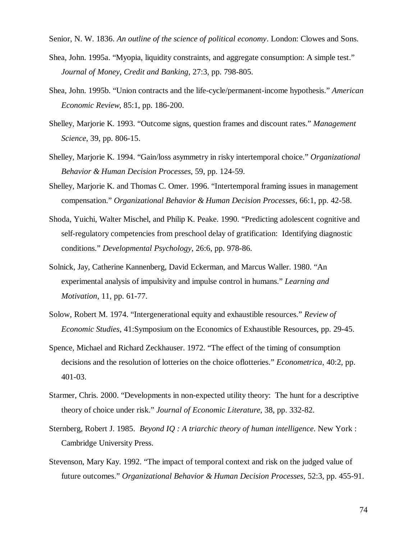Senior, N. W. 1836. *An outline of the science of political economy*. London: Clowes and Sons.

- Shea, John. 1995a. "Myopia, liquidity constraints, and aggregate consumption: A simple test." *Journal of Money, Credit and Banking*, 27:3, pp. 798-805.
- Shea, John. 1995b. "Union contracts and the life-cycle/permanent-income hypothesis." *American Economic Review*, 85:1, pp. 186-200.
- Shelley, Marjorie K. 1993. "Outcome signs, question frames and discount rates." *Management Science*, 39, pp. 806-15.
- Shelley, Marjorie K. 1994. "Gain/loss asymmetry in risky intertemporal choice." *Organizational Behavior & Human Decision Processes*, 59, pp. 124-59.
- Shelley, Marjorie K. and Thomas C. Omer. 1996. "Intertemporal framing issues in management compensation." *Organizational Behavior & Human Decision Processes*, 66:1, pp. 42-58.
- Shoda, Yuichi, Walter Mischel, and Philip K. Peake. 1990. "Predicting adolescent cognitive and self-regulatory competencies from preschool delay of gratification: Identifying diagnostic conditions." *Developmental Psychology*, 26:6, pp. 978-86.
- Solnick, Jay, Catherine Kannenberg, David Eckerman, and Marcus Waller. 1980. "An experimental analysis of impulsivity and impulse control in humans." *Learning and Motivation*, 11, pp. 61-77.
- Solow, Robert M. 1974. "Intergenerational equity and exhaustible resources." *Review of Economic Studies*, 41:Symposium on the Economics of Exhaustible Resources, pp. 29-45.
- Spence, Michael and Richard Zeckhauser. 1972. "The effect of the timing of consumption decisions and the resolution of lotteries on the choice oflotteries." *Econometrica*, 40:2, pp. 401-03.
- Starmer, Chris. 2000. "Developments in non-expected utility theory: The hunt for a descriptive theory of choice under risk." *Journal of Economic Literature*, 38, pp. 332-82.
- Sternberg, Robert J. 1985. *Beyond IQ : A triarchic theory of human intelligence*. New York : Cambridge University Press.
- Stevenson, Mary Kay. 1992. "The impact of temporal context and risk on the judged value of future outcomes." *Organizational Behavior & Human Decision Processes*, 52:3, pp. 455-91.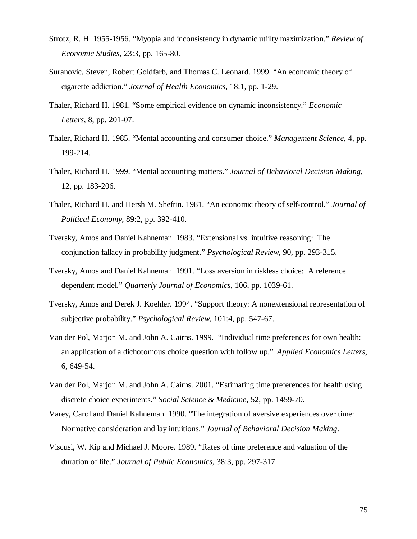- Strotz, R. H. 1955-1956. "Myopia and inconsistency in dynamic utiilty maximization." *Review of Economic Studies*, 23:3, pp. 165-80.
- Suranovic, Steven, Robert Goldfarb, and Thomas C. Leonard. 1999. "An economic theory of cigarette addiction." *Journal of Health Economics*, 18:1, pp. 1-29.
- Thaler, Richard H. 1981. "Some empirical evidence on dynamic inconsistency." *Economic Letters*, 8, pp. 201-07.
- Thaler, Richard H. 1985. "Mental accounting and consumer choice." *Management Science*, 4, pp. 199-214.
- Thaler, Richard H. 1999. "Mental accounting matters." *Journal of Behavioral Decision Making*, 12, pp. 183-206.
- Thaler, Richard H. and Hersh M. Shefrin. 1981. "An economic theory of self-control." *Journal of Political Economy*, 89:2, pp. 392-410.
- Tversky, Amos and Daniel Kahneman. 1983. "Extensional vs. intuitive reasoning: The conjunction fallacy in probability judgment." *Psychological Review*, 90, pp. 293-315.
- Tversky, Amos and Daniel Kahneman. 1991. "Loss aversion in riskless choice: A reference dependent model." *Quarterly Journal of Economics*, 106, pp. 1039-61.
- Tversky, Amos and Derek J. Koehler. 1994. "Support theory: A nonextensional representation of subjective probability." *Psychological Review*, 101:4, pp. 547-67.
- Van der Pol, Marjon M. and John A. Cairns. 1999. "Individual time preferences for own health: an application of a dichotomous choice question with follow up." *Applied Economics Letters*, 6, 649-54.
- Van der Pol, Marjon M. and John A. Cairns. 2001. "Estimating time preferences for health using discrete choice experiments." *Social Science & Medicine*, 52, pp. 1459-70.
- Varey, Carol and Daniel Kahneman. 1990. "The integration of aversive experiences over time: Normative consideration and lay intuitions." *Journal of Behavioral Decision Making*.
- Viscusi, W. Kip and Michael J. Moore. 1989. "Rates of time preference and valuation of the duration of life." *Journal of Public Economics*, 38:3, pp. 297-317.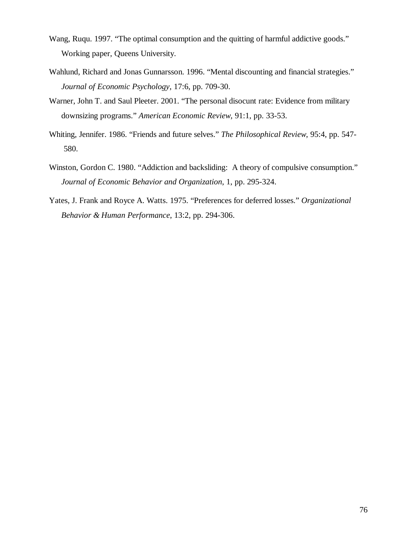- Wang, Ruqu. 1997. "The optimal consumption and the quitting of harmful addictive goods." Working paper, Queens University.
- Wahlund, Richard and Jonas Gunnarsson. 1996. "Mental discounting and financial strategies." *Journal of Economic Psychology*, 17:6, pp. 709-30.
- Warner, John T. and Saul Pleeter. 2001. "The personal disocunt rate: Evidence from military downsizing programs." *American Economic Review*, 91:1, pp. 33-53.
- Whiting, Jennifer. 1986. "Friends and future selves." *The Philosophical Review*, 95:4, pp. 547- 580.
- Winston, Gordon C. 1980. "Addiction and backsliding: A theory of compulsive consumption." *Journal of Economic Behavior and Organization*, 1, pp. 295-324.
- Yates, J. Frank and Royce A. Watts. 1975. "Preferences for deferred losses." *Organizational Behavior & Human Performance*, 13:2, pp. 294-306.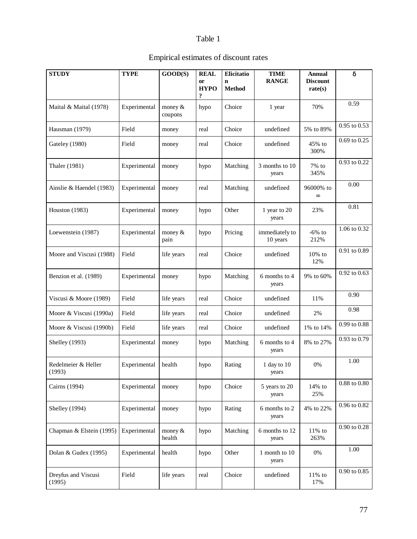## Table 1

## Empirical estimates of discount rates

| <b>STUDY</b>                  | <b>TYPE</b>  | GOOD(S)              | <b>REAL</b><br>or<br><b>HYPO</b><br>? | Elicitatio<br>$\mathbf n$<br><b>Method</b> | <b>TIME</b><br><b>RANGE</b> | <b>Annual</b><br><b>Discount</b><br>rate(s) | $\delta$           |
|-------------------------------|--------------|----------------------|---------------------------------------|--------------------------------------------|-----------------------------|---------------------------------------------|--------------------|
| Maital & Maital (1978)        | Experimental | money $&$<br>coupons | hypo                                  | Choice                                     | 1 year                      | 70%                                         | 0.59               |
| Hausman (1979)                | Field        | money                | real                                  | Choice                                     | undefined                   | 5% to 89%                                   | 0.95 to 0.53       |
| Gateley (1980)                | Field        | money                | real                                  | Choice                                     | undefined                   | 45% to<br>300%                              | $0.69$ to $0.25$   |
| Thaler (1981)                 | Experimental | money                | hypo                                  | Matching                                   | 3 months to 10<br>years     | 7% to<br>345%                               | 0.93 to 0.22       |
| Ainslie & Haendel (1983)      | Experimental | money                | real                                  | Matching                                   | undefined                   | 96000% to<br>$\infty$                       | 0.00               |
| Houston $(1983)$              | Experimental | money                | hypo                                  | Other                                      | 1 year to 20<br>years       | 23%                                         | 0.81               |
| Loewenstein (1987)            | Experimental | money &<br>pain      | hypo                                  | Pricing                                    | immediately to<br>10 years  | $-6\%$ to<br>212%                           | 1.06 to 0.32       |
| Moore and Viscusi (1988)      | Field        | life years           | real                                  | Choice                                     | undefined                   | 10% to<br>12%                               | 0.91 to 0.89       |
| Benzion et al. (1989)         | Experimental | money                | hypo                                  | Matching                                   | 6 months to 4<br>years      | 9% to 60%                                   | 0.92 to 0.63       |
| Viscusi & Moore (1989)        | Field        | life years           | real                                  | Choice                                     | undefined                   | 11%                                         | 0.90               |
| Moore & Viscusi (1990a)       | Field        | life years           | real                                  | Choice                                     | undefined                   | 2%                                          | 0.98               |
| Moore & Viscusi (1990b)       | Field        | life years           | real                                  | Choice                                     | undefined                   | 1% to 14%                                   | $0.99$ to $0.88\,$ |
| Shelley (1993)                | Experimental | money                | hypo                                  | Matching                                   | 6 months to 4<br>years      | 8% to 27%                                   | 0.93 to 0.79       |
| Redelmeier & Heller<br>(1993) | Experimental | health               | hypo                                  | Rating                                     | 1 day to 10<br>years        | 0%                                          | 1.00               |
| Cairns (1994)                 | Experimental | money                | hypo                                  | Choice                                     | 5 years to 20<br>years      | 14% to<br>25%                               | $0.88$ to $0.80\,$ |
| <b>Shelley</b> (1994)         | Experimental | money                | hypo                                  | Rating                                     | 6 months to 2<br>years      | 4% to 22%                                   | $0.96$ to $0.82\,$ |
| Chapman & Elstein (1995)      | Experimental | money &<br>health    | hypo                                  | Matching                                   | 6 months to 12<br>years     | $11\%$ to<br>263%                           | $0.90$ to $0.28\,$ |
| Dolan & Gudex (1995)          | Experimental | health               | hypo                                  | Other                                      | 1 month to 10<br>years      | $0\%$                                       | 1.00               |
| Dreyfus and Viscusi<br>(1995) | Field        | life years           | real                                  | Choice                                     | undefined                   | $11\%$ to<br>17%                            | $0.90$ to $0.85\,$ |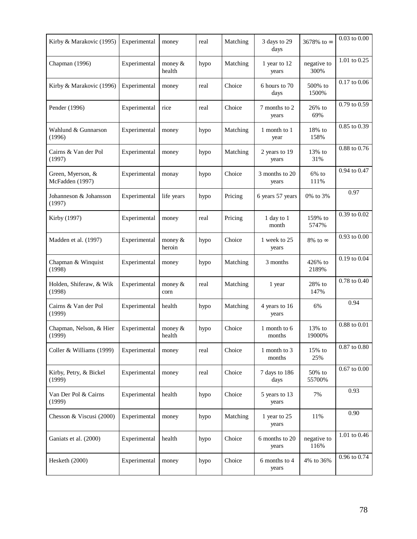| Kirby & Marakovic (1995)             | Experimental | money               | real | Matching | 3 days to 29<br>days    | 3678% to ∞          | $0.03$ to $0.00$   |
|--------------------------------------|--------------|---------------------|------|----------|-------------------------|---------------------|--------------------|
| Chapman (1996)                       | Experimental | money &<br>health   | hypo | Matching | 1 year to 12<br>years   | negative to<br>300% | $1.01$ to $0.25$   |
| Kirby & Marakovic (1996)             | Experimental | money               | real | Choice   | 6 hours to 70<br>days   | 500% to<br>1500%    | $0.17$ to $0.06$   |
| Pender (1996)                        | Experimental | rice                | real | Choice   | 7 months to 2<br>years  | 26% to<br>69%       | 0.79 to 0.59       |
| Wahlund & Gunnarson<br>(1996)        | Experimental | money               | hypo | Matching | 1 month to 1<br>year    | 18% to<br>158%      | 0.85 to 0.39       |
| Cairns & Van der Pol<br>(1997)       | Experimental | money               | hypo | Matching | 2 years to 19<br>years  | 13% to<br>31%       | $0.88$ to $0.76\,$ |
| Green, Myerson, &<br>McFadden (1997) | Experimental | monay               | hypo | Choice   | 3 months to 20<br>years | $6\%$ to<br>111%    | 0.94 to 0.47       |
| Johanneson & Johansson<br>(1997)     | Experimental | life years          | hypo | Pricing  | 6 years 57 years        | 0% to 3%            | 0.97               |
| Kirby (1997)                         | Experimental | money               | real | Pricing  | 1 day to 1<br>month     | 159% to<br>5747%    | 0.39 to 0.02       |
| Madden et al. (1997)                 | Experimental | money $&$<br>heroin | hypo | Choice   | 1 week to 25<br>years   | $8\%$ to $\infty$   | $0.93$ to $0.00$   |
| Chapman & Winquist<br>(1998)         | Experimental | money               | hypo | Matching | 3 months                | 426% to<br>2189%    | $0.19$ to $0.04$   |
| Holden, Shiferaw, & Wik<br>(1998)    | Experimental | money $&$<br>corn   | real | Matching | 1 year                  | 28% to<br>147%      | $0.78$ to $0.40\,$ |
| Cairns & Van der Pol<br>(1999)       | Experimental | health              | hypo | Matching | 4 years to 16<br>years  | 6%                  | 0.94               |
| Chapman, Nelson, & Hier<br>(1999)    | Experimental | money $&$<br>health | hypo | Choice   | 1 month to 6<br>months  | 13% to<br>19000%    | $0.88$ to $0.01$   |
| Coller & Williams (1999)             | Experimental | money               | real | Choice   | 1 month to 3<br>months  | 15% to<br>25%       | $0.87$ to $0.80\,$ |
| Kirby, Petry, & Bickel<br>(1999)     | Experimental | money               | real | Choice   | 7 days to 186<br>days   | 50% to<br>55700%    | $0.67$ to $0.00\,$ |
| Van Der Pol & Cairns<br>(1999)       | Experimental | health              | hypo | Choice   | 5 years to 13<br>years  | 7%                  | 0.93               |
| Chesson & Viscusi (2000)             | Experimental | money               | hypo | Matching | 1 year to 25<br>years   | 11%                 | 0.90               |
| Ganiats et al. (2000)                | Experimental | health              | hypo | Choice   | 6 months to 20<br>years | negative to<br>116% | $1.01$ to $0.46$   |
| Hesketh (2000)                       | Experimental | money               | hypo | Choice   | 6 months to 4<br>years  | 4% to 36%           | $0.96$ to $0.74$   |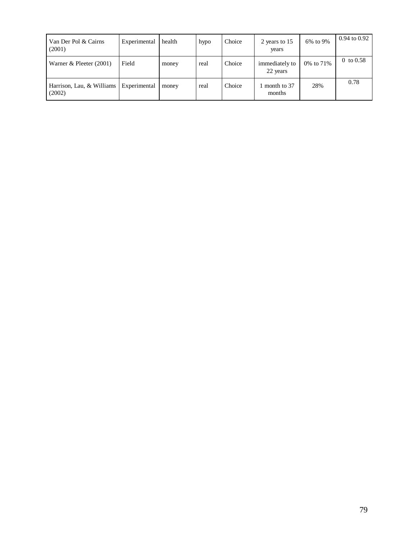| Van Der Pol & Cairns<br>(2001)      | Experimental | health | hypo | Choice | 2 years to 15<br>years     | 6% to 9%  | $0.94$ to $0.92$ |
|-------------------------------------|--------------|--------|------|--------|----------------------------|-----------|------------------|
| Warner & Pleeter $(2001)$           | Field        | money  | real | Choice | immediately to<br>22 years | 0% to 71% | 0 to $0.58$      |
| Harrison, Lau, & Williams<br>(2002) | Experimental | money  | real | Choice | month to 37<br>months      | 28%       | 0.78             |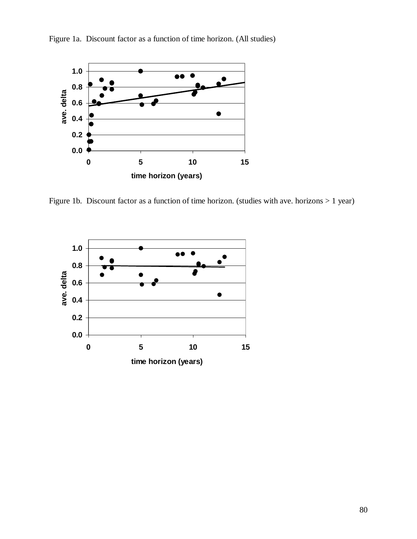

Figure 1a. Discount factor as a function of time horizon. (All studies)

Figure 1b. Discount factor as a function of time horizon. (studies with ave. horizons > 1 year)

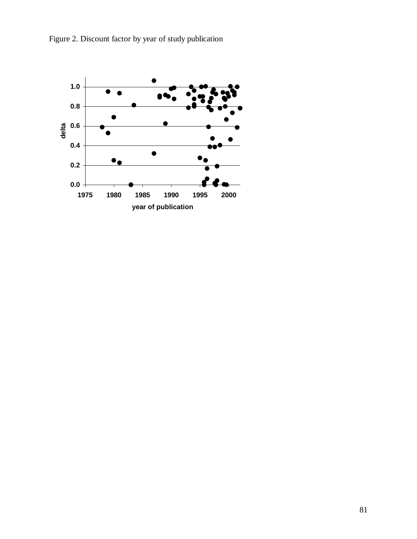